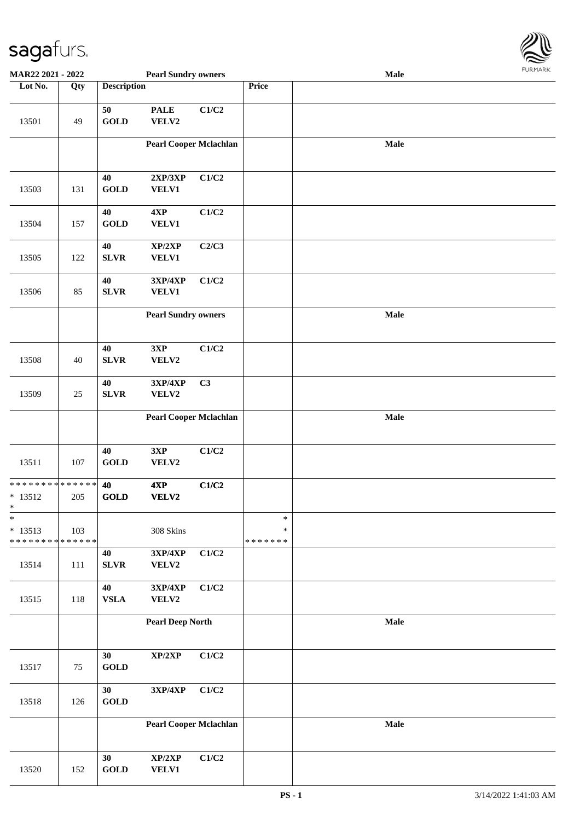

| MAR22 2021 - 2022                                   |        |                    | <b>Pearl Sundry owners</b>        |       |                                   | <b>Male</b> |  |
|-----------------------------------------------------|--------|--------------------|-----------------------------------|-------|-----------------------------------|-------------|--|
| Lot No.                                             | Qty    | <b>Description</b> |                                   |       | Price                             |             |  |
| 13501                                               | 49     | 50<br><b>GOLD</b>  | <b>PALE</b><br>VELV2              | C1/C2 |                                   |             |  |
|                                                     |        |                    | <b>Pearl Cooper Mclachlan</b>     |       |                                   | Male        |  |
| 13503                                               | 131    | 40<br><b>GOLD</b>  | 2XP/3XP<br>VELV1                  | C1/C2 |                                   |             |  |
| 13504                                               | 157    | 40<br><b>GOLD</b>  | $4{\bf XP}$<br>VELV1              | C1/C2 |                                   |             |  |
| 13505                                               | 122    | 40<br><b>SLVR</b>  | XP/2XP<br>VELV1                   | C2/C3 |                                   |             |  |
| 13506                                               | 85     | 40<br><b>SLVR</b>  | 3XP/4XP<br>VELV1                  | C1/C2 |                                   |             |  |
|                                                     |        |                    | <b>Pearl Sundry owners</b>        |       |                                   | Male        |  |
| 13508                                               | 40     | 40<br>SLVR         | 3XP<br>VELV2                      | C1/C2 |                                   |             |  |
| 13509                                               | $25\,$ | 40<br>SLVR         | <b>3XP/4XP</b><br>VELV2           | C3    |                                   |             |  |
|                                                     |        |                    | <b>Pearl Cooper Mclachlan</b>     |       |                                   | Male        |  |
| 13511                                               | 107    | 40<br><b>GOLD</b>  | 3XP<br>VELV2                      | C1/C2 |                                   |             |  |
| ******** <mark>******</mark><br>$* 13512$<br>$\ast$ | 205    | 40<br><b>GOLD</b>  | 4XP<br>VELV2                      | C1/C2 |                                   |             |  |
| $\ast$<br>$* 13513$<br>* * * * * * * * * * * * * *  | 103    |                    | 308 Skins                         |       | $\ast$<br>$\ast$<br>* * * * * * * |             |  |
| 13514                                               | 111    | 40<br>SLVR         | $3XP/4XP$<br>VELV2                | C1/C2 |                                   |             |  |
| 13515                                               | 118    | 40<br>${\bf VSLA}$ | 3XP/4XP<br>VELV2                  | C1/C2 |                                   |             |  |
|                                                     |        |                    | <b>Pearl Deep North</b>           |       |                                   | Male        |  |
| 13517                                               | $75\,$ | 30<br><b>GOLD</b>  | $\mathbf{XP}/2\mathbf{XP}$        | C1/C2 |                                   |             |  |
| 13518                                               | 126    | 30<br><b>GOLD</b>  | $3{\bf X}{\bf P}/4{\bf X}{\bf P}$ | C1/C2 |                                   |             |  |
|                                                     |        |                    | <b>Pearl Cooper Mclachlan</b>     |       |                                   | Male        |  |
| 13520                                               | 152    | 30<br><b>GOLD</b>  | XP/2XP<br>VELV1                   | C1/C2 |                                   |             |  |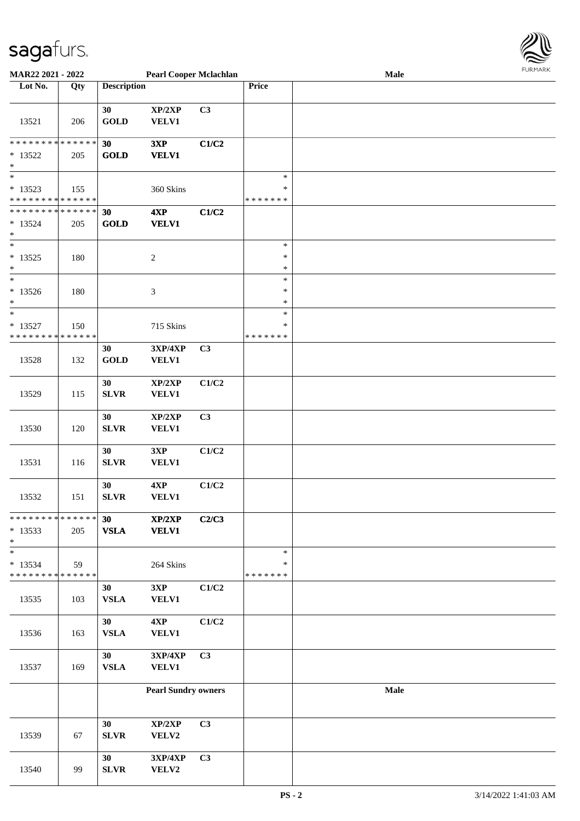

| <b>MAR22 2021 - 2022</b>                              |     |                    | <b>Pearl Cooper Mclachlan</b> |       |                         | <b>Male</b> |  |
|-------------------------------------------------------|-----|--------------------|-------------------------------|-------|-------------------------|-------------|--|
| Lot No.                                               | Qty | <b>Description</b> |                               |       | Price                   |             |  |
|                                                       |     |                    |                               |       |                         |             |  |
|                                                       |     | 30                 | XP/2XP                        | C3    |                         |             |  |
| 13521                                                 | 206 | <b>GOLD</b>        | VELV1                         |       |                         |             |  |
| * * * * * * * * * * * * * * *                         |     |                    |                               |       |                         |             |  |
| $* 13522$                                             |     | 30                 | 3XP                           | C1/C2 |                         |             |  |
| $\ast$                                                | 205 | <b>GOLD</b>        | <b>VELV1</b>                  |       |                         |             |  |
| $\overline{\ast}$                                     |     |                    |                               |       | $\ast$                  |             |  |
| $* 13523$                                             | 155 |                    | 360 Skins                     |       | $\ast$                  |             |  |
| * * * * * * * * * * * * * *                           |     |                    |                               |       | * * * * * * *           |             |  |
| * * * * * * * * <mark>* * * * * * *</mark>            |     | 30                 | 4XP                           | C1/C2 |                         |             |  |
| $* 13524$                                             | 205 | <b>GOLD</b>        | <b>VELV1</b>                  |       |                         |             |  |
| $\ast$                                                |     |                    |                               |       |                         |             |  |
| $\ast$                                                |     |                    |                               |       | $\ast$                  |             |  |
| $* 13525$                                             | 180 |                    | $\boldsymbol{2}$              |       | $\ast$                  |             |  |
| $\ast$                                                |     |                    |                               |       | $\ast$                  |             |  |
| $\ast$                                                |     |                    |                               |       | $\ast$                  |             |  |
| $*13526$                                              | 180 |                    | 3                             |       | $\ast$                  |             |  |
| $\ast$                                                |     |                    |                               |       | $\ast$                  |             |  |
| $\ast$                                                |     |                    |                               |       | $\ast$                  |             |  |
| $* 13527$<br>* * * * * * * * <mark>* * * * * *</mark> | 150 |                    | 715 Skins                     |       | $\ast$<br>* * * * * * * |             |  |
|                                                       |     | 30                 | <b>3XP/4XP</b>                | C3    |                         |             |  |
| 13528                                                 | 132 | <b>GOLD</b>        | <b>VELV1</b>                  |       |                         |             |  |
|                                                       |     |                    |                               |       |                         |             |  |
|                                                       |     | 30                 | XP/2XP                        | C1/C2 |                         |             |  |
| 13529                                                 | 115 | <b>SLVR</b>        | VELV1                         |       |                         |             |  |
|                                                       |     |                    |                               |       |                         |             |  |
|                                                       |     | 30                 | XP/2XP                        | C3    |                         |             |  |
| 13530                                                 | 120 | SLVR               | VELV1                         |       |                         |             |  |
|                                                       |     |                    |                               |       |                         |             |  |
|                                                       |     | 30                 | 3XP                           | C1/C2 |                         |             |  |
| 13531                                                 | 116 | <b>SLVR</b>        | <b>VELV1</b>                  |       |                         |             |  |
|                                                       |     | 30                 |                               | C1/C2 |                         |             |  |
| 13532                                                 | 151 | SLVR               | 4XP<br>VELV1                  |       |                         |             |  |
|                                                       |     |                    |                               |       |                         |             |  |
| * * * * * * * * <mark>* * * * * * *</mark>            |     | 30                 | XP/2XP                        | C2/C3 |                         |             |  |
| $*13533$                                              | 205 | ${\bf VSLA}$       | <b>VELV1</b>                  |       |                         |             |  |
| $\ast$                                                |     |                    |                               |       |                         |             |  |
|                                                       |     |                    |                               |       | $\ast$                  |             |  |
| $*13534$                                              | 59  |                    | 264 Skins                     |       | $\ast$                  |             |  |
| * * * * * * * * <mark>* * * * * * *</mark>            |     |                    |                               |       | * * * * * * *           |             |  |
|                                                       |     | 30                 | 3XP                           | C1/C2 |                         |             |  |
| 13535                                                 | 103 | ${\bf VSLA}$       | VELV1                         |       |                         |             |  |
|                                                       |     | 30                 |                               | C1/C2 |                         |             |  |
| 13536                                                 | 163 | ${\bf VSLA}$       | $4{\bf XP}$<br>VELV1          |       |                         |             |  |
|                                                       |     |                    |                               |       |                         |             |  |
|                                                       |     | 30                 | $3XP/4XP$                     | C3    |                         |             |  |
| 13537                                                 | 169 | ${\bf VSLA}$       | VELV1                         |       |                         |             |  |
|                                                       |     |                    |                               |       |                         |             |  |
|                                                       |     |                    | <b>Pearl Sundry owners</b>    |       |                         | Male        |  |
|                                                       |     |                    |                               |       |                         |             |  |
|                                                       |     |                    |                               |       |                         |             |  |
|                                                       |     | 30                 | XP/2XP                        | C3    |                         |             |  |
| 13539                                                 | 67  | <b>SLVR</b>        | VELV2                         |       |                         |             |  |
|                                                       |     |                    |                               |       |                         |             |  |
| 13540                                                 | 99  | 30<br>SLVR         | $3XP/4XP$<br>VELV2            | C3    |                         |             |  |
|                                                       |     |                    |                               |       |                         |             |  |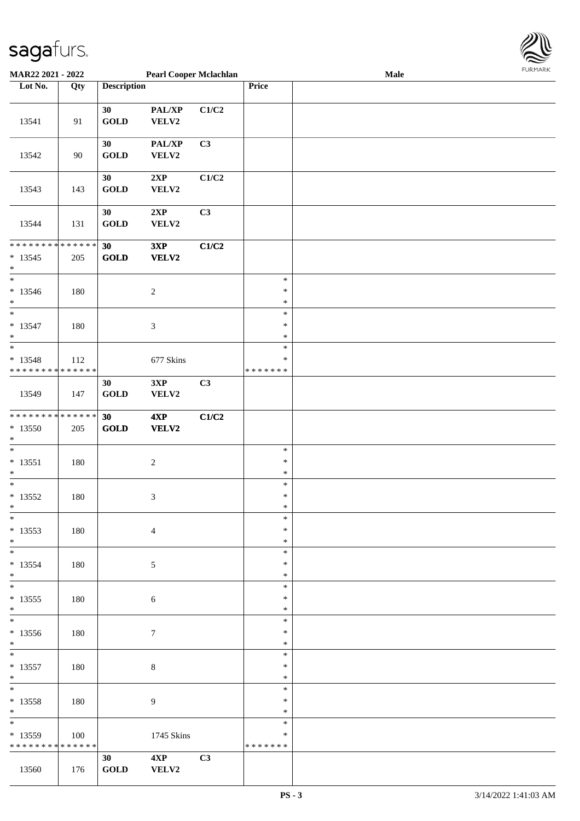

| <b>MAR22 2021 - 2022</b>                                |                   |                       | <b>Pearl Cooper Mclachlan</b> |             |               | Male |  |
|---------------------------------------------------------|-------------------|-----------------------|-------------------------------|-------------|---------------|------|--|
| Lot No.                                                 | $\overline{Q}$ ty | <b>Description</b>    |                               |             | Price         |      |  |
|                                                         |                   |                       |                               |             |               |      |  |
|                                                         |                   | 30                    | PAL/XP                        | C1/C2       |               |      |  |
| 13541                                                   | 91                | <b>GOLD</b>           | VELV2                         |             |               |      |  |
|                                                         |                   |                       |                               |             |               |      |  |
|                                                         |                   | 30                    | PAL/XP                        | C3          |               |      |  |
| 13542                                                   | 90                | <b>GOLD</b>           | VELV2                         |             |               |      |  |
|                                                         |                   |                       |                               |             |               |      |  |
|                                                         |                   | 30                    | 2XP                           | $\rm C1/C2$ |               |      |  |
| 13543                                                   | 143               | <b>GOLD</b>           | VELV2                         |             |               |      |  |
|                                                         |                   |                       |                               |             |               |      |  |
|                                                         |                   | 30                    | 2XP                           | C3          |               |      |  |
| 13544                                                   | 131               | <b>GOLD</b>           | VELV2                         |             |               |      |  |
|                                                         |                   |                       |                               |             |               |      |  |
| * * * * * * * * <mark>* * * * * *</mark>                |                   | 30                    | 3XP                           | C1/C2       |               |      |  |
| $*13545$                                                | 205               | <b>GOLD</b>           | VELV2                         |             |               |      |  |
| $\ast$                                                  |                   |                       |                               |             |               |      |  |
| $\ast$                                                  |                   |                       |                               |             | $\ast$        |      |  |
| $* 13546$                                               | 180               |                       | $\boldsymbol{2}$              |             | $\ast$        |      |  |
| $\ast$                                                  |                   |                       |                               |             | $\ast$        |      |  |
| $\overline{\ast}$                                       |                   |                       |                               |             | $\ast$        |      |  |
| $* 13547$                                               | 180               |                       | $\mathfrak{Z}$                |             | $\ast$        |      |  |
| $\ast$                                                  |                   |                       |                               |             | $\ast$        |      |  |
|                                                         |                   |                       |                               |             | $\ast$        |      |  |
|                                                         |                   |                       |                               |             | $\ast$        |      |  |
| $* 13548$<br>* * * * * * * * <mark>* * * * * * *</mark> | 112               |                       | 677 Skins                     |             | * * * * * * * |      |  |
|                                                         |                   |                       |                               |             |               |      |  |
|                                                         |                   | 30                    | 3XP                           | C3          |               |      |  |
| 13549                                                   | 147               | <b>GOLD</b>           | VELV2                         |             |               |      |  |
|                                                         |                   |                       |                               |             |               |      |  |
| * * * * * * * * <mark>* * * * * * *</mark>              |                   | 30                    | 4XP                           | C1/C2       |               |      |  |
| $*13550$                                                | 205               | <b>GOLD</b>           | VELV2                         |             |               |      |  |
| $*$<br>$*$                                              |                   |                       |                               |             |               |      |  |
|                                                         |                   |                       |                               |             | $\ast$        |      |  |
| $* 13551$                                               | 180               |                       | $\boldsymbol{2}$              |             | $\ast$        |      |  |
| $\ast$                                                  |                   |                       |                               |             | $\ast$        |      |  |
| $*$                                                     |                   |                       |                               |             | $\ast$        |      |  |
| $*13552$                                                | 180               |                       | 3                             |             | $\ast$        |      |  |
| $*$                                                     |                   |                       |                               |             | $\ast$        |      |  |
| $*$                                                     |                   |                       |                               |             | $\ast$        |      |  |
| $*13553$                                                | 180               |                       | $\overline{4}$                |             | $\ast$        |      |  |
| $\ast$                                                  |                   |                       |                               |             | $\ast$        |      |  |
|                                                         |                   |                       |                               |             | $\ast$        |      |  |
| $*13554$                                                | 180               |                       | 5                             |             | $\ast$        |      |  |
| $\ast$                                                  |                   |                       |                               |             | $\ast$        |      |  |
| $*$                                                     |                   |                       |                               |             | $\ast$        |      |  |
| $* 13555$                                               | 180               |                       | 6                             |             | $\ast$        |      |  |
| $*$                                                     |                   |                       |                               |             | $\ast$        |      |  |
| $\overline{\ast}$                                       |                   |                       |                               |             | $\ast$        |      |  |
| $*13556$                                                | 180               |                       | 7                             |             | $\ast$        |      |  |
| $*$                                                     |                   |                       |                               |             | $\ast$        |      |  |
| $\overline{\mathbf{r}^*}$                               |                   |                       |                               |             | $\ast$        |      |  |
| $* 13557$                                               | 180               |                       | 8                             |             | $\ast$        |      |  |
| $*$                                                     |                   |                       |                               |             | $\ast$        |      |  |
| $*$                                                     |                   |                       |                               |             | $\ast$        |      |  |
| $* 13558$                                               | 180               |                       | 9                             |             | $\ast$        |      |  |
| $*$                                                     |                   |                       |                               |             | $\ast$        |      |  |
| $\overline{\ast}$                                       |                   |                       |                               |             | $*$           |      |  |
| $*13559$                                                | 100               |                       | 1745 Skins                    |             | $\ast$        |      |  |
| * * * * * * * * <mark>* * * * * *</mark> *              |                   |                       |                               |             | * * * * * * * |      |  |
|                                                         |                   | 30                    | 4XP                           | C3          |               |      |  |
| 13560                                                   | 176               | $\operatorname{GOLD}$ | VELV2                         |             |               |      |  |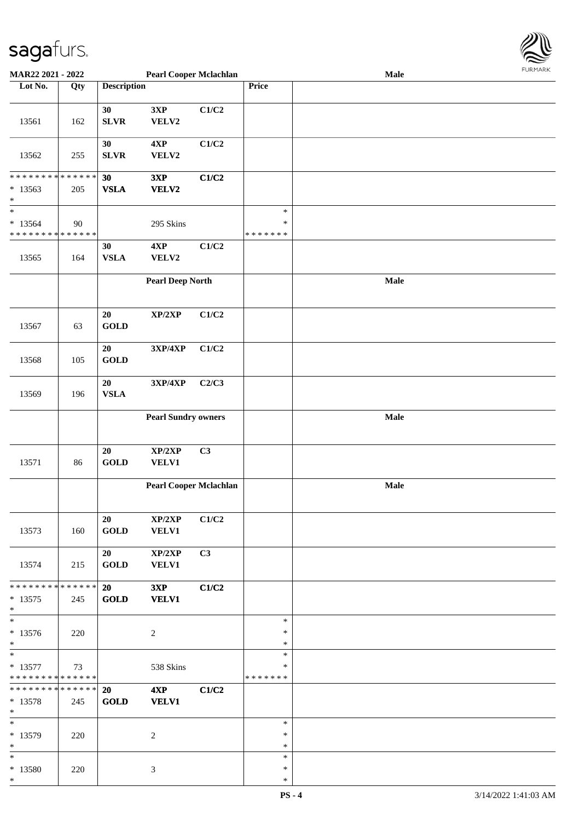

| MAR22 2021 - 2022                                                            |     |                             | <b>Pearl Cooper Mclachlan</b> |       |                                   | Male | <b>FURMARK</b> |
|------------------------------------------------------------------------------|-----|-----------------------------|-------------------------------|-------|-----------------------------------|------|----------------|
| Lot No.                                                                      | Qty | <b>Description</b>          |                               |       | Price                             |      |                |
| 13561                                                                        | 162 | 30<br><b>SLVR</b>           | 3XP<br>VELV2                  | C1/C2 |                                   |      |                |
| 13562                                                                        | 255 | 30<br>${\bf SLVR}$          | 4XP<br>VELV2                  | C1/C2 |                                   |      |                |
| * * * * * * * * <mark>* * * * * *</mark><br>$*13563$<br>$\ast$               | 205 | 30<br><b>VSLA</b>           | 3XP<br>VELV2                  | C1/C2 |                                   |      |                |
| $\ast$<br>$* 13564$<br>* * * * * * * * <mark>* * * * * * *</mark>            | 90  |                             | 295 Skins                     |       | $\ast$<br>$\ast$<br>* * * * * * * |      |                |
| 13565                                                                        | 164 | 30<br>${\bf VSLA}$          | 4XP<br>VELV2                  | C1/C2 |                                   |      |                |
|                                                                              |     |                             | <b>Pearl Deep North</b>       |       |                                   | Male |                |
| 13567                                                                        | 63  | $20\,$<br><b>GOLD</b>       | XP/2XP                        | C1/C2 |                                   |      |                |
| 13568                                                                        | 105 | 20<br>GOLD                  | 3XP/4XP                       | C1/C2 |                                   |      |                |
| 13569                                                                        | 196 | ${\bf 20}$<br><b>VSLA</b>   | 3XP/4XP                       | C2/C3 |                                   |      |                |
|                                                                              |     |                             | <b>Pearl Sundry owners</b>    |       |                                   | Male |                |
| 13571                                                                        | 86  | 20<br>GOLD                  | XP/2XP<br>VELV1               | C3    |                                   |      |                |
|                                                                              |     |                             | <b>Pearl Cooper Mclachlan</b> |       |                                   | Male |                |
| 13573                                                                        | 160 | 20<br>$\operatorname{GOLD}$ | XP/2XP<br><b>VELV1</b>        | C1/C2 |                                   |      |                |
| 13574                                                                        | 215 | 20<br><b>GOLD</b>           | XP/2XP<br><b>VELV1</b>        | C3    |                                   |      |                |
| * * * * * * * * * * * * * * <mark>*</mark><br>$*13575$<br>$*$                | 245 | 20<br>GOLD                  | 3XP<br><b>VELV1</b>           | C1/C2 |                                   |      |                |
| $\ast$<br>$*13576$<br>$*$                                                    | 220 |                             | 2                             |       | $\ast$<br>$\ast$<br>$\ast$        |      |                |
| $\overline{\ast}$<br>$* 13577$<br>* * * * * * * * * * * * * * <mark>*</mark> | 73  |                             | 538 Skins                     |       | $\ast$<br>$\ast$<br>* * * * * * * |      |                |
| * * * * * * * * * * * * * * <mark>*</mark><br>$*13578$<br>$\ast$             | 245 | 20<br><b>GOLD</b>           | 4XP<br><b>VELV1</b>           | C1/C2 |                                   |      |                |
| $\ast$<br>$* 13579$<br>$\ast$                                                | 220 |                             | 2                             |       | $\ast$<br>∗<br>$\ast$             |      |                |
| $\ast$<br>* 13580<br>$\ast$                                                  | 220 |                             | 3                             |       | $\ast$<br>∗<br>$\ast$             |      |                |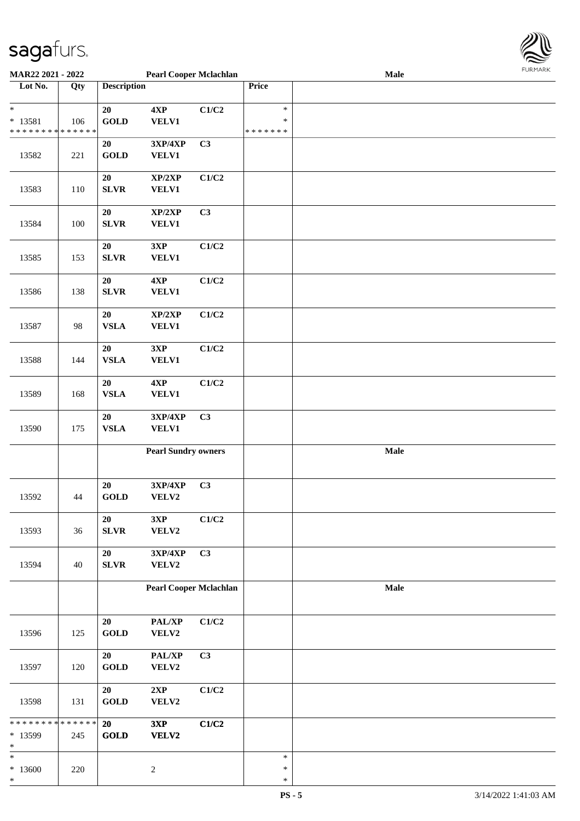

| <b>MAR22 2021 - 2022</b>                   |     |                    | <b>Pearl Cooper Mclachlan</b> |                |               | Male |  |
|--------------------------------------------|-----|--------------------|-------------------------------|----------------|---------------|------|--|
| Lot No.                                    | Qty | <b>Description</b> |                               |                | Price         |      |  |
|                                            |     |                    |                               |                |               |      |  |
| $\ast$                                     |     | 20                 | 4XP                           | C1/C2          | $\ast$        |      |  |
| $* 13581$                                  | 106 | <b>GOLD</b>        | VELV1                         |                | $\ast$        |      |  |
| * * * * * * * * <mark>* * * * * *</mark>   |     |                    |                               |                | * * * * * * * |      |  |
|                                            |     | 20                 | 3XP/4XP                       | C <sub>3</sub> |               |      |  |
| 13582                                      | 221 | <b>GOLD</b>        | <b>VELV1</b>                  |                |               |      |  |
|                                            |     |                    |                               |                |               |      |  |
|                                            |     |                    |                               |                |               |      |  |
|                                            |     | 20                 | XP/2XP                        | C1/C2          |               |      |  |
| 13583                                      | 110 | <b>SLVR</b>        | <b>VELV1</b>                  |                |               |      |  |
|                                            |     |                    |                               |                |               |      |  |
|                                            |     | 20                 | XP/2XP                        | C3             |               |      |  |
| 13584                                      | 100 | SLVR               | <b>VELV1</b>                  |                |               |      |  |
|                                            |     |                    |                               |                |               |      |  |
|                                            |     | 20                 | 3XP                           | C1/C2          |               |      |  |
| 13585                                      | 153 | SLVR               | <b>VELV1</b>                  |                |               |      |  |
|                                            |     |                    |                               |                |               |      |  |
|                                            |     | 20                 | 4XP                           | C1/C2          |               |      |  |
| 13586                                      | 138 | SLVR               | VELV1                         |                |               |      |  |
|                                            |     |                    |                               |                |               |      |  |
|                                            |     | $20\,$             | XP/2XP                        | C1/C2          |               |      |  |
| 13587                                      | 98  | <b>VSLA</b>        | VELV1                         |                |               |      |  |
|                                            |     |                    |                               |                |               |      |  |
|                                            |     | 20                 | 3XP                           | C1/C2          |               |      |  |
| 13588                                      | 144 | <b>VSLA</b>        | <b>VELV1</b>                  |                |               |      |  |
|                                            |     |                    |                               |                |               |      |  |
|                                            |     | ${\bf 20}$         | 4XP                           | C1/C2          |               |      |  |
|                                            |     | <b>VSLA</b>        | <b>VELV1</b>                  |                |               |      |  |
| 13589                                      | 168 |                    |                               |                |               |      |  |
|                                            |     |                    |                               |                |               |      |  |
|                                            |     | ${\bf 20}$         | <b>3XP/4XP</b>                | C <sub>3</sub> |               |      |  |
| 13590                                      | 175 | ${\bf VSLA}$       | <b>VELV1</b>                  |                |               |      |  |
|                                            |     |                    |                               |                |               |      |  |
|                                            |     |                    | <b>Pearl Sundry owners</b>    |                |               | Male |  |
|                                            |     |                    |                               |                |               |      |  |
|                                            |     |                    |                               |                |               |      |  |
|                                            |     | 20                 | 3XP/4XP                       | C3             |               |      |  |
| 13592                                      | 44  | <b>GOLD</b>        | VELV2                         |                |               |      |  |
|                                            |     |                    |                               |                |               |      |  |
|                                            |     | $20\,$             | 3XP                           | C1/C2          |               |      |  |
| 13593                                      | 36  | SLVR               | VELV2                         |                |               |      |  |
|                                            |     |                    |                               |                |               |      |  |
|                                            |     | 20                 | 3XP/4XP                       | C <sub>3</sub> |               |      |  |
| 13594                                      | 40  | SLVR               | VELV2                         |                |               |      |  |
|                                            |     |                    |                               |                |               |      |  |
|                                            |     |                    | <b>Pearl Cooper Mclachlan</b> |                |               | Male |  |
|                                            |     |                    |                               |                |               |      |  |
|                                            |     |                    |                               |                |               |      |  |
|                                            |     | 20                 | PAL/XP                        | C1/C2          |               |      |  |
| 13596                                      | 125 | GOLD               | VELV2                         |                |               |      |  |
|                                            |     |                    |                               |                |               |      |  |
|                                            |     | 20                 | PAL/XP                        | C3             |               |      |  |
| 13597                                      | 120 | <b>GOLD</b>        | VELV2                         |                |               |      |  |
|                                            |     |                    |                               |                |               |      |  |
|                                            |     | 20                 | 2XP                           | C1/C2          |               |      |  |
|                                            |     |                    |                               |                |               |      |  |
| 13598                                      | 131 | <b>GOLD</b>        | VELV2                         |                |               |      |  |
| * * * * * * * * <mark>* * * * * * *</mark> |     |                    |                               |                |               |      |  |
|                                            |     | 20                 | 3XP                           | C1/C2          |               |      |  |
| * 13599                                    | 245 | <b>GOLD</b>        | VELV2                         |                |               |      |  |
| *                                          |     |                    |                               |                |               |      |  |
| *                                          |     |                    |                               |                | $\ast$        |      |  |
| $*13600$                                   | 220 |                    | $\sqrt{2}$                    |                | $\ast$        |      |  |
| *                                          |     |                    |                               |                | $\ast$        |      |  |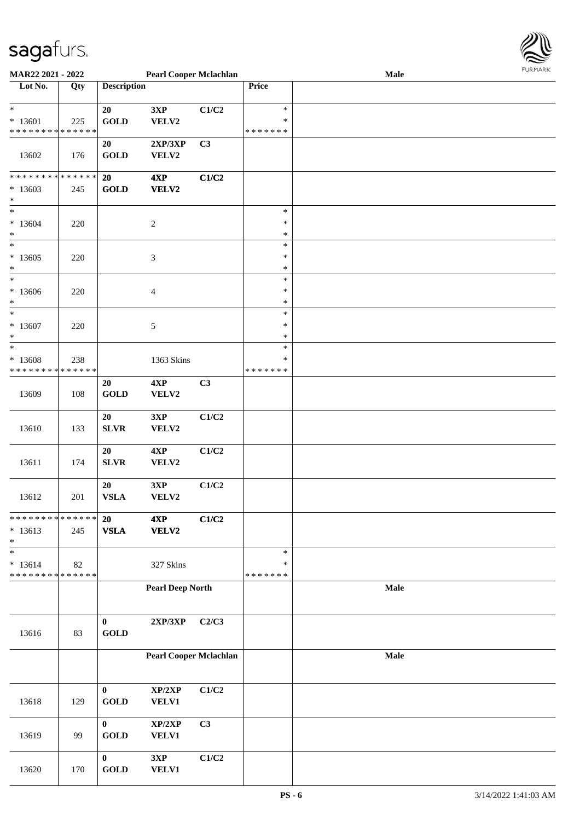

| <b>MAR22 2021 - 2022</b>                                |     |                       | <b>Pearl Cooper Mclachlan</b> |       |               | <b>Male</b> |  |
|---------------------------------------------------------|-----|-----------------------|-------------------------------|-------|---------------|-------------|--|
| Lot No.                                                 | Qty | <b>Description</b>    |                               |       | <b>Price</b>  |             |  |
|                                                         |     |                       |                               |       |               |             |  |
| $\ast$                                                  |     | 20                    | 3XP                           | C1/C2 | $\ast$        |             |  |
| $* 13601$                                               | 225 | <b>GOLD</b>           | VELV2                         |       | $\ast$        |             |  |
| * * * * * * * * <mark>* * * * * * *</mark>              |     |                       |                               |       | * * * * * * * |             |  |
|                                                         |     | 20                    | 2XP/3XP                       | C3    |               |             |  |
| 13602                                                   | 176 | <b>GOLD</b>           | VELV2                         |       |               |             |  |
|                                                         |     |                       |                               |       |               |             |  |
| * * * * * * * * <mark>* * * * * * *</mark>              |     | 20                    | 4XP                           | C1/C2 |               |             |  |
|                                                         |     |                       |                               |       |               |             |  |
| $*13603$                                                | 245 | <b>GOLD</b>           | VELV2                         |       |               |             |  |
| $\ast$<br>$\ddot{x}$                                    |     |                       |                               |       |               |             |  |
|                                                         |     |                       |                               |       | $\ast$        |             |  |
| $*13604$                                                | 220 |                       | $\boldsymbol{2}$              |       | $\ast$        |             |  |
| $\ast$                                                  |     |                       |                               |       | $\ast$        |             |  |
|                                                         |     |                       |                               |       | $\ast$        |             |  |
| $*13605$                                                | 220 |                       | 3                             |       | $\ast$        |             |  |
| $\ast$                                                  |     |                       |                               |       | $\ast$        |             |  |
| $\ast$                                                  |     |                       |                               |       | $\ast$        |             |  |
| $*13606$                                                | 220 |                       | 4                             |       | $\ast$        |             |  |
| $\ast$                                                  |     |                       |                               |       | $\ast$        |             |  |
| $\ast$                                                  |     |                       |                               |       | $\ast$        |             |  |
| $*13607$                                                | 220 |                       | 5                             |       | $\ast$        |             |  |
| $\ast$                                                  |     |                       |                               |       | $\ast$        |             |  |
| $\ast$                                                  |     |                       |                               |       | $\ast$        |             |  |
| $* 13608$                                               | 238 |                       | 1363 Skins                    |       | $\ast$        |             |  |
| * * * * * * * * <mark>* * * * * * *</mark>              |     |                       |                               |       | * * * * * * * |             |  |
|                                                         |     | 20                    | 4XP                           | C3    |               |             |  |
| 13609                                                   | 108 | $\operatorname{GOLD}$ | VELV2                         |       |               |             |  |
|                                                         |     |                       |                               |       |               |             |  |
|                                                         |     | 20                    | 3XP                           | C1/C2 |               |             |  |
| 13610                                                   | 133 | SLVR                  | VELV2                         |       |               |             |  |
|                                                         |     |                       |                               |       |               |             |  |
|                                                         |     | 20                    | 4XP                           | C1/C2 |               |             |  |
| 13611                                                   | 174 | <b>SLVR</b>           | VELV2                         |       |               |             |  |
|                                                         |     |                       |                               |       |               |             |  |
|                                                         |     | 20                    | 3XP                           | C1/C2 |               |             |  |
| 13612                                                   | 201 | <b>VSLA</b>           | VELV2                         |       |               |             |  |
|                                                         |     |                       |                               |       |               |             |  |
| * * * * * * * * * * * * * * *                           |     | 20                    | 4XP                           | C1/C2 |               |             |  |
| $* 13613$                                               | 245 | ${\bf VSLA}$          | VELV2                         |       |               |             |  |
| $\ast$                                                  |     |                       |                               |       |               |             |  |
| $\ast$                                                  |     |                       |                               |       | $\ast$        |             |  |
|                                                         |     |                       |                               |       | $\ast$        |             |  |
| $* 13614$<br>* * * * * * * * <mark>* * * * * * *</mark> | 82  |                       | 327 Skins                     |       | * * * * * * * |             |  |
|                                                         |     |                       |                               |       |               |             |  |
|                                                         |     |                       | <b>Pearl Deep North</b>       |       |               | Male        |  |
|                                                         |     |                       |                               |       |               |             |  |
|                                                         |     |                       |                               |       |               |             |  |
|                                                         |     | $\bf{0}$              | $2{\bf XP}/3{\bf XP}$         | C2/C3 |               |             |  |
| 13616                                                   | 83  | <b>GOLD</b>           |                               |       |               |             |  |
|                                                         |     |                       |                               |       |               |             |  |
|                                                         |     |                       | <b>Pearl Cooper Mclachlan</b> |       |               | Male        |  |
|                                                         |     |                       |                               |       |               |             |  |
|                                                         |     |                       |                               |       |               |             |  |
|                                                         |     | $\bf{0}$              | XP/2XP                        | C1/C2 |               |             |  |
| 13618                                                   | 129 | <b>GOLD</b>           | VELV1                         |       |               |             |  |
|                                                         |     |                       |                               |       |               |             |  |
|                                                         |     | $\bf{0}$              | XP/2XP                        | C3    |               |             |  |
| 13619                                                   | 99  | <b>GOLD</b>           | VELV1                         |       |               |             |  |
|                                                         |     |                       |                               |       |               |             |  |
|                                                         |     | $\bf{0}$              | 3XP                           | C1/C2 |               |             |  |
| 13620                                                   | 170 | <b>GOLD</b>           | VELV1                         |       |               |             |  |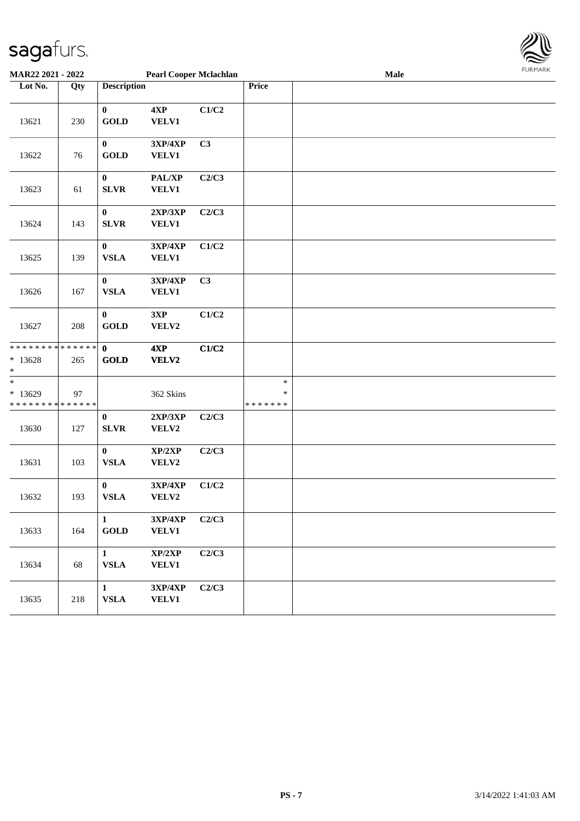

| MAR22 2021 - 2022                                                |     |                                 | <b>Pearl Cooper Mclachlan</b> |       |                                   | Male | 1.911171777 |
|------------------------------------------------------------------|-----|---------------------------------|-------------------------------|-------|-----------------------------------|------|-------------|
| Lot No.                                                          | Qty | <b>Description</b>              |                               |       | Price                             |      |             |
| 13621                                                            | 230 | $\mathbf{0}$<br><b>GOLD</b>     | 4XP<br><b>VELV1</b>           | C1/C2 |                                   |      |             |
| 13622                                                            | 76  | $\bf{0}$<br><b>GOLD</b>         | 3XP/4XP<br><b>VELV1</b>       | C3    |                                   |      |             |
| 13623                                                            | 61  | $\bf{0}$<br><b>SLVR</b>         | PAL/XP<br>VELV1               | C2/C3 |                                   |      |             |
| 13624                                                            | 143 | $\bf{0}$<br><b>SLVR</b>         | 2XP/3XP<br><b>VELV1</b>       | C2/C3 |                                   |      |             |
| 13625                                                            | 139 | $\bf{0}$<br><b>VSLA</b>         | 3XP/4XP<br><b>VELV1</b>       | C1/C2 |                                   |      |             |
| 13626                                                            | 167 | $\bf{0}$<br><b>VSLA</b>         | 3XP/4XP<br><b>VELV1</b>       | C3    |                                   |      |             |
| 13627                                                            | 208 | $\bf{0}$<br><b>GOLD</b>         | 3XP<br>VELV2                  | C1/C2 |                                   |      |             |
| * * * * * * * * <mark>* * * * * * *</mark><br>$*13628$<br>$\ast$ | 265 | $\mathbf{0}$<br><b>GOLD</b>     | 4XP<br><b>VELV2</b>           | C1/C2 |                                   |      |             |
| $\ast$<br>$*13629$<br>* * * * * * * * <mark>* * * * * * *</mark> | 97  |                                 | 362 Skins                     |       | $\ast$<br>$\ast$<br>* * * * * * * |      |             |
| 13630                                                            | 127 | $\bf{0}$<br><b>SLVR</b>         | 2XP/3XP<br>VELV2              | C2/C3 |                                   |      |             |
| 13631                                                            | 103 | $\boldsymbol{0}$<br><b>VSLA</b> | XP/2XP<br>VELV2               | C2/C3 |                                   |      |             |
| 13632                                                            | 193 | $\boldsymbol{0}$<br><b>VSLA</b> | 3XP/4XP<br>VELV2              | C1/C2 |                                   |      |             |
| 13633                                                            | 164 | $\mathbf{1}$<br><b>GOLD</b>     | 3XP/4XP<br><b>VELV1</b>       | C2/C3 |                                   |      |             |
| 13634                                                            | 68  | $\mathbf{1}$<br><b>VSLA</b>     | XP/2XP<br><b>VELV1</b>        | C2/C3 |                                   |      |             |
| 13635                                                            | 218 | $\mathbf{1}$<br><b>VSLA</b>     | 3XP/4XP<br><b>VELV1</b>       | C2/C3 |                                   |      |             |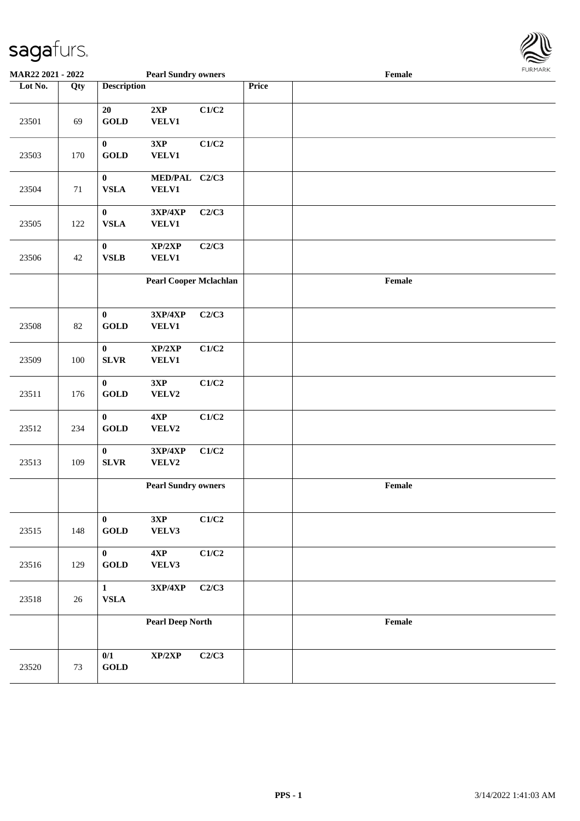

| <b>MAR22 2021 - 2022</b> |     |                                  | <b>Pearl Sundry owners</b>        |       |       | Female |  |
|--------------------------|-----|----------------------------------|-----------------------------------|-------|-------|--------|--|
| Lot No.                  | Qty | <b>Description</b>               |                                   |       | Price |        |  |
| 23501                    | 69  | 20<br><b>GOLD</b>                | 2XP<br><b>VELV1</b>               | C1/C2 |       |        |  |
| 23503                    | 170 | $\bf{0}$<br><b>GOLD</b>          | 3XP<br><b>VELV1</b>               | C1/C2 |       |        |  |
| 23504                    | 71  | $\bf{0}$<br><b>VSLA</b>          | MED/PAL C2/C3<br><b>VELV1</b>     |       |       |        |  |
| 23505                    | 122 | $\boldsymbol{0}$<br><b>VSLA</b>  | $3XP/4XP$<br><b>VELV1</b>         | C2/C3 |       |        |  |
| 23506                    | 42  | $\boldsymbol{0}$<br>${\bf VSLB}$ | XP/2XP<br><b>VELV1</b>            | C2/C3 |       |        |  |
|                          |     |                                  | <b>Pearl Cooper Mclachlan</b>     |       |       | Female |  |
| 23508                    | 82  | $\bf{0}$<br><b>GOLD</b>          | 3XP/4XP<br>VELV1                  | C2/C3 |       |        |  |
| 23509                    | 100 | $\boldsymbol{0}$<br><b>SLVR</b>  | XP/2XP<br><b>VELV1</b>            | C1/C2 |       |        |  |
| 23511                    | 176 | $\bf{0}$<br><b>GOLD</b>          | 3XP<br>VELV2                      | C1/C2 |       |        |  |
| 23512                    | 234 | $\mathbf 0$<br><b>GOLD</b>       | 4XP<br>VELV2                      | C1/C2 |       |        |  |
| 23513                    | 109 | $\mathbf 0$<br>${\bf SLVR}$      | $3XP/4XP$<br>VELV2                | C1/C2 |       |        |  |
|                          |     |                                  | <b>Pearl Sundry owners</b>        |       |       | Female |  |
| 23515                    | 148 | $\mathbf{0}$<br><b>GOLD</b>      | 3XP<br>VELV3                      | C1/C2 |       |        |  |
| 23516                    | 129 | $\mathbf{0}$<br><b>GOLD</b>      | 4XP<br>VELV3                      | C1/C2 |       |        |  |
| 23518                    | 26  | $\mathbf{1}$<br>${\bf VSLA}$     | $3{\bf X}{\bf P}/4{\bf X}{\bf P}$ | C2/C3 |       |        |  |
|                          |     |                                  | <b>Pearl Deep North</b>           |       |       | Female |  |
| 23520                    | 73  | 0/1<br><b>GOLD</b>               | XP/2XP                            | C2/C3 |       |        |  |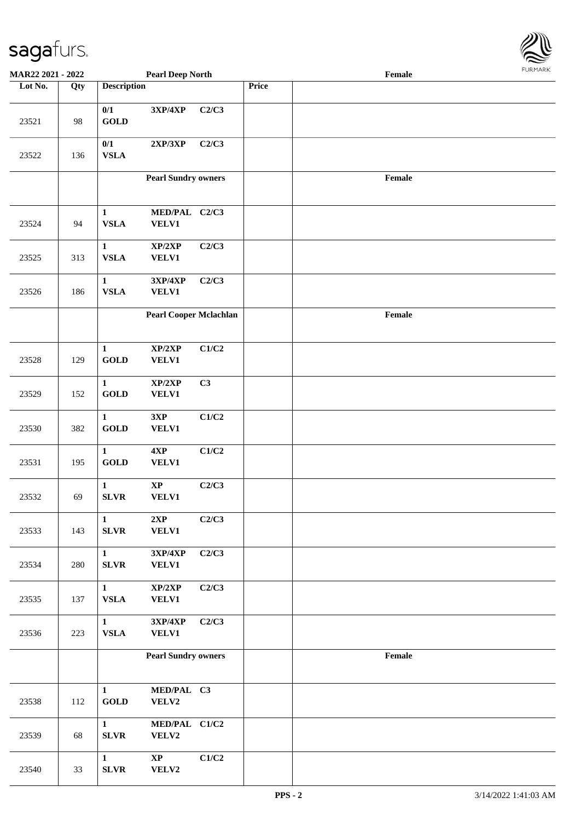

| MAR22 2021 - 2022 |     |                              | <b>Pearl Deep North</b>                    |       |       | Female | <b>FUNITANN</b> |
|-------------------|-----|------------------------------|--------------------------------------------|-------|-------|--------|-----------------|
| Lot No.           | Qty | <b>Description</b>           |                                            |       | Price |        |                 |
| 23521             | 98  | 0/1<br><b>GOLD</b>           | 3XP/4XP                                    | C2/C3 |       |        |                 |
| 23522             | 136 | 0/1<br>${\bf VSLA}$          | 2XP/3XP                                    | C2/C3 |       |        |                 |
|                   |     |                              | <b>Pearl Sundry owners</b>                 |       |       | Female |                 |
| 23524             | 94  | $\mathbf{1}$<br><b>VSLA</b>  | MED/PAL C2/C3<br><b>VELV1</b>              |       |       |        |                 |
| 23525             | 313 | $\mathbf{1}$<br><b>VSLA</b>  | XP/2XP<br><b>VELV1</b>                     | C2/C3 |       |        |                 |
| 23526             | 186 | $\mathbf{1}$<br>${\bf VSLA}$ | 3XP/4XP<br><b>VELV1</b>                    | C2/C3 |       |        |                 |
|                   |     |                              | <b>Pearl Cooper Mclachlan</b>              |       |       | Female |                 |
| 23528             | 129 | $\mathbf{1}$<br><b>GOLD</b>  | $\mathbf{XP}/2\mathbf{XP}$<br><b>VELV1</b> | C1/C2 |       |        |                 |
| 23529             | 152 | $\mathbf{1}$<br><b>GOLD</b>  | XP/2XP<br><b>VELV1</b>                     | C3    |       |        |                 |
| 23530             | 382 | $\mathbf{1}$<br><b>GOLD</b>  | 3XP<br><b>VELV1</b>                        | C1/C2 |       |        |                 |
| 23531             | 195 | $\mathbf{1}$<br><b>GOLD</b>  | $4{\bf X}{\bf P}$<br><b>VELV1</b>          | C1/C2 |       |        |                 |
| 23532             | 69  | $\mathbf{1}$<br>${\bf SLVR}$ | $\bold{XP}$<br><b>VELV1</b>                | C2/C3 |       |        |                 |
| 23533             | 143 | $\mathbf{1}$<br>${\bf SLVR}$ | 2XP<br><b>VELV1</b>                        | C2/C3 |       |        |                 |
| 23534             | 280 | $\mathbf{1}$<br><b>SLVR</b>  | 3XP/4XP<br><b>VELV1</b>                    | C2/C3 |       |        |                 |
| 23535             | 137 | $\mathbf{1}$<br><b>VSLA</b>  | $\mathbf{XP}/2\mathbf{XP}$<br><b>VELV1</b> | C2/C3 |       |        |                 |
| 23536             | 223 | $\mathbf{1}$<br><b>VSLA</b>  | 3XP/4XP<br><b>VELV1</b>                    | C2/C3 |       |        |                 |
|                   |     |                              | <b>Pearl Sundry owners</b>                 |       |       | Female |                 |
| 23538             | 112 | $\mathbf{1}$<br><b>GOLD</b>  | MED/PAL C3<br>VELV2                        |       |       |        |                 |
| 23539             | 68  | $\mathbf{1}$<br>${\bf SLVR}$ | MED/PAL C1/C2<br>VELV2                     |       |       |        |                 |
| 23540             | 33  | $\mathbf{1}$<br><b>SLVR</b>  | $\bold{XP}$<br>VELV2                       | C1/C2 |       |        |                 |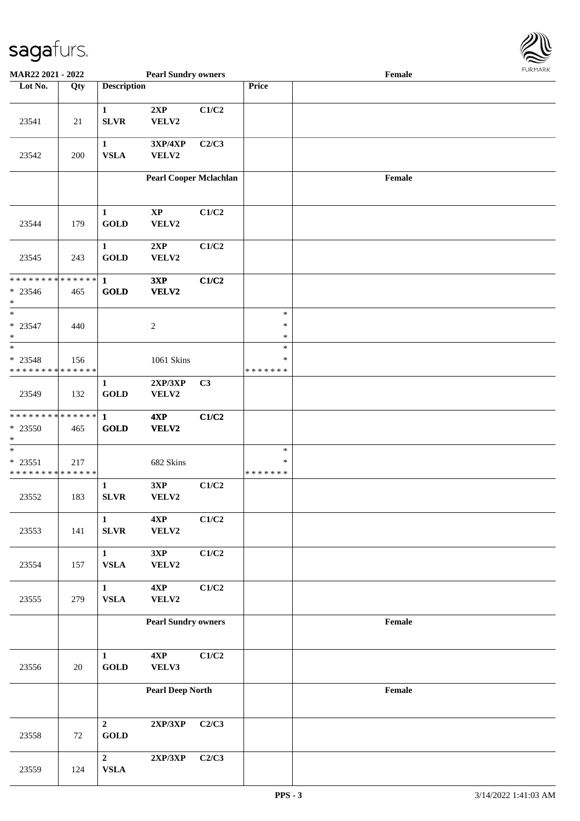

| MAR22 2021 - 2022                                                 |               |                                         | <b>Pearl Sundry owners</b>    |       |                              | Female | 1.911171777 |
|-------------------------------------------------------------------|---------------|-----------------------------------------|-------------------------------|-------|------------------------------|--------|-------------|
| Lot No.                                                           | Qty           | <b>Description</b>                      |                               |       | Price                        |        |             |
| 23541                                                             | 21            | $\mathbf{1}$<br><b>SLVR</b>             | 2XP<br>VELV2                  | C1/C2 |                              |        |             |
| 23542                                                             | 200           | $\mathbf{1}$<br><b>VSLA</b>             | 3XP/4XP<br>VELV2              | C2/C3 |                              |        |             |
|                                                                   |               |                                         | <b>Pearl Cooper Mclachlan</b> |       |                              | Female |             |
| 23544                                                             | 179           | $\mathbf{1}$<br><b>GOLD</b>             | $\mathbf{XP}$<br>VELV2        | C1/C2 |                              |        |             |
| 23545                                                             | 243           | $\mathbf{1}$<br><b>GOLD</b>             | 2XP<br>VELV2                  | C1/C2 |                              |        |             |
| * * * * * * * * * * * * * * <mark>*</mark><br>$* 23546$<br>$\ast$ | 465           | $\mathbf{1}$<br><b>GOLD</b>             | 3XP<br>VELV2                  | C1/C2 |                              |        |             |
| $\overline{\ast}$<br>$* 23547$<br>$\ast$                          | 440           |                                         | $\sqrt{2}$                    |       | $\ast$<br>$\ast$<br>$\ast$   |        |             |
| $_{*}^{-}$<br>$* 23548$<br>* * * * * * * * * * * * * *            | 156           |                                         | 1061 Skins                    |       | $\ast$<br>∗<br>* * * * * * * |        |             |
| 23549                                                             | 132           | $\mathbf{1}$<br>$\operatorname{GOLD}$   | 2XP/3XP<br>VELV2              | C3    |                              |        |             |
| * * * * * * * *<br>* 23550<br>$\ast$                              | ******<br>465 | $\mathbf{1}$<br><b>GOLD</b>             | 4XP<br>VELV2                  | C1/C2 |                              |        |             |
| $_{*}$<br>$* 23551$<br>* * * * * * * * * * * * * *                | 217           |                                         | 682 Skins                     |       | $\ast$<br>∗<br>*******       |        |             |
| 23552                                                             | 183           | $\mathbf{1}$<br><b>SLVR</b>             | 3XP<br>VELV2                  | C1/C2 |                              |        |             |
| 23553                                                             | 141           | $\mathbf{1}$<br><b>SLVR</b>             | 4XP<br>VELV2                  | C1/C2 |                              |        |             |
| 23554                                                             | 157           | $\mathbf{1}$<br><b>VSLA</b>             | 3XP<br>VELV2                  | C1/C2 |                              |        |             |
| 23555                                                             | 279           | $\mathbf{1}$<br>${\bf VSLA}$            | 4XP<br><b>VELV2</b>           | C1/C2 |                              |        |             |
|                                                                   |               |                                         | <b>Pearl Sundry owners</b>    |       |                              | Female |             |
| 23556                                                             | 20            | $\mathbf{1}$<br>$\operatorname{GOLD}$   | 4XP<br>VELV3                  | C1/C2 |                              |        |             |
|                                                                   |               |                                         | <b>Pearl Deep North</b>       |       |                              | Female |             |
| 23558                                                             | 72            | $\overline{2}$<br>$\operatorname{GOLD}$ | 2XP/3XP                       | C2/C3 |                              |        |             |
| 23559                                                             | 124           | $\overline{2}$<br>${\bf VSLA}$          | 2XP/3XP                       | C2/C3 |                              |        |             |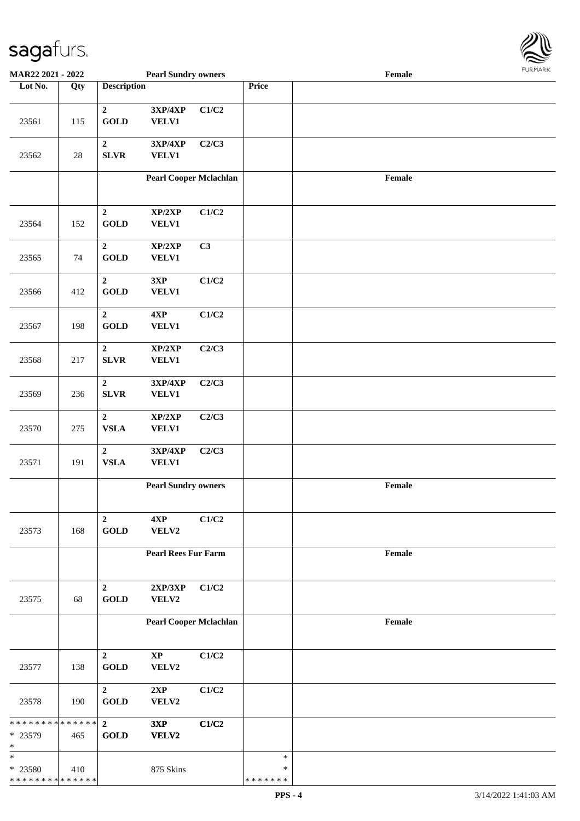

| MAR22 2021 - 2022                                  |        |                                 | <b>Pearl Sundry owners</b>                 |       |                                   | Female |  |
|----------------------------------------------------|--------|---------------------------------|--------------------------------------------|-------|-----------------------------------|--------|--|
| Lot No.                                            | Qty    | <b>Description</b>              |                                            |       | Price                             |        |  |
|                                                    |        | $\boldsymbol{2}$                | 3XP/4XP                                    | C1/C2 |                                   |        |  |
| 23561                                              | 115    | <b>GOLD</b>                     | VELV1                                      |       |                                   |        |  |
| 23562                                              | $28\,$ | $\boldsymbol{2}$<br>SLVR        | 3XP/4XP<br>VELV1                           | C2/C3 |                                   |        |  |
|                                                    |        |                                 | <b>Pearl Cooper Mclachlan</b>              |       |                                   | Female |  |
| 23564                                              | 152    | $\boldsymbol{2}$<br><b>GOLD</b> | XP/2XP<br>VELV1                            | C1/C2 |                                   |        |  |
| 23565                                              | 74     | $\boldsymbol{2}$<br><b>GOLD</b> | XP/2XP<br><b>VELV1</b>                     | C3    |                                   |        |  |
| 23566                                              | 412    | $\boldsymbol{2}$<br><b>GOLD</b> | 3XP<br>VELV1                               | C1/C2 |                                   |        |  |
| 23567                                              | 198    | $\mathbf 2$<br><b>GOLD</b>      | $4{\bf XP}$<br>VELV1                       | C1/C2 |                                   |        |  |
| 23568                                              | 217    | $\boldsymbol{2}$<br>SLVR        | XP/2XP<br>VELV1                            | C2/C3 |                                   |        |  |
| 23569                                              | 236    | $\boldsymbol{2}$<br>SLVR        | 3XP/4XP<br><b>VELV1</b>                    | C2/C3 |                                   |        |  |
| 23570                                              | 275    | $\boldsymbol{2}$<br><b>VSLA</b> | XP/2XP<br>VELV1                            | C2/C3 |                                   |        |  |
| 23571                                              | 191    | $\mathbf{2}$<br>${\bf VSLA}$    | 3XP/4XP<br>VELV1                           | C2/C3 |                                   |        |  |
|                                                    |        |                                 | <b>Pearl Sundry owners</b>                 |       |                                   | Female |  |
| 23573                                              | 168    | $\mathbf{2}$<br><b>GOLD</b>     | 4XP<br>VELV2                               | C1/C2 |                                   |        |  |
|                                                    |        |                                 | <b>Pearl Rees Fur Farm</b>                 |       |                                   | Female |  |
| 23575                                              | 68     | $\boldsymbol{2}$<br><b>GOLD</b> | $2{\bf X}{\bf P}/3{\bf X}{\bf P}$<br>VELV2 | C1/C2 |                                   |        |  |
|                                                    |        |                                 | <b>Pearl Cooper Mclachlan</b>              |       |                                   | Female |  |
| 23577                                              | 138    | $\overline{2}$<br><b>GOLD</b>   | $\bold{XP}$<br>VELV2                       | C1/C2 |                                   |        |  |
| 23578                                              | 190    | $\overline{2}$<br><b>GOLD</b>   | 2XP<br>VELV2                               | C1/C2 |                                   |        |  |
| * * * * * * * * * * * * * * *<br>* 23579<br>$\ast$ | 465    | $\overline{2}$<br><b>GOLD</b>   | 3XP<br>VELV2                               | C1/C2 |                                   |        |  |
| $\ast$<br>* 23580<br>* * * * * * * * * * * * * *   | 410    |                                 | 875 Skins                                  |       | $\ast$<br>$\ast$<br>* * * * * * * |        |  |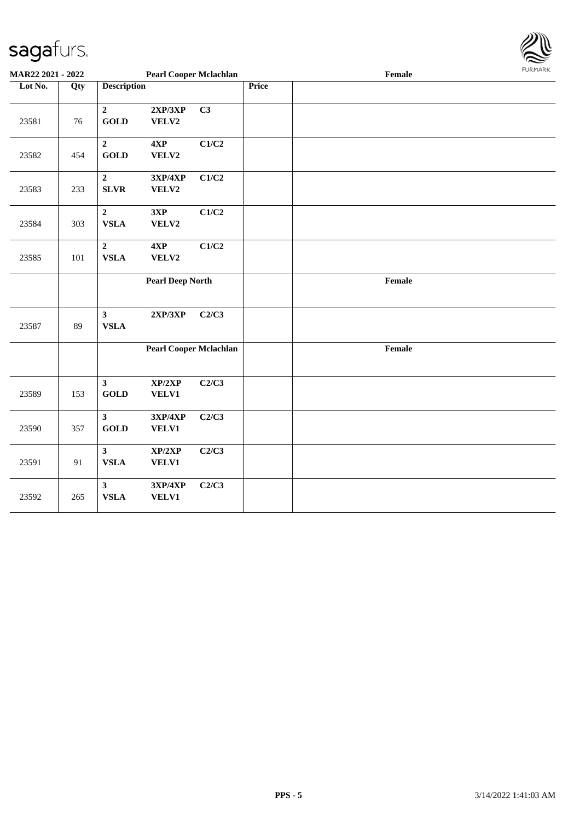

| MAR22 2021 - 2022 |     | <b>Pearl Cooper Mclachlan</b><br>Female |                         |                               |              |        |  |  |
|-------------------|-----|-----------------------------------------|-------------------------|-------------------------------|--------------|--------|--|--|
| Lot No.           | Qty | <b>Description</b>                      |                         |                               | <b>Price</b> |        |  |  |
| 23581             | 76  | $\overline{2}$<br><b>GOLD</b>           | 2XP/3XP<br>VELV2        | C3                            |              |        |  |  |
| 23582             | 454 | $\overline{2}$<br><b>GOLD</b>           | 4XP<br>VELV2            | C1/C2                         |              |        |  |  |
| 23583             | 233 | $\overline{2}$<br><b>SLVR</b>           | 3XP/4XP<br>VELV2        | C1/C2                         |              |        |  |  |
| 23584             | 303 | $\mathbf 2$<br><b>VSLA</b>              | 3XP<br>VELV2            | C1/C2                         |              |        |  |  |
| 23585             | 101 | $\mathbf 2$<br><b>VSLA</b>              | $4{\bf XP}$<br>VELV2    | C1/C2                         |              |        |  |  |
|                   |     |                                         | <b>Pearl Deep North</b> |                               |              | Female |  |  |
| 23587             | 89  | $\mathbf{3}$<br><b>VSLA</b>             | 2XP/3XP                 | C2/C3                         |              |        |  |  |
|                   |     |                                         |                         | <b>Pearl Cooper Mclachlan</b> |              | Female |  |  |
| 23589             | 153 | $\mathbf{3}$<br><b>GOLD</b>             | XP/2XP<br><b>VELV1</b>  | C2/C3                         |              |        |  |  |
| 23590             | 357 | $\mathbf{3}$<br><b>GOLD</b>             | 3XP/4XP<br><b>VELV1</b> | C2/C3                         |              |        |  |  |
| 23591             | 91  | $\mathbf{3}$<br><b>VSLA</b>             | XP/2XP<br><b>VELV1</b>  | C2/C3                         |              |        |  |  |
| 23592             | 265 | $\mathbf{3}$<br><b>VSLA</b>             | 3XP/4XP<br><b>VELV1</b> | C2/C3                         |              |        |  |  |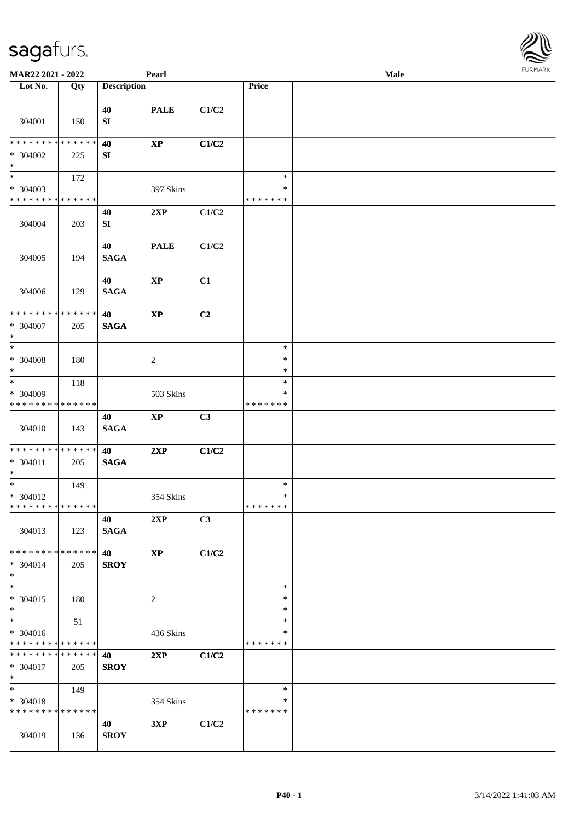| MAR22 2021 - 2022             |     |                    | Pearl                  |                |               | Male |  |
|-------------------------------|-----|--------------------|------------------------|----------------|---------------|------|--|
| Lot No.                       | Qty | <b>Description</b> |                        |                | Price         |      |  |
|                               |     |                    |                        |                |               |      |  |
|                               |     | 40                 | <b>PALE</b>            | C1/C2          |               |      |  |
| 304001                        | 150 | SI                 |                        |                |               |      |  |
| * * * * * * * * * * * * * *   |     |                    |                        |                |               |      |  |
|                               |     | 40                 | $\mathbf{X}\mathbf{P}$ | C1/C2          |               |      |  |
| $* 304002$<br>$*$             | 225 | SI                 |                        |                |               |      |  |
| $*$                           | 172 |                    |                        |                | $\ast$        |      |  |
| * 304003                      |     |                    | 397 Skins              |                | $\ast$        |      |  |
| * * * * * * * * * * * * * *   |     |                    |                        |                | * * * * * * * |      |  |
|                               |     | 40                 | 2XP                    | C1/C2          |               |      |  |
| 304004                        | 203 | SI                 |                        |                |               |      |  |
|                               |     |                    |                        |                |               |      |  |
|                               |     | 40                 | <b>PALE</b>            | C1/C2          |               |      |  |
| 304005                        | 194 | <b>SAGA</b>        |                        |                |               |      |  |
|                               |     |                    |                        |                |               |      |  |
|                               |     | 40                 | $\bold{XP}$            | C1             |               |      |  |
| 304006                        | 129 | <b>SAGA</b>        |                        |                |               |      |  |
| * * * * * * * * * * * * * *   |     | 40                 | $\bold{XP}$            | C <sub>2</sub> |               |      |  |
| * 304007                      | 205 | <b>SAGA</b>        |                        |                |               |      |  |
| $*$                           |     |                    |                        |                |               |      |  |
| $*$                           |     |                    |                        |                | $\ast$        |      |  |
| $* 304008$                    | 180 |                    | $\boldsymbol{2}$       |                | $\ast$        |      |  |
| $*$                           |     |                    |                        |                | $\ast$        |      |  |
| $*$                           | 118 |                    |                        |                | $\ast$        |      |  |
| * 304009                      |     |                    | 503 Skins              |                | *             |      |  |
| * * * * * * * * * * * * * *   |     |                    |                        |                | * * * * * * * |      |  |
|                               |     | 40                 | $\mathbf{XP}$          | C <sub>3</sub> |               |      |  |
| 304010                        | 143 | <b>SAGA</b>        |                        |                |               |      |  |
| * * * * * * * * * * * * * * * |     | 40                 | 2XP                    | C1/C2          |               |      |  |
| $* 304011$                    | 205 | <b>SAGA</b>        |                        |                |               |      |  |
| $*$                           |     |                    |                        |                |               |      |  |
| $*$                           | 149 |                    |                        |                | $\ast$        |      |  |
| * 304012                      |     |                    | 354 Skins              |                | $\ast$        |      |  |
| * * * * * * * * * * * * * * * |     |                    |                        |                | *******       |      |  |
|                               |     | 40                 | 2XP                    | C3             |               |      |  |
| 304013                        | 123 | <b>SAGA</b>        |                        |                |               |      |  |
| * * * * * * * * * * * * * * * |     |                    | $\bold{XP}$            |                |               |      |  |
| * 304014                      | 205 | 40<br><b>SROY</b>  |                        | C1/C2          |               |      |  |
| $*$                           |     |                    |                        |                |               |      |  |
| $*$                           |     |                    |                        |                | $\ast$        |      |  |
| * 304015                      | 180 |                    | 2                      |                | $\ast$        |      |  |
| $*$                           |     |                    |                        |                | $\ast$        |      |  |
| $*$                           | 51  |                    |                        |                | $\ast$        |      |  |
| * 304016                      |     |                    | 436 Skins              |                | *             |      |  |
| * * * * * * * * * * * * * * * |     |                    |                        |                | * * * * * * * |      |  |
| * * * * * * * * * * * * * * * |     | 40                 | 2XP                    | C1/C2          |               |      |  |
| $* 304017$                    | 205 | <b>SROY</b>        |                        |                |               |      |  |
| $*$<br>$*$                    | 149 |                    |                        |                | $\ast$        |      |  |
| * 304018                      |     |                    | 354 Skins              |                | ∗             |      |  |
| * * * * * * * * * * * * * * * |     |                    |                        |                | * * * * * * * |      |  |
|                               |     | 40                 | 3XP                    | C1/C2          |               |      |  |
| 304019                        | 136 | <b>SROY</b>        |                        |                |               |      |  |
|                               |     |                    |                        |                |               |      |  |

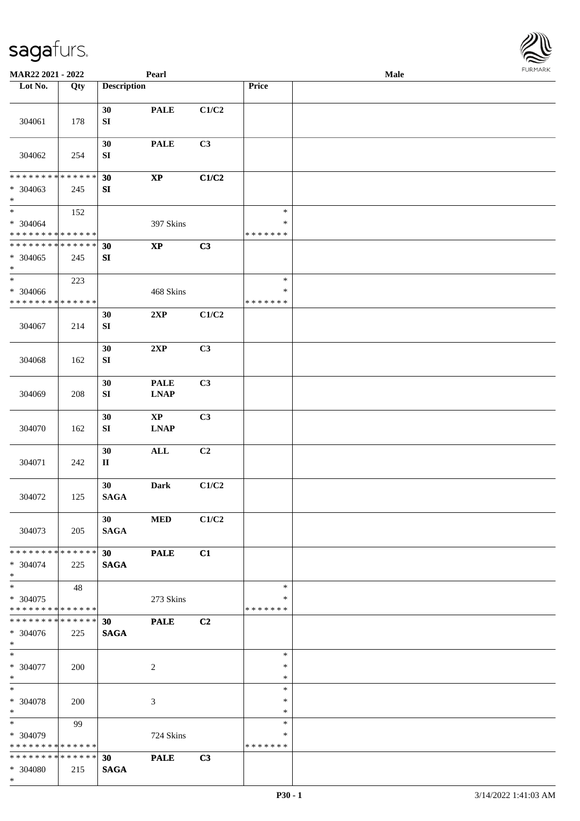| <b>FURMARK</b> |
|----------------|
|                |
|                |
|                |
|                |
|                |
|                |
|                |

| 304061                                                              | 178 | 30<br>${\bf SI}$               | <b>PALE</b>                           | C1/C2          |                                   |  |
|---------------------------------------------------------------------|-----|--------------------------------|---------------------------------------|----------------|-----------------------------------|--|
| 304062                                                              | 254 | 30<br>${\bf SI}$               | <b>PALE</b>                           | C3             |                                   |  |
| * * * * * * * * * * * * * *<br>* 304063<br>$\ast$                   | 245 | 30<br>SI                       | $\bold{XP}$                           | C1/C2          |                                   |  |
| $\ast$<br>$* 304064$<br>* * * * * * * * * * * * * *                 | 152 |                                | 397 Skins                             |                | $\ast$<br>$\ast$<br>* * * * * * * |  |
| * * * * * * * * * * * * * *<br>$* 304065$<br>$\ast$                 | 245 | 30<br>${\bf SI}$               | $\bold{XP}$                           | C3             |                                   |  |
| $\overline{\phantom{0}}$<br>* 304066<br>* * * * * * * * * * * * * * | 223 |                                | 468 Skins                             |                | $\ast$<br>$\ast$<br>* * * * * * * |  |
| 304067                                                              | 214 | 30<br>${\bf SI}$               | 2XP                                   | C1/C2          |                                   |  |
| 304068                                                              | 162 | 30<br>${\bf S}{\bf I}$         | 2XP                                   | C3             |                                   |  |
| 304069                                                              | 208 | 30<br>SI                       | <b>PALE</b><br><b>LNAP</b>            | C3             |                                   |  |
| 304070                                                              | 162 | 30<br>SI                       | $\mathbf{X}\mathbf{P}$<br><b>LNAP</b> | C <sub>3</sub> |                                   |  |
| 304071                                                              | 242 | 30<br>$\rm II$                 | <b>ALL</b>                            | C <sub>2</sub> |                                   |  |
| 304072                                                              | 125 | 30<br><b>SAGA</b>              | <b>Dark</b>                           | C1/C2          |                                   |  |
| 304073                                                              | 205 | 30<br><b>SAGA</b>              | $\bf MED$                             | C1/C2          |                                   |  |
| **************<br>* 304074<br>$*$                                   | 225 | 30 <sup>°</sup><br><b>SAGA</b> | <b>PALE</b>                           | C1             |                                   |  |
| $\ast$<br>$* 304075$<br>* * * * * * * * * * * * * * *               | 48  |                                | 273 Skins                             |                | $\ast$<br>$\ast$<br>* * * * * * * |  |
| * * * * * * * * * * * * * * *<br>* 304076<br>$*$                    | 225 | 30 <sup>°</sup><br><b>SAGA</b> | <b>PALE</b>                           | C2             |                                   |  |
| $\ast$<br>* 304077<br>$*$                                           | 200 |                                | $\overline{2}$                        |                | $\ast$<br>∗<br>$\ast$             |  |
| $\overline{\phantom{a}^*}$<br>$* 304078$<br>$\ast$                  | 200 |                                | 3                                     |                | $\ast$<br>*<br>$\ast$             |  |
| $\overline{\phantom{a}}$<br>* 304079<br>* * * * * * * * * * * * * * | 99  |                                | 724 Skins                             |                | $\ast$<br>*<br>* * * * * * *      |  |
| * * * * * * * * * * * * * * *<br>* 304080<br>$*$                    | 215 | 30<br><b>SAGA</b>              | <b>PALE</b>                           | C3             |                                   |  |

**MAR22 2021 - 2022 Pearl Male**<br> **Description Price Period Price Price Price Price Price Price Price Price Price Price Price Price Price Price Price Price Price Price Price Pr** 

**Loty Description Price**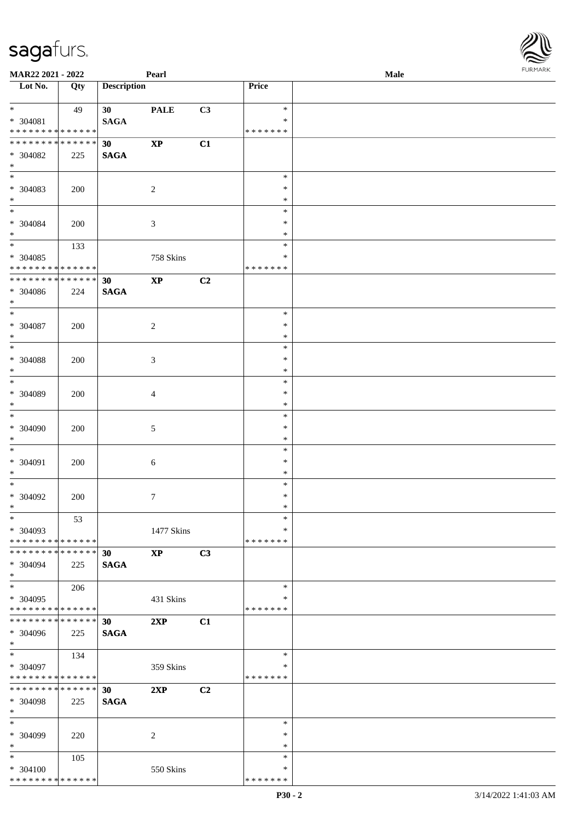| MAR22 2021 - 2022                                  |     |                                | Pearl                  |    |                                   | <b>Male</b> |  |
|----------------------------------------------------|-----|--------------------------------|------------------------|----|-----------------------------------|-------------|--|
| Lot No.                                            | Qty | <b>Description</b>             |                        |    | Price                             |             |  |
| $*$<br>$* 304081$<br>* * * * * * * * * * * * * *   | 49  | 30 <sup>1</sup><br><b>SAGA</b> | <b>PALE</b>            | C3 | $\ast$<br>$\ast$<br>*******       |             |  |
| * * * * * * * * * * * * * *<br>* 304082<br>$*$     | 225 | 30<br><b>SAGA</b>              | $\mathbf{X}\mathbf{P}$ | C1 |                                   |             |  |
| $\overline{\phantom{0}}$<br>* 304083<br>$*$        | 200 |                                | $\overline{c}$         |    | $\ast$<br>$\ast$<br>$\ast$        |             |  |
| $*$<br>$* 304084$<br>$*$                           | 200 |                                | $\mathfrak{Z}$         |    | $\ast$<br>$\ast$<br>$\ast$        |             |  |
| $*$<br>* 304085<br>* * * * * * * * * * * * * *     | 133 |                                | 758 Skins              |    | $\ast$<br>$\ast$<br>* * * * * * * |             |  |
| * * * * * * * * * * * * * *<br>* 304086<br>$*$     | 224 | 30<br><b>SAGA</b>              | $\bold{XP}$            | C2 |                                   |             |  |
| $*$<br>$* 304087$<br>$*$                           | 200 |                                | $\sqrt{2}$             |    | $\ast$<br>$\ast$<br>$\ast$        |             |  |
| $*$<br>$\, * \,$ 304088<br>$*$                     | 200 |                                | $\mathfrak{Z}$         |    | $\ast$<br>$\ast$<br>$\ast$        |             |  |
| $*$<br>* 304089<br>$*$                             | 200 |                                | 4                      |    | $\ast$<br>$\ast$<br>$\ast$        |             |  |
| $*$<br>$* 304090$<br>$*$                           | 200 |                                | $\sqrt{5}$             |    | $\ast$<br>$\ast$<br>$\ast$        |             |  |
| $*$<br>* 304091<br>$*$                             | 200 |                                | $6\,$                  |    | $\ast$<br>$\ast$<br>$\ast$        |             |  |
| $*$<br>$* 304092$<br>$*$                           | 200 |                                | $\boldsymbol{7}$       |    | $\ast$<br>$\ast$<br>$*$           |             |  |
| $\ast$<br>* 304093<br>* * * * * * * * * * * * * *  | 53  |                                | 1477 Skins             |    | $\ast$<br>$\ast$<br>* * * * * * * |             |  |
| * * * * * * * * * * * * * * *<br>$* 304094$<br>$*$ | 225 | 30<br><b>SAGA</b>              | $\bold{XP}$            | C3 |                                   |             |  |
| $*$<br>* 304095<br>* * * * * * * * * * * * * *     | 206 |                                | 431 Skins              |    | $\ast$<br>$\ast$<br>* * * * * * * |             |  |
| * * * * * * * * * * * * * *<br>* 304096<br>$*$     | 225 | 30<br><b>SAGA</b>              | 2XP                    | C1 |                                   |             |  |
| $*$<br>* 304097<br>* * * * * * * * * * * * * *     | 134 |                                | 359 Skins              |    | $\ast$<br>∗<br>*******            |             |  |
| * * * * * * * * * * * * * *<br>* 304098<br>$*$     | 225 | 30<br><b>SAGA</b>              | 2XP                    | C2 |                                   |             |  |
| $*$<br>* 304099<br>$*$                             | 220 |                                | 2                      |    | $\ast$<br>∗<br>$\ast$             |             |  |
| $*$<br>* 304100<br>* * * * * * * * * * * * * *     | 105 |                                | 550 Skins              |    | $\ast$<br>∗<br>*******            |             |  |

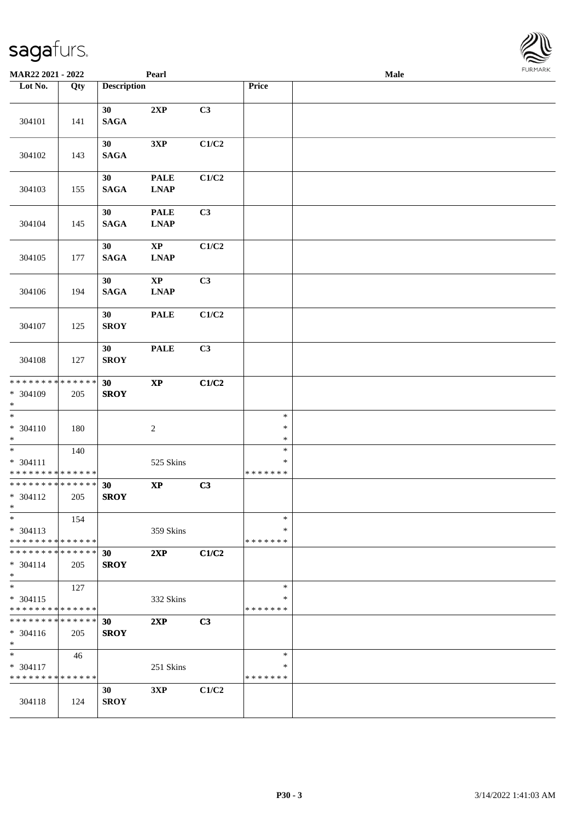| <b>MAR22 2021 - 2022</b>                                         |                    |                    | Pearl                                                                  |       |                                   | <b>Male</b> |  |
|------------------------------------------------------------------|--------------------|--------------------|------------------------------------------------------------------------|-------|-----------------------------------|-------------|--|
| Lot No.                                                          | Qty                | <b>Description</b> |                                                                        |       | Price                             |             |  |
|                                                                  |                    |                    |                                                                        |       |                                   |             |  |
| 304101                                                           | 141                | 30<br><b>SAGA</b>  | 2XP                                                                    | C3    |                                   |             |  |
| 304102                                                           | 143                | 30<br><b>SAGA</b>  | 3XP                                                                    | C1/C2 |                                   |             |  |
| 304103                                                           | 155                | 30<br><b>SAGA</b>  | <b>PALE</b><br><b>LNAP</b>                                             | C1/C2 |                                   |             |  |
| 304104                                                           | 145                | 30<br><b>SAGA</b>  | <b>PALE</b><br><b>LNAP</b>                                             | C3    |                                   |             |  |
| 304105                                                           | 177                | 30<br><b>SAGA</b>  | $\bold{XP}$<br><b>LNAP</b>                                             | C1/C2 |                                   |             |  |
| 304106                                                           | 194                | 30<br><b>SAGA</b>  | $\bold{XP}$<br>$\ensuremath{\mathbf{L}\mathbf{N}\mathbf{A}\mathbf{P}}$ | C3    |                                   |             |  |
| 304107                                                           | 125                | 30<br><b>SROY</b>  | <b>PALE</b>                                                            | C1/C2 |                                   |             |  |
| 304108                                                           | 127                | 30<br><b>SROY</b>  | <b>PALE</b>                                                            | C3    |                                   |             |  |
| * * * * * * * * * * * * * *<br>* 304109<br>$*$                   | 205                | 30<br><b>SROY</b>  | $\bold{XP}$                                                            | C1/C2 |                                   |             |  |
| $*$<br>$* 304110$<br>$*$                                         | 180                |                    | $\boldsymbol{2}$                                                       |       | $\ast$<br>$\ast$<br>$\ast$        |             |  |
| $\ast$<br>* 304111<br>* * * * * * * * <mark>* * * * * * *</mark> | 140                |                    | 525 Skins                                                              |       | $\ast$<br>$\ast$<br>* * * * * * * |             |  |
| * * * * * * * * * * * * * *<br>* 304112<br>$*$                   | 205                | 30<br><b>SROY</b>  | $\bold{XP}$                                                            | C3    |                                   |             |  |
| $\ast$<br>$* 304113$<br>* * * * * * * * * * * * * *              | 154                |                    | 359 Skins                                                              |       | ∗<br>∗<br>* * * * * * *           |             |  |
| ******** <mark>******</mark><br>$* 304114$<br>$\ast$             | 205                | 30<br><b>SROY</b>  | 2XP                                                                    | C1/C2 |                                   |             |  |
| $*$<br>* 304115<br>* * * * * * * * * * * * * *                   | 127                |                    | 332 Skins                                                              |       | $\ast$<br>*<br>* * * * * * *      |             |  |
| * * * * * * * *<br>* 304116<br>$*$                               | * * * * * *<br>205 | 30<br><b>SROY</b>  | 2XP                                                                    | C3    |                                   |             |  |
| $*$<br>* 304117<br>* * * * * * * * * * * * * *                   | 46                 |                    | 251 Skins                                                              |       | $\ast$<br>∗<br>* * * * * * *      |             |  |
| 304118                                                           | 124                | 30<br><b>SROY</b>  | 3XP                                                                    | C1/C2 |                                   |             |  |

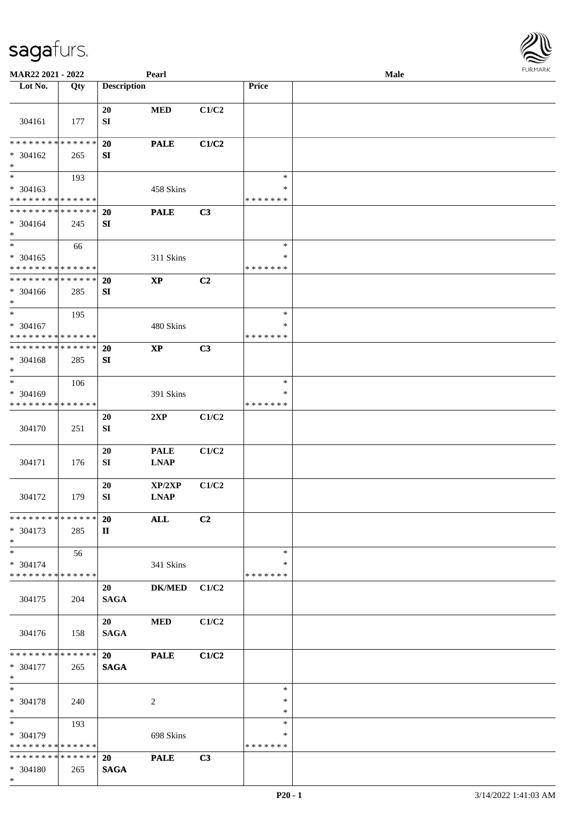| <b>MAR22 2021 - 2022</b>                   |     |                    | Pearl                  |       |                  | Male | . 0.14. 0.02. 0.002. |
|--------------------------------------------|-----|--------------------|------------------------|-------|------------------|------|----------------------|
| Lot No.                                    | Qty | <b>Description</b> |                        |       | Price            |      |                      |
|                                            |     | 20                 | <b>MED</b>             | C1/C2 |                  |      |                      |
| 304161                                     | 177 | ${\bf SI}$         |                        |       |                  |      |                      |
| * * * * * * * * * * * * * * *              |     | 20                 | <b>PALE</b>            | C1/C2 |                  |      |                      |
| * 304162<br>$*$                            | 265 | SI                 |                        |       |                  |      |                      |
| $\overline{\phantom{0}}$                   | 193 |                    |                        |       | $\ast$           |      |                      |
| * 304163                                   |     |                    | 458 Skins              |       | ∗                |      |                      |
| * * * * * * * * * * * * * *                |     |                    |                        |       | * * * * * * *    |      |                      |
| * * * * * * * * <mark>* * * * * * *</mark> |     | 20                 | <b>PALE</b>            | C3    |                  |      |                      |
| * 304164<br>$*$                            | 245 | SI                 |                        |       |                  |      |                      |
| $\overline{\ast}$                          | 66  |                    |                        |       | $\ast$           |      |                      |
| * 304165                                   |     |                    | 311 Skins              |       | ∗                |      |                      |
| * * * * * * * * * * * * * *                |     |                    |                        |       | * * * * * * *    |      |                      |
| * * * * * * * * * * * * * * *              |     | <b>20</b>          | $\mathbf{X}\mathbf{P}$ | C2    |                  |      |                      |
| * 304166<br>$*$                            | 285 | SI                 |                        |       |                  |      |                      |
| $*$                                        | 195 |                    |                        |       | $\ast$           |      |                      |
| $* 304167$                                 |     |                    | 480 Skins              |       | ∗                |      |                      |
| * * * * * * * * * * * * * *                |     |                    |                        |       | * * * * * * *    |      |                      |
| * * * * * * * * * * * * * * *              |     | 20                 | $\bold{XP}$            | C3    |                  |      |                      |
| * 304168<br>$\ast$                         | 285 | SI                 |                        |       |                  |      |                      |
| $*$                                        | 106 |                    |                        |       | $\ast$           |      |                      |
| * 304169                                   |     |                    | 391 Skins              |       | ∗                |      |                      |
| * * * * * * * * * * * * * *                |     |                    |                        |       | * * * * * * *    |      |                      |
|                                            |     | 20                 | 2XP                    | C1/C2 |                  |      |                      |
| 304170                                     | 251 | ${\bf SI}$         |                        |       |                  |      |                      |
|                                            |     | 20                 | <b>PALE</b>            | C1/C2 |                  |      |                      |
| 304171                                     | 176 | ${\bf SI}$         | <b>LNAP</b>            |       |                  |      |                      |
|                                            |     |                    |                        |       |                  |      |                      |
|                                            |     | 20                 | XP/2XP                 | C1/C2 |                  |      |                      |
| 304172                                     | 179 | SI                 | <b>LNAP</b>            |       |                  |      |                      |
| * * * * * * * * <mark>* * * * * * *</mark> |     | 20                 | ALL                    | C2    |                  |      |                      |
| * 304173<br>$*$                            | 285 | $\mathbf{I}$       |                        |       |                  |      |                      |
| $*$                                        | 56  |                    |                        |       | $\ast$           |      |                      |
| * 304174                                   |     |                    | 341 Skins              |       | ∗                |      |                      |
| * * * * * * * * * * * * * * *              |     |                    |                        |       | * * * * * * *    |      |                      |
|                                            |     | 20                 | ${\bf DK/MED}$         | C1/C2 |                  |      |                      |
| 304175                                     | 204 | <b>SAGA</b>        |                        |       |                  |      |                      |
|                                            |     | 20                 | <b>MED</b>             | C1/C2 |                  |      |                      |
| 304176                                     | 158 | <b>SAGA</b>        |                        |       |                  |      |                      |
|                                            |     |                    |                        |       |                  |      |                      |
| * * * * * * * * * * * * * * *              |     | 20                 | <b>PALE</b>            | C1/C2 |                  |      |                      |
| * 304177                                   | 265 | <b>SAGA</b>        |                        |       |                  |      |                      |
| $*$                                        |     |                    |                        |       |                  |      |                      |
| $*$                                        |     |                    |                        |       | $\ast$<br>$\ast$ |      |                      |
| $* 304178$<br>$*$                          | 240 |                    | 2                      |       | $\ast$           |      |                      |
| $*$                                        | 193 |                    |                        |       | $\ast$           |      |                      |
| * 304179                                   |     |                    | 698 Skins              |       | $\ast$           |      |                      |
| * * * * * * * * <mark>* * * * * *</mark>   |     |                    |                        |       | * * * * * * *    |      |                      |
| * * * * * * * * * * * * * * *              |     | 20                 | <b>PALE</b>            | C3    |                  |      |                      |
| $* 304180$                                 | 265 | <b>SAGA</b>        |                        |       |                  |      |                      |
| $*$                                        |     |                    |                        |       |                  |      |                      |

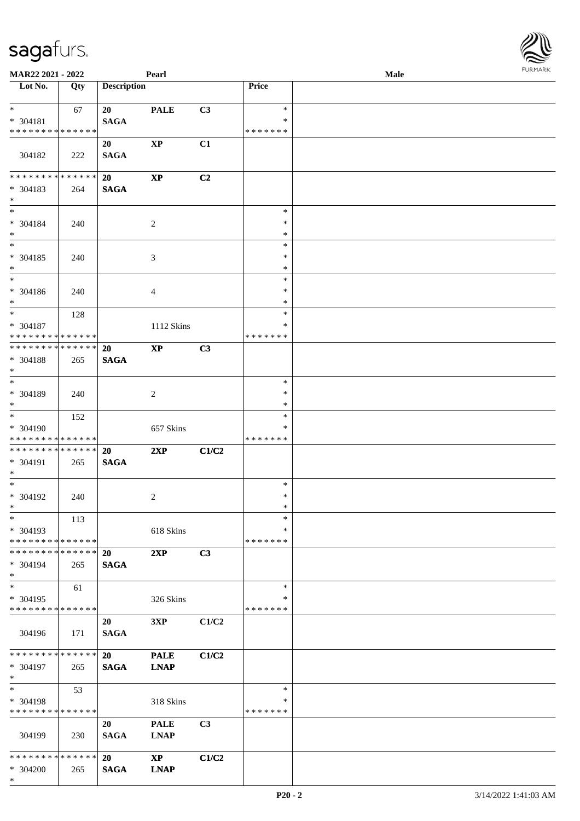| <b>MAR22 2021 - 2022</b>                                          |     |                          | Pearl                                 |       |                              | Male |  |
|-------------------------------------------------------------------|-----|--------------------------|---------------------------------------|-------|------------------------------|------|--|
| Lot No.                                                           | Qty | <b>Description</b>       |                                       |       | Price                        |      |  |
| $*$ $*$                                                           | 67  | 20                       | <b>PALE</b>                           | C3    | $\ast$                       |      |  |
| * 304181<br>* * * * * * * * <mark>* * * * * *</mark> *            |     | <b>SAGA</b>              |                                       |       | $\ast$<br>* * * * * * *      |      |  |
| 304182                                                            | 222 | 20<br><b>SAGA</b>        | $\mathbf{X}\mathbf{P}$                | C1    |                              |      |  |
| * * * * * * * * <mark>* * * * * *</mark> *                        |     | 20                       | $\mathbf{X}\mathbf{P}$                | C2    |                              |      |  |
| * 304183<br>$*$                                                   | 264 | <b>SAGA</b>              |                                       |       |                              |      |  |
| $*$<br>* 304184<br>$*$                                            | 240 |                          | $\overline{c}$                        |       | $\ast$<br>$\ast$<br>$\ast$   |      |  |
| $*$                                                               |     |                          |                                       |       | $\ast$                       |      |  |
| * 304185<br>$*$                                                   | 240 |                          | 3                                     |       | $\ast$<br>$\ast$             |      |  |
| $*$                                                               |     |                          |                                       |       | $\ast$                       |      |  |
| * 304186<br>$*$                                                   | 240 |                          | 4                                     |       | $\ast$<br>$\ast$             |      |  |
| $\overline{\ast}$<br>* 304187                                     | 128 |                          | 1112 Skins                            |       | $\ast$<br>∗                  |      |  |
| * * * * * * * * <mark>* * * * * * *</mark>                        |     |                          |                                       |       | * * * * * * *                |      |  |
| * * * * * * * * <mark>* * * * * * *</mark><br>* 304188<br>$*$     | 265 | 20<br><b>SAGA</b>        | $\mathbf{X}\mathbf{P}$                | C3    |                              |      |  |
| $\overline{\phantom{0}}$                                          |     |                          |                                       |       | $\ast$                       |      |  |
| * 304189<br>$*$                                                   | 240 |                          | $\overline{c}$                        |       | $\ast$<br>$\ast$             |      |  |
|                                                                   | 152 |                          |                                       |       | $\ast$                       |      |  |
| * 304190<br>* * * * * * * * * * * * * * *                         |     |                          | 657 Skins                             |       | *<br>* * * * * * *           |      |  |
| * * * * * * * * <mark>* * * * * * *</mark>                        |     | <b>20</b>                | 2XP                                   | C1/C2 |                              |      |  |
| * 304191<br>$\ast$                                                | 265 | <b>SAGA</b>              |                                       |       |                              |      |  |
| $*$                                                               |     |                          |                                       |       | $\ast$                       |      |  |
| * 304192<br>$*$ $-$                                               | 240 |                          | 2                                     |       | $\ast$<br>$\ast$             |      |  |
| $\ast$                                                            | 113 |                          |                                       |       | $\ast$                       |      |  |
| * 304193<br>* * * * * * * * <mark>* * * * * *</mark>              |     |                          | 618 Skins                             |       | $\ast$<br>* * * * * * *      |      |  |
| * * * * * * * * * * * * * * *<br>$* 304194$<br>$\ast$             | 265 | <b>20</b><br><b>SAGA</b> | 2XP                                   | C3    |                              |      |  |
| $*$                                                               | 61  |                          |                                       |       | $\ast$                       |      |  |
| * 304195<br>* * * * * * * * * * * * * *                           |     |                          | 326 Skins                             |       | ∗<br>* * * * * * *           |      |  |
| 304196                                                            | 171 | 20<br><b>SAGA</b>        | 3XP                                   | C1/C2 |                              |      |  |
| * * * * * * * * <mark>* * * * * *</mark> *<br>* 304197<br>$*$ $-$ | 265 | 20<br><b>SAGA</b>        | <b>PALE</b><br><b>LNAP</b>            | C1/C2 |                              |      |  |
| $*$ $-$<br>* 304198<br>* * * * * * * * * * * * * *                | 53  |                          | 318 Skins                             |       | $\ast$<br>∗<br>* * * * * * * |      |  |
| 304199                                                            | 230 | 20<br><b>SAGA</b>        | <b>PALE</b><br><b>LNAP</b>            | C3    |                              |      |  |
| * * * * * * * * <mark>* * * * * *</mark> *<br>* 304200<br>$\ast$  | 265 | 20<br><b>SAGA</b>        | $\mathbf{X}\mathbf{P}$<br><b>LNAP</b> | C1/C2 |                              |      |  |

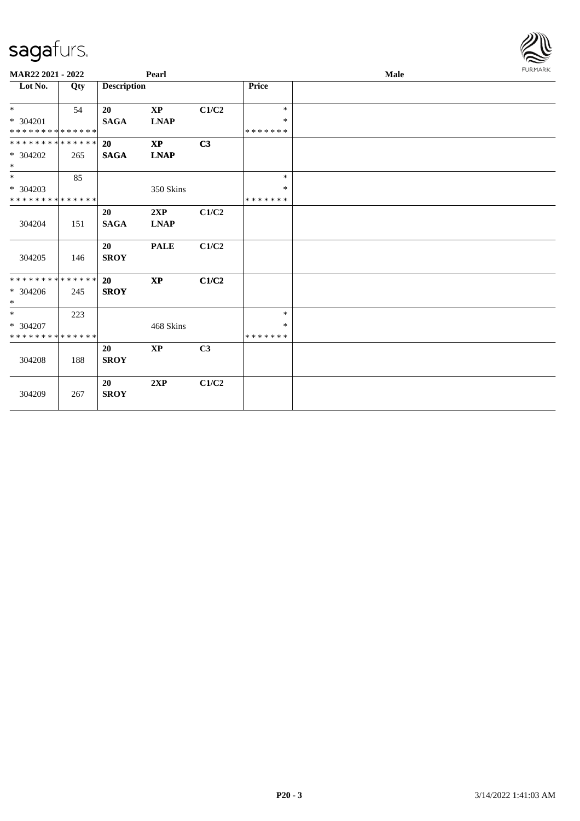| MAR22 2021 - 2022                       |     | Pearl                    |                                            |       |                   | Male |  |  |  |  |
|-----------------------------------------|-----|--------------------------|--------------------------------------------|-------|-------------------|------|--|--|--|--|
| Lot No.                                 | Qty | <b>Description</b>       |                                            |       | <b>Price</b>      |      |  |  |  |  |
| $*$                                     | 54  | 20                       | $\mathbf{X}\mathbf{P}$                     | C1/C2 | $\ast$            |      |  |  |  |  |
| * 304201<br>* * * * * * * * * * * * * * |     | <b>SAGA</b>              | $\mathbf{L}\mathbf{N}\mathbf{A}\mathbf{P}$ |       | $\ast$<br>******* |      |  |  |  |  |
| * * * * * * * * * * * * * *             |     | 20                       | $\bold{XP}$                                | C3    |                   |      |  |  |  |  |
| $* 304202$<br>$\ast$                    | 265 | <b>SAGA</b>              | <b>LNAP</b>                                |       |                   |      |  |  |  |  |
| $*$                                     | 85  |                          |                                            |       | $\ast$            |      |  |  |  |  |
| * 304203                                |     |                          | 350 Skins                                  |       | ∗                 |      |  |  |  |  |
| * * * * * * * * * * * * * *             |     |                          |                                            |       | *******           |      |  |  |  |  |
|                                         |     | 20                       | 2XP                                        | C1/C2 |                   |      |  |  |  |  |
| 304204                                  | 151 | <b>SAGA</b>              | <b>LNAP</b>                                |       |                   |      |  |  |  |  |
| 304205                                  | 146 | <b>20</b><br><b>SROY</b> | <b>PALE</b>                                | C1/C2 |                   |      |  |  |  |  |
| * * * * * * * * * * * * * *             |     | 20                       | $\mathbf{XP}$                              | C1/C2 |                   |      |  |  |  |  |
| $* 304206$<br>$\ast$                    | 245 | <b>SROY</b>              |                                            |       |                   |      |  |  |  |  |
| $*$                                     | 223 |                          |                                            |       | $\ast$            |      |  |  |  |  |
| * 304207                                |     |                          | 468 Skins                                  |       | ∗                 |      |  |  |  |  |
| * * * * * * * * * * * * * *             |     |                          |                                            |       | * * * * * * *     |      |  |  |  |  |
| 304208                                  | 188 | 20<br><b>SROY</b>        | <b>XP</b>                                  | C3    |                   |      |  |  |  |  |
| 304209                                  | 267 | 20<br><b>SROY</b>        | 2XP                                        | C1/C2 |                   |      |  |  |  |  |

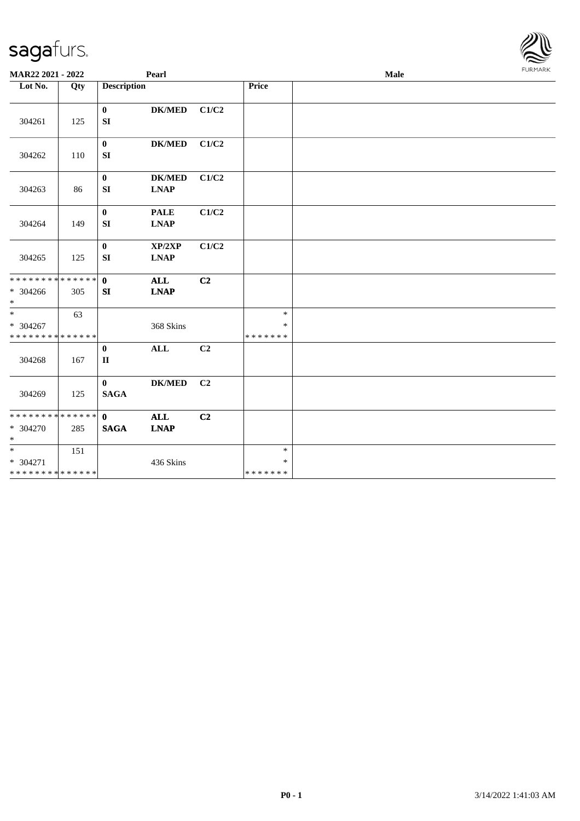| MAR22 2021 - 2022                                             |     |                             | Pearl                                                |                |                                   | Male |  |  |  |  |
|---------------------------------------------------------------|-----|-----------------------------|------------------------------------------------------|----------------|-----------------------------------|------|--|--|--|--|
| Lot No.                                                       | Qty | <b>Description</b>          |                                                      |                | Price                             |      |  |  |  |  |
| 304261                                                        | 125 | $\bf{0}$<br>SI              | <b>DK/MED</b>                                        | C1/C2          |                                   |      |  |  |  |  |
| 304262                                                        | 110 | $\bf{0}$<br>${\bf SI}$      | <b>DK/MED</b>                                        | C1/C2          |                                   |      |  |  |  |  |
| 304263                                                        | 86  | $\bf{0}$<br>SI              | <b>DK/MED</b><br><b>LNAP</b>                         | C1/C2          |                                   |      |  |  |  |  |
| 304264                                                        | 149 | $\bf{0}$<br>SI              | <b>PALE</b><br><b>LNAP</b>                           | C1/C2          |                                   |      |  |  |  |  |
| 304265                                                        | 125 | $\mathbf{0}$<br>${\bf SI}$  | XP/2XP<br>$\mathbf{L}\mathbf{N}\mathbf{A}\mathbf{P}$ | C1/C2          |                                   |      |  |  |  |  |
| * * * * * * * * * * * * * * <mark>*</mark><br>* 304266<br>$*$ | 305 | $\mathbf{0}$<br>SI          | <b>ALL</b><br><b>LNAP</b>                            | C <sub>2</sub> |                                   |      |  |  |  |  |
| $*$<br>* 304267<br>* * * * * * * * * * * * * *                | 63  |                             | 368 Skins                                            |                | $\ast$<br>$\ast$<br>* * * * * * * |      |  |  |  |  |
| 304268                                                        | 167 | $\bf{0}$<br>$\mathbf{I}$    | <b>ALL</b>                                           | C2             |                                   |      |  |  |  |  |
| 304269                                                        | 125 | $\bf{0}$<br><b>SAGA</b>     | <b>DK/MED</b>                                        | C2             |                                   |      |  |  |  |  |
| * * * * * * * * * * * * * * *<br>* 304270<br>$\ast$           | 285 | $\mathbf{0}$<br><b>SAGA</b> | <b>ALL</b><br><b>LNAP</b>                            | C2             |                                   |      |  |  |  |  |
| $*$<br>* 304271<br>* * * * * * * * * * * * * *                | 151 |                             | 436 Skins                                            |                | $\ast$<br>$\ast$<br>* * * * * * * |      |  |  |  |  |

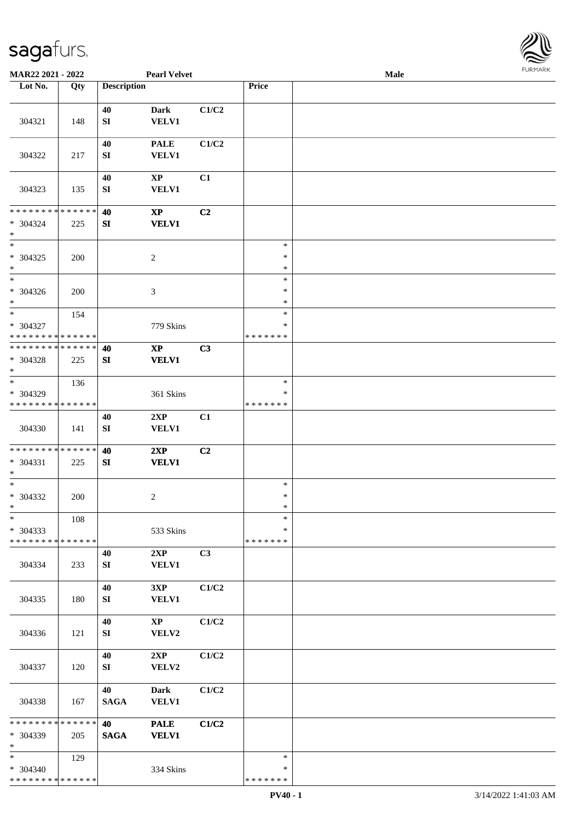

| MAR22 2021 - 2022                                    |     |                        | <b>Pearl Velvet</b>                    |       |                              | Male |  |
|------------------------------------------------------|-----|------------------------|----------------------------------------|-------|------------------------------|------|--|
| Lot No.                                              | Qty | <b>Description</b>     |                                        |       | Price                        |      |  |
| 304321                                               | 148 | 40<br>${\bf SI}$       | <b>Dark</b><br><b>VELV1</b>            | C1/C2 |                              |      |  |
| 304322                                               | 217 | 40<br>SI               | <b>PALE</b><br><b>VELV1</b>            | C1/C2 |                              |      |  |
| 304323                                               | 135 | 40<br>${\bf S}{\bf I}$ | $\mathbf{X}\mathbf{P}$<br><b>VELV1</b> | C1    |                              |      |  |
| * * * * * * * * * * * * * *<br>$* 304324$<br>$\ast$  | 225 | 40<br>SI               | $\bold{XP}$<br><b>VELV1</b>            | C2    |                              |      |  |
| $\overline{\phantom{a}^*}$<br>$* 304325$<br>$\ast$   | 200 |                        | $\sqrt{2}$                             |       | $\ast$<br>$\ast$<br>$\ast$   |      |  |
| $\overline{\phantom{1}}$<br>$* 304326$<br>$\ast$     | 200 |                        | 3                                      |       | $\ast$<br>$\ast$<br>$\ast$   |      |  |
| $\ast$<br>$* 304327$<br>* * * * * * * * * * * * * *  | 154 |                        | 779 Skins                              |       | $\ast$<br>*<br>* * * * * * * |      |  |
| * * * * * * * * * * * * * *<br>* 304328<br>$\ast$    | 225 | 40<br>SI               | $\mathbf{X}\mathbf{P}$<br><b>VELV1</b> | C3    |                              |      |  |
| $_{\ast}$<br>* 304329<br>* * * * * * * * * * * * * * | 136 |                        | 361 Skins                              |       | $\ast$<br>∗<br>* * * * * * * |      |  |
| 304330                                               | 141 | 40<br>${\bf SI}$       | 2XP<br>VELV1                           | C1    |                              |      |  |
| **************<br>$* 304331$<br>$\ast$               | 225 | 40<br>SI               | 2XP<br><b>VELV1</b>                    | C2    |                              |      |  |
| $\ast$<br>* 304332<br>$*$                            | 200 |                        | $\overline{c}$                         |       | $\ast$<br>$\ast$<br>$\ast$   |      |  |
| $\ast$<br>* 304333<br>* * * * * * * * * * * * * *    | 108 |                        | 533 Skins                              |       | $\ast$<br>*<br>* * * * * * * |      |  |
| 304334                                               | 233 | 40<br>SI               | 2XP<br><b>VELV1</b>                    | C3    |                              |      |  |
| 304335                                               | 180 | 40<br>SI               | 3XP<br><b>VELV1</b>                    | C1/C2 |                              |      |  |
| 304336                                               | 121 | 40<br>SI               | $\mathbf{X}\mathbf{P}$<br>VELV2        | C1/C2 |                              |      |  |
| 304337                                               | 120 | 40<br>SI               | 2XP<br>VELV2                           | C1/C2 |                              |      |  |
| 304338                                               | 167 | 40<br><b>SAGA</b>      | <b>Dark</b><br><b>VELV1</b>            | C1/C2 |                              |      |  |
| ******** <mark>******</mark><br>* 304339<br>$\ast$   | 205 | 40<br><b>SAGA</b>      | <b>PALE</b><br><b>VELV1</b>            | C1/C2 |                              |      |  |
| $*$<br>* 304340<br>* * * * * * * * * * * * * *       | 129 |                        | 334 Skins                              |       | $\ast$<br>∗<br>* * * * * * * |      |  |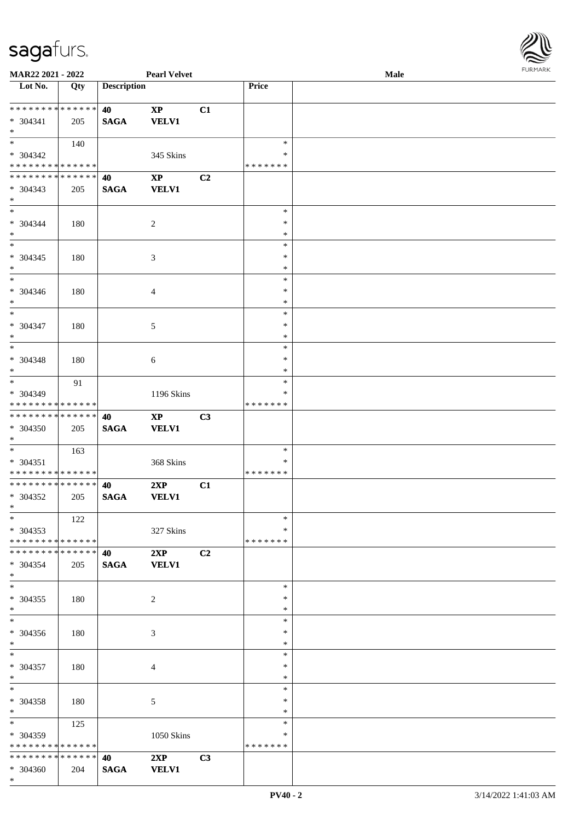

| MAR22 2021 - 2022             |                   |                    | <b>Pearl Velvet</b> |                |               | <b>Male</b> |
|-------------------------------|-------------------|--------------------|---------------------|----------------|---------------|-------------|
| Lot No.                       | $\overline{Q}$ ty | <b>Description</b> |                     |                | Price         |             |
|                               |                   |                    |                     |                |               |             |
| **************                |                   | 40                 | $\bold{XP}$         | C1             |               |             |
| $* 304341$                    | 205               | <b>SAGA</b>        | <b>VELV1</b>        |                |               |             |
| $*$                           |                   |                    |                     |                |               |             |
| $*$                           | 140               |                    |                     |                | $\ast$        |             |
|                               |                   |                    |                     |                |               |             |
| * 304342                      |                   |                    | 345 Skins           |                | ∗             |             |
| * * * * * * * * * * * * * *   |                   |                    |                     |                | * * * * * * * |             |
| **************                |                   | 40                 | $\bold{XP}$         | C <sub>2</sub> |               |             |
| $* 304343$                    | 205               | <b>SAGA</b>        | <b>VELV1</b>        |                |               |             |
| $*$                           |                   |                    |                     |                |               |             |
| $*$                           |                   |                    |                     |                | $\ast$        |             |
| $* 304344$                    | 180               |                    | 2                   |                | $\ast$        |             |
| $\ast$                        |                   |                    |                     |                | $\ast$        |             |
| $\overline{\phantom{0}}$      |                   |                    |                     |                | $\ast$        |             |
|                               |                   |                    |                     |                |               |             |
| $* 304345$                    | 180               |                    | $\mathfrak{Z}$      |                | $\ast$        |             |
| $\ast$                        |                   |                    |                     |                | $\ast$        |             |
| $\overline{\phantom{a}^*}$    |                   |                    |                     |                | $\ast$        |             |
| $* 304346$                    | 180               |                    | 4                   |                | $\ast$        |             |
| $\ast$                        |                   |                    |                     |                | $\ast$        |             |
| $_{\ast}$                     |                   |                    |                     |                | $\ast$        |             |
| $* 304347$                    | 180               |                    | $\sqrt{5}$          |                | $\ast$        |             |
| $\ast$                        |                   |                    |                     |                | $\ast$        |             |
| $\ast$                        |                   |                    |                     |                |               |             |
|                               |                   |                    |                     |                | $\ast$        |             |
| $* 304348$                    | 180               |                    | 6                   |                | $\ast$        |             |
| $\ast$                        |                   |                    |                     |                | $\ast$        |             |
| $\overline{\phantom{1}}$      | 91                |                    |                     |                | $\ast$        |             |
| * 304349                      |                   |                    | 1196 Skins          |                | $\ast$        |             |
| * * * * * * * * * * * * * *   |                   |                    |                     |                | * * * * * * * |             |
| **************                |                   | 40                 | $\bold{XP}$         | C3             |               |             |
| $* 304350$                    |                   |                    | <b>VELV1</b>        |                |               |             |
|                               | 205               | $\mathbf{SAGA}$    |                     |                |               |             |
| $*$                           |                   |                    |                     |                |               |             |
| $*$                           | 163               |                    |                     |                | $\ast$        |             |
| $* 304351$                    |                   |                    | 368 Skins           |                | $\ast$        |             |
| * * * * * * * * * * * * * *   |                   |                    |                     |                | * * * * * * * |             |
| **************                |                   | 40                 | 2XP                 | C1             |               |             |
| * 304352                      | 205               | <b>SAGA</b>        | <b>VELV1</b>        |                |               |             |
| $*$                           |                   |                    |                     |                |               |             |
| $*$                           | 122               |                    |                     |                | $\ast$        |             |
| $* 304353$                    |                   |                    | 327 Skins           |                | ∗             |             |
|                               |                   |                    |                     |                | * * * * * * * |             |
| * * * * * * * * * * * * * * * |                   |                    |                     |                |               |             |
| * * * * * * * * * * * * * * * |                   | 40                 | 2XP                 | C2             |               |             |
| * 304354                      | 205               | <b>SAGA</b>        | <b>VELV1</b>        |                |               |             |
| $*$                           |                   |                    |                     |                |               |             |
| $\overline{\phantom{a}^*}$    |                   |                    |                     |                | $\ast$        |             |
| $* 304355$                    | 180               |                    | $\overline{2}$      |                | $\ast$        |             |
| $*$                           |                   |                    |                     |                | $\ast$        |             |
| $\overline{\ast}$             |                   |                    |                     |                | $\ast$        |             |
| $* 304356$                    | 180               |                    | 3                   |                | $\ast$        |             |
| $*$                           |                   |                    |                     |                | $\ast$        |             |
|                               |                   |                    |                     |                |               |             |
| $*$                           |                   |                    |                     |                | $\ast$        |             |
| * 304357                      | 180               |                    | $\overline{4}$      |                | $\ast$        |             |
| $*$                           |                   |                    |                     |                | $\ast$        |             |
| $\ast$                        |                   |                    |                     |                | $\ast$        |             |
| * 304358                      | 180               |                    | 5                   |                | $\ast$        |             |
| $*$ $*$                       |                   |                    |                     |                | $\ast$        |             |
|                               | 125               |                    |                     |                | $\ast$        |             |
| * 304359                      |                   |                    |                     |                | ∗             |             |
|                               |                   |                    | 1050 Skins          |                |               |             |
| * * * * * * * * * * * * * *   |                   |                    |                     |                | * * * * * * * |             |
| * * * * * * * * * * * * * * * |                   | 40                 | 2XP                 | C3             |               |             |
| * 304360                      | 204               | <b>SAGA</b>        | <b>VELV1</b>        |                |               |             |
| $*$                           |                   |                    |                     |                |               |             |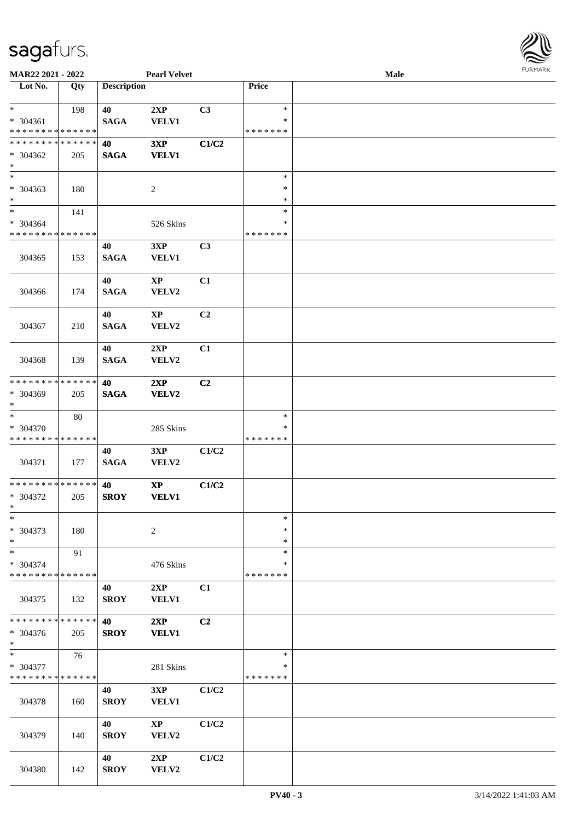

| MAR22 2021 - 2022                       |     |                    | <b>Pearl Velvet</b>    |                |                         | <b>Male</b> |  |
|-----------------------------------------|-----|--------------------|------------------------|----------------|-------------------------|-------------|--|
| Lot No.                                 | Qty | <b>Description</b> |                        |                | Price                   |             |  |
| $*$                                     |     |                    |                        |                | $\ast$                  |             |  |
| * 304361                                | 198 | 40<br><b>SAGA</b>  | 2XP<br><b>VELV1</b>    | C3             | ∗                       |             |  |
| * * * * * * * * * * * * * *             |     |                    |                        |                | * * * * * * *           |             |  |
| * * * * * * * * * * * * * *             |     | 40                 | 3XP                    | C1/C2          |                         |             |  |
| * 304362                                | 205 | <b>SAGA</b>        | <b>VELV1</b>           |                |                         |             |  |
| $*$                                     |     |                    |                        |                |                         |             |  |
| $\overline{\phantom{0}}$                |     |                    |                        |                | $\ast$                  |             |  |
| * 304363                                | 180 |                    | 2                      |                | $\ast$                  |             |  |
| $*$                                     |     |                    |                        |                | *                       |             |  |
| $*$                                     | 141 |                    |                        |                | $\ast$                  |             |  |
| * 304364<br>* * * * * * * * * * * * * * |     |                    | 526 Skins              |                | $\ast$<br>* * * * * * * |             |  |
|                                         |     | 40                 | 3XP                    | C3             |                         |             |  |
| 304365                                  | 153 | <b>SAGA</b>        | <b>VELV1</b>           |                |                         |             |  |
|                                         |     |                    |                        |                |                         |             |  |
|                                         |     | 40                 | $\mathbf{X}\mathbf{P}$ | C1             |                         |             |  |
| 304366                                  | 174 | <b>SAGA</b>        | VELV2                  |                |                         |             |  |
|                                         |     |                    |                        |                |                         |             |  |
|                                         |     | 40                 | $\mathbf{XP}$          | C2             |                         |             |  |
| 304367                                  | 210 | <b>SAGA</b>        | VELV2                  |                |                         |             |  |
|                                         |     |                    |                        |                |                         |             |  |
|                                         |     | 40                 | 2XP                    | C1             |                         |             |  |
| 304368                                  | 139 | <b>SAGA</b>        | VELV2                  |                |                         |             |  |
| * * * * * * * * * * * * * *             |     | 40                 | 2XP                    | C <sub>2</sub> |                         |             |  |
| * 304369                                | 205 | <b>SAGA</b>        | VELV2                  |                |                         |             |  |
| $*$                                     |     |                    |                        |                |                         |             |  |
| $\ast$                                  | 80  |                    |                        |                | $\ast$                  |             |  |
| * 304370                                |     |                    | 285 Skins              |                | *                       |             |  |
| * * * * * * * * * * * * * *             |     |                    |                        |                | * * * * * * *           |             |  |
|                                         |     | 40                 | 3XP                    | C1/C2          |                         |             |  |
| 304371                                  | 177 | <b>SAGA</b>        | VELV2                  |                |                         |             |  |
| * * * * * * * * * * * * * * *           |     | 40                 | $\bold{XP}$            | C1/C2          |                         |             |  |
| * 304372                                | 205 | <b>SROY</b>        | <b>VELV1</b>           |                |                         |             |  |
| $*$                                     |     |                    |                        |                |                         |             |  |
| $\ast$                                  |     |                    |                        |                | $\ast$                  |             |  |
| * 304373                                | 180 |                    | 2                      |                | ∗                       |             |  |
| $*$                                     |     |                    |                        |                | ∗                       |             |  |
| $*$                                     | 91  |                    |                        |                | $\ast$<br>*             |             |  |
| * 304374<br>* * * * * * * * * * * * * * |     |                    | 476 Skins              |                | * * * * * * *           |             |  |
|                                         |     | 40                 | 2XP                    | C1             |                         |             |  |
| 304375                                  | 132 | <b>SROY</b>        | <b>VELV1</b>           |                |                         |             |  |
|                                         |     |                    |                        |                |                         |             |  |
| * * * * * * * * * * * * * * *           |     | 40                 | 2XP                    | C2             |                         |             |  |
| * 304376                                | 205 | <b>SROY</b>        | <b>VELV1</b>           |                |                         |             |  |
| $*$                                     |     |                    |                        |                |                         |             |  |
| $*$<br>* 304377                         | 76  |                    |                        |                | $\ast$<br>*             |             |  |
| * * * * * * * * * * * * * *             |     |                    | 281 Skins              |                | * * * * * * *           |             |  |
|                                         |     | 40                 | 3XP                    | C1/C2          |                         |             |  |
| 304378                                  | 160 | <b>SROY</b>        | <b>VELV1</b>           |                |                         |             |  |
|                                         |     |                    |                        |                |                         |             |  |
|                                         |     | 40                 | $\mathbf{X}\mathbf{P}$ | C1/C2          |                         |             |  |
| 304379                                  | 140 | <b>SROY</b>        | VELV2                  |                |                         |             |  |
|                                         |     |                    |                        |                |                         |             |  |
|                                         |     | 40                 | 2XP                    | C1/C2          |                         |             |  |
| 304380                                  | 142 | <b>SROY</b>        | VELV2                  |                |                         |             |  |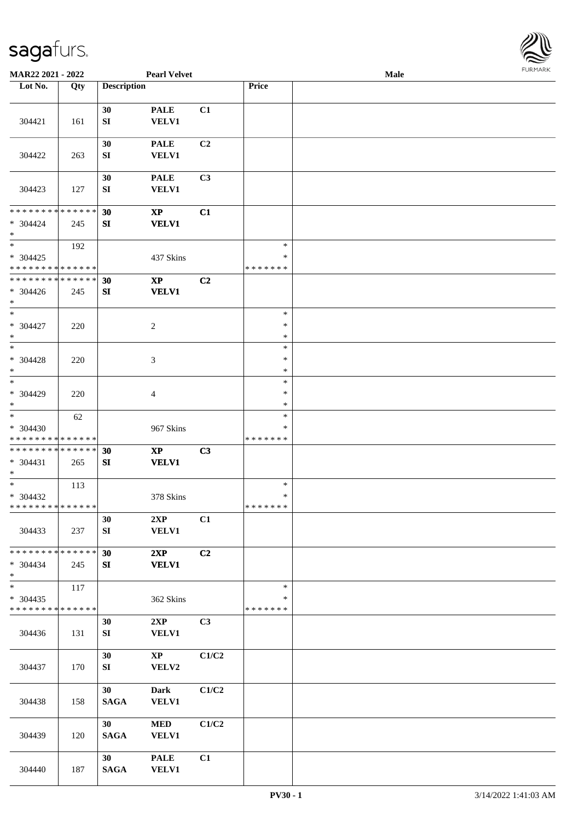

| <b>MAR22 2021 - 2022</b>                                        |     |                        | <b>Pearl Velvet</b>                        |                |                                   | Male |  |
|-----------------------------------------------------------------|-----|------------------------|--------------------------------------------|----------------|-----------------------------------|------|--|
| Lot No.                                                         | Qty | <b>Description</b>     |                                            |                | Price                             |      |  |
|                                                                 |     |                        |                                            |                |                                   |      |  |
| 304421                                                          | 161 | 30<br>${\bf S}{\bf I}$ | <b>PALE</b><br><b>VELV1</b>                | C1             |                                   |      |  |
| 304422                                                          | 263 | 30<br>SI               | <b>PALE</b><br><b>VELV1</b>                | C2             |                                   |      |  |
| 304423                                                          | 127 | 30<br>SI               | <b>PALE</b><br>VELV1                       | C <sub>3</sub> |                                   |      |  |
| * * * * * * * * * * * * * *<br>* 304424<br>$*$                  | 245 | 30<br>SI               | $\boldsymbol{\mathrm{XP}}$<br><b>VELV1</b> | C1             |                                   |      |  |
| $*$<br>* 304425<br>* * * * * * * * * * * * * *                  | 192 |                        | 437 Skins                                  |                | $\ast$<br>$\ast$<br>* * * * * * * |      |  |
| * * * * * * * * * * * * * *<br>* 304426<br>$*$                  | 245 | 30<br>SI               | $\mathbf{XP}$<br><b>VELV1</b>              | C2             |                                   |      |  |
| $*$<br>* 304427<br>$*$                                          | 220 |                        | 2                                          |                | $\ast$<br>$\ast$<br>$\ast$        |      |  |
| $*$<br>$* 304428$<br>$*$                                        | 220 |                        | 3                                          |                | $\ast$<br>$\ast$<br>$\ast$        |      |  |
| $\overline{\phantom{0}}$<br>* 304429<br>$*$                     | 220 |                        | 4                                          |                | $\ast$<br>$\ast$<br>$\ast$        |      |  |
| $\overline{\ast}$<br>* 304430<br>* * * * * * * * * * * * * *    | 62  |                        | 967 Skins                                  |                | $\ast$<br>∗<br>* * * * * * *      |      |  |
| * * * * * * * * * * * * * *<br>* 304431<br>$\ast$               | 265 | 30<br>SI               | $\mathbf{XP}$<br><b>VELV1</b>              | C3             |                                   |      |  |
| $*$<br>$* 304432$<br>* * * * * * * * <mark>* * * * * * *</mark> | 113 |                        | 378 Skins                                  |                | $\ast$<br>$\ast$<br>* * * * * * * |      |  |
| 304433                                                          | 237 | 30<br>SI               | 2XP<br><b>VELV1</b>                        | C1             |                                   |      |  |
| * * * * * * * * * * * * * *<br>* 304434<br>$\ast$               | 245 | 30<br>SI               | 2XP<br><b>VELV1</b>                        | C2             |                                   |      |  |
| $_{*}$<br>* 304435<br>* * * * * * * * * * * * * *               | 117 |                        | 362 Skins                                  |                | $\ast$<br>$\ast$<br>* * * * * * * |      |  |
| 304436                                                          | 131 | 30<br>${\bf SI}$       | 2XP<br><b>VELV1</b>                        | C3             |                                   |      |  |
| 304437                                                          | 170 | 30<br>${\bf S}{\bf I}$ | $\mathbf{X}\mathbf{P}$<br>VELV2            | C1/C2          |                                   |      |  |
| 304438                                                          | 158 | 30<br><b>SAGA</b>      | <b>Dark</b><br><b>VELV1</b>                | C1/C2          |                                   |      |  |
| 304439                                                          | 120 | 30<br><b>SAGA</b>      | <b>MED</b><br><b>VELV1</b>                 | C1/C2          |                                   |      |  |
| 304440                                                          | 187 | 30<br><b>SAGA</b>      | <b>PALE</b><br><b>VELV1</b>                | C1             |                                   |      |  |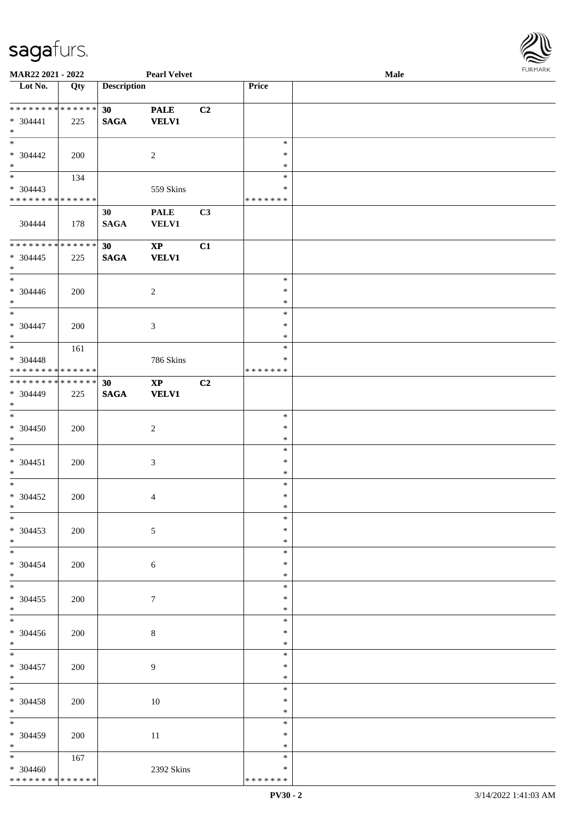

| MAR22 2021 - 2022                         |     |                    | <b>Pearl Velvet</b>    |    |                         | Male |
|-------------------------------------------|-----|--------------------|------------------------|----|-------------------------|------|
| Lot No.                                   | Qty | <b>Description</b> |                        |    | Price                   |      |
|                                           |     |                    |                        |    |                         |      |
| **************                            |     | 30 <sup>°</sup>    | <b>PALE</b>            | C2 |                         |      |
| $* 304441$                                | 225 | $\mathbf{SAGA}$    | <b>VELV1</b>           |    |                         |      |
| $\ast$                                    |     |                    |                        |    |                         |      |
| $\ast$                                    |     |                    |                        |    | $\ast$                  |      |
| $* 304442$                                | 200 |                    | $\overline{2}$         |    | $\ast$                  |      |
| $\ast$<br>$\overline{\phantom{0}}$        |     |                    |                        |    | $\ast$                  |      |
|                                           | 134 |                    |                        |    | $\ast$                  |      |
| $* 304443$<br>* * * * * * * * * * * * * * |     |                    | 559 Skins              |    | $\ast$<br>* * * * * * * |      |
|                                           |     |                    |                        |    |                         |      |
| 304444                                    | 178 | 30                 | <b>PALE</b>            | C3 |                         |      |
|                                           |     | <b>SAGA</b>        | <b>VELV1</b>           |    |                         |      |
| ******** <mark>******</mark>              |     | 30                 | $\mathbf{X}\mathbf{P}$ | C1 |                         |      |
| $* 304445$                                | 225 | <b>SAGA</b>        | <b>VELV1</b>           |    |                         |      |
| $\ast$                                    |     |                    |                        |    |                         |      |
| $\overline{\phantom{a}}$                  |     |                    |                        |    | $\ast$                  |      |
| $* 304446$                                | 200 |                    | $\overline{c}$         |    | $\ast$                  |      |
| $\ast$                                    |     |                    |                        |    | $\ast$                  |      |
| $\overline{\phantom{0}}$                  |     |                    |                        |    | $\ast$                  |      |
| * 304447                                  | 200 |                    | 3                      |    | $\ast$                  |      |
| $\ast$                                    |     |                    |                        |    | $\ast$                  |      |
| $*$                                       | 161 |                    |                        |    | $\ast$                  |      |
| * 304448                                  |     |                    | 786 Skins              |    | $\ast$                  |      |
| * * * * * * * * * * * * * *               |     |                    |                        |    | * * * * * * *           |      |
| * * * * * * * * * * * * * *               |     | 30                 | $\mathbf{X}\mathbf{P}$ | C2 |                         |      |
| * 304449                                  | 225 | <b>SAGA</b>        | <b>VELV1</b>           |    |                         |      |
| $*$                                       |     |                    |                        |    |                         |      |
| $\overline{\ast}$                         |     |                    |                        |    | $\ast$                  |      |
| $* 304450$                                | 200 |                    | $\sqrt{2}$             |    | $\ast$                  |      |
| $*$                                       |     |                    |                        |    | $\ast$                  |      |
| $\ast$                                    |     |                    |                        |    | $\ast$                  |      |
| $* 304451$                                | 200 |                    | $\mathfrak{Z}$         |    | $\ast$                  |      |
| $\ast$<br>$\ast$                          |     |                    |                        |    | $\ast$<br>$\ast$        |      |
| $* 304452$                                |     |                    |                        |    | $\ast$                  |      |
| $*$                                       | 200 |                    | $\overline{4}$         |    | $\ast$                  |      |
| $*$                                       |     |                    |                        |    | $\ast$                  |      |
| $* 304453$                                | 200 |                    | $\mathfrak{S}$         |    | $\ast$                  |      |
| $*$                                       |     |                    |                        |    | $\ast$                  |      |
| $\overline{\phantom{0}}$                  |     |                    |                        |    | $\ast$                  |      |
| $* 304454$                                | 200 |                    | 6                      |    | $\ast$                  |      |
| $*$                                       |     |                    |                        |    | $\ast$                  |      |
| $\overline{\phantom{0}}$                  |     |                    |                        |    | $\ast$                  |      |
| $* 304455$                                | 200 |                    | $\tau$                 |    | $\ast$                  |      |
| $*$                                       |     |                    |                        |    | $\ast$                  |      |
| $\overline{\phantom{a}^*}$                |     |                    |                        |    | $\ast$                  |      |
| $* 304456$                                | 200 |                    | 8                      |    | $\ast$                  |      |
| $*$                                       |     |                    |                        |    | $\ast$                  |      |
| $\ast$                                    |     |                    |                        |    | $\ast$                  |      |
| $* 304457$                                | 200 |                    | 9                      |    | $\ast$                  |      |
| $*$                                       |     |                    |                        |    | $\ast$                  |      |
| $\overline{\ast}$                         |     |                    |                        |    | $\ast$                  |      |
| $* 304458$                                | 200 |                    | 10                     |    | $\ast$                  |      |
| $*$<br>$\overline{\phantom{1}}$           |     |                    |                        |    | $\ast$                  |      |
|                                           |     |                    |                        |    | $\ast$                  |      |
| * 304459                                  | 200 |                    | 11                     |    | $\ast$                  |      |
| $*$<br>$\ast$                             |     |                    |                        |    | $\ast$<br>$\ast$        |      |
|                                           | 167 |                    |                        |    | $\ast$                  |      |
| $* 304460$<br>* * * * * * * * * * * * * * |     |                    | 2392 Skins             |    | * * * * * * *           |      |
|                                           |     |                    |                        |    |                         |      |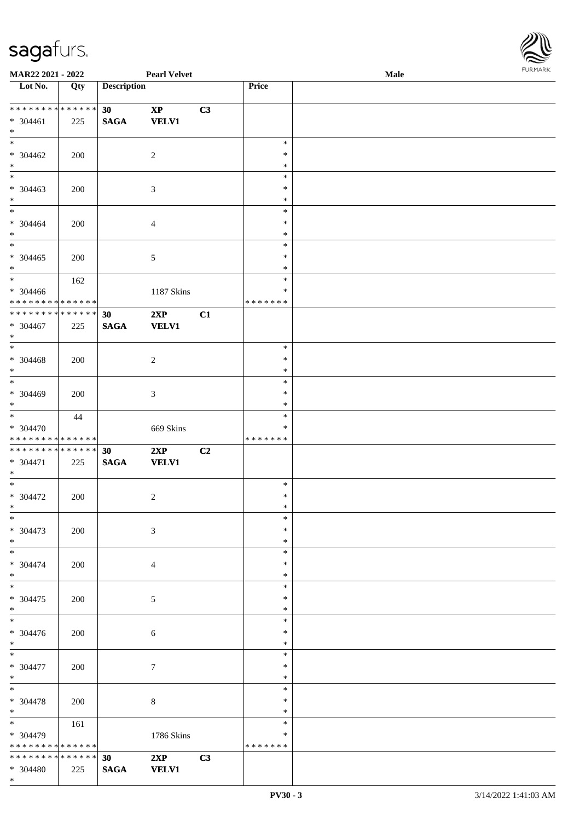

| MAR22 2021 - 2022               |     |                    | <b>Pearl Velvet</b> |                |               | Male |  |
|---------------------------------|-----|--------------------|---------------------|----------------|---------------|------|--|
| Lot No.                         | Qty | <b>Description</b> |                     |                | Price         |      |  |
|                                 |     |                    |                     |                |               |      |  |
| **************                  |     | 30                 | $\bold{XP}$         | C3             |               |      |  |
| $* 304461$                      | 225 | <b>SAGA</b>        | <b>VELV1</b>        |                |               |      |  |
| $*$                             |     |                    |                     |                |               |      |  |
| $*$                             |     |                    |                     |                | $\ast$        |      |  |
| $* 304462$                      |     |                    |                     |                | ∗             |      |  |
|                                 | 200 |                    | $\overline{c}$      |                |               |      |  |
| $*$<br>$\overline{\phantom{0}}$ |     |                    |                     |                | $\ast$        |      |  |
|                                 |     |                    |                     |                | $\ast$        |      |  |
| $* 304463$                      | 200 |                    | 3                   |                | $\ast$        |      |  |
| $*$                             |     |                    |                     |                | $\ast$        |      |  |
| $\overline{\phantom{0}}$        |     |                    |                     |                | $\ast$        |      |  |
| $* 304464$                      | 200 |                    | $\overline{4}$      |                | $\ast$        |      |  |
| $\ast$                          |     |                    |                     |                | $\ast$        |      |  |
| $\ast$                          |     |                    |                     |                | $\ast$        |      |  |
| $* 304465$                      | 200 |                    | $5\,$               |                | $\ast$        |      |  |
| $\ast$                          |     |                    |                     |                | $\ast$        |      |  |
| $\ast$                          | 162 |                    |                     |                | $\ast$        |      |  |
|                                 |     |                    |                     |                | $\ast$        |      |  |
| $* 304466$                      |     |                    | 1187 Skins          |                |               |      |  |
| ******** <mark>******</mark>    |     |                    |                     |                | * * * * * * * |      |  |
| * * * * * * * * * * * * * *     |     | 30                 | 2XP                 | C1             |               |      |  |
| * 304467                        | 225 | <b>SAGA</b>        | <b>VELV1</b>        |                |               |      |  |
| $*$                             |     |                    |                     |                |               |      |  |
| $*$                             |     |                    |                     |                | $\ast$        |      |  |
| $* 304468$                      | 200 |                    | $\sqrt{2}$          |                | $\ast$        |      |  |
| $*$                             |     |                    |                     |                | $\ast$        |      |  |
| $*$                             |     |                    |                     |                | $\ast$        |      |  |
| * 304469                        | 200 |                    | 3                   |                | $\ast$        |      |  |
| $*$                             |     |                    |                     |                | $\ast$        |      |  |
| $\overline{\phantom{1}}$        |     |                    |                     |                | $\ast$        |      |  |
|                                 | 44  |                    |                     |                |               |      |  |
| * 304470                        |     |                    | 669 Skins           |                | ∗             |      |  |
| * * * * * * * * * * * * * *     |     |                    |                     |                | * * * * * * * |      |  |
| * * * * * * * * * * * * * * *   |     | 30                 | 2XP                 | C <sub>2</sub> |               |      |  |
| * 304471                        | 225 | <b>SAGA</b>        | <b>VELV1</b>        |                |               |      |  |
| $*$                             |     |                    |                     |                |               |      |  |
| $*$                             |     |                    |                     |                | $\ast$        |      |  |
| $* 304472$                      | 200 |                    | $\overline{c}$      |                | $\ast$        |      |  |
| $*$                             |     |                    |                     |                | $\ast$        |      |  |
| $*$                             |     |                    |                     |                | $\ast$        |      |  |
| * 304473                        | 200 |                    | 3                   |                | $\ast$        |      |  |
| $*$                             |     |                    |                     |                | $\ast$        |      |  |
|                                 |     |                    |                     |                | $\ast$        |      |  |
| * 304474                        |     |                    |                     |                | ∗             |      |  |
|                                 | 200 |                    | $\overline{4}$      |                |               |      |  |
| $*$<br>$\overline{\phantom{0}}$ |     |                    |                     |                | *             |      |  |
|                                 |     |                    |                     |                | $\ast$        |      |  |
| $* 304475$                      | 200 |                    | 5                   |                | $\ast$        |      |  |
| $*$                             |     |                    |                     |                | $\ast$        |      |  |
| $\overline{\phantom{0}}$        |     |                    |                     |                | $\ast$        |      |  |
| $* 304476$                      | 200 |                    | 6                   |                | ∗             |      |  |
| $*$                             |     |                    |                     |                | $\ast$        |      |  |
| $*$ $*$                         |     |                    |                     |                | $\ast$        |      |  |
| $* 304477$                      | 200 |                    | $\overline{7}$      |                | $\ast$        |      |  |
| $*$                             |     |                    |                     |                | $\ast$        |      |  |
| $*$                             |     |                    |                     |                | $\ast$        |      |  |
|                                 |     |                    |                     |                | $\ast$        |      |  |
| * 304478                        | 200 |                    | 8                   |                |               |      |  |
| $*$                             |     |                    |                     |                | $\ast$        |      |  |
|                                 | 161 |                    |                     |                | $\ast$        |      |  |
| * 304479                        |     |                    | 1786 Skins          |                | ∗             |      |  |
| * * * * * * * * * * * * * *     |     |                    |                     |                | * * * * * * * |      |  |
| * * * * * * * * * * * * * * *   |     | 30                 | 2XP                 | C3             |               |      |  |
| * 304480                        | 225 | <b>SAGA</b>        | <b>VELV1</b>        |                |               |      |  |
| $*$                             |     |                    |                     |                |               |      |  |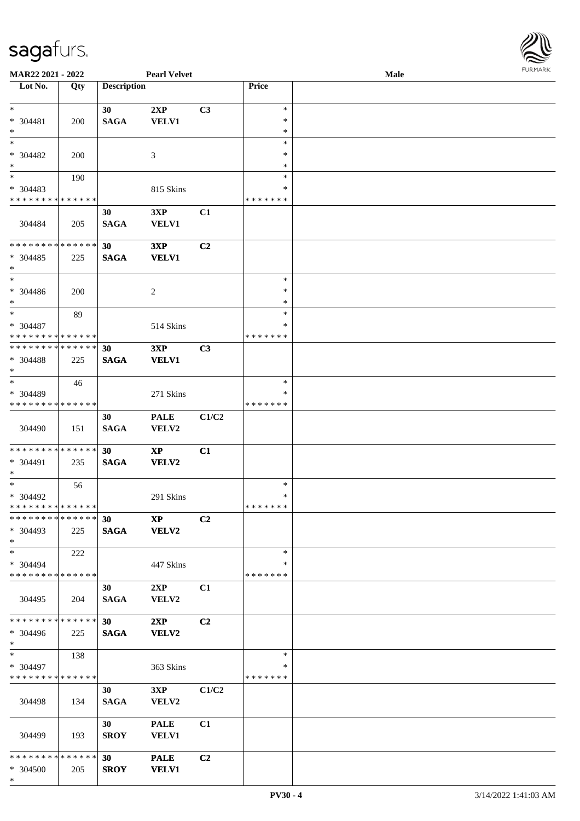

| MAR22 2021 - 2022             |     |                    | <b>Pearl Velvet</b>    |                |               | <b>Male</b> |  |
|-------------------------------|-----|--------------------|------------------------|----------------|---------------|-------------|--|
| Lot No.                       | Qty | <b>Description</b> |                        |                | Price         |             |  |
|                               |     |                    |                        |                |               |             |  |
| $\ast$                        |     | 30                 | 2XP                    | C <sub>3</sub> | $\ast$        |             |  |
| * 304481                      | 200 | $\mathbf{SAGA}$    | <b>VELV1</b>           |                | $\ast$        |             |  |
| $\ast$                        |     |                    |                        |                | $\ast$        |             |  |
| $\ast$                        |     |                    |                        |                | $\ast$        |             |  |
| $* 304482$                    | 200 |                    | 3                      |                | ∗             |             |  |
| $\ast$                        |     |                    |                        |                | $\ast$        |             |  |
| $_{\ast}^{-}$                 |     |                    |                        |                | $\ast$        |             |  |
|                               | 190 |                    |                        |                | $\ast$        |             |  |
| * 304483                      |     |                    | 815 Skins              |                |               |             |  |
| * * * * * * * * * * * * * *   |     |                    |                        |                | * * * * * * * |             |  |
|                               |     | 30                 | 3XP                    | C1             |               |             |  |
| 304484                        | 205 | <b>SAGA</b>        | <b>VELV1</b>           |                |               |             |  |
|                               |     |                    |                        |                |               |             |  |
| * * * * * * * * * * * * * *   |     | 30                 | 3XP                    | C <sub>2</sub> |               |             |  |
| $* 304485$                    | 225 | <b>SAGA</b>        | <b>VELV1</b>           |                |               |             |  |
| $\ast$                        |     |                    |                        |                |               |             |  |
| $\ast$                        |     |                    |                        |                | $\ast$        |             |  |
| $* 304486$                    | 200 |                    | 2                      |                | $\ast$        |             |  |
| $\ast$                        |     |                    |                        |                | $\ast$        |             |  |
| $\ast$                        | 89  |                    |                        |                | $\ast$        |             |  |
| $* 304487$                    |     |                    | 514 Skins              |                | ∗             |             |  |
| * * * * * * * * * * * * * *   |     |                    |                        |                | * * * * * * * |             |  |
| * * * * * * * * * * * * * *   |     | 30                 | 3XP                    | C3             |               |             |  |
| * 304488                      | 225 | <b>SAGA</b>        | <b>VELV1</b>           |                |               |             |  |
| $\ast$                        |     |                    |                        |                |               |             |  |
| $\ast$                        | 46  |                    |                        |                | $\ast$        |             |  |
| * 304489                      |     |                    | 271 Skins              |                | ∗             |             |  |
| * * * * * * * * * * * * * *   |     |                    |                        |                | * * * * * * * |             |  |
|                               |     | 30                 |                        |                |               |             |  |
|                               |     |                    | <b>PALE</b>            | C1/C2          |               |             |  |
| 304490                        | 151 | <b>SAGA</b>        | VELV2                  |                |               |             |  |
| **************                |     |                    |                        |                |               |             |  |
|                               |     | 30                 | $\mathbf{X}\mathbf{P}$ | C1             |               |             |  |
| * 304491                      | 235 | <b>SAGA</b>        | VELV2                  |                |               |             |  |
| $\ast$                        |     |                    |                        |                |               |             |  |
| $\ast$                        | 56  |                    |                        |                | $\ast$        |             |  |
| * 304492                      |     |                    | 291 Skins              |                | $\ast$        |             |  |
| **************                |     |                    |                        |                | *******       |             |  |
| * * * * * * * * * * * * * *   |     | 30 <sup>°</sup>    | $\bold{XP}$            | C <sub>2</sub> |               |             |  |
| * 304493                      | 225 | <b>SAGA</b>        | <b>VELV2</b>           |                |               |             |  |
| $*$                           |     |                    |                        |                |               |             |  |
| $*$                           | 222 |                    |                        |                | $\ast$        |             |  |
| $* 304494$                    |     |                    | 447 Skins              |                | ∗             |             |  |
| * * * * * * * * * * * * * *   |     |                    |                        |                | * * * * * * * |             |  |
|                               |     | 30                 | 2XP                    | C1             |               |             |  |
| 304495                        | 204 | <b>SAGA</b>        | VELV2                  |                |               |             |  |
|                               |     |                    |                        |                |               |             |  |
| * * * * * * * * * * * * * *   |     | 30 <sup>1</sup>    | 2XP                    | C <sub>2</sub> |               |             |  |
| * 304496                      | 225 | <b>SAGA</b>        | VELV2                  |                |               |             |  |
| $*$                           |     |                    |                        |                |               |             |  |
| $*$ and $*$                   | 138 |                    |                        |                | $\ast$        |             |  |
| * 304497                      |     |                    | 363 Skins              |                | ∗             |             |  |
| * * * * * * * * * * * * * *   |     |                    |                        |                | * * * * * * * |             |  |
|                               |     | 30                 | 3XP                    | C1/C2          |               |             |  |
| 304498                        | 134 | $\mathbf{SAGA}$    | VELV2                  |                |               |             |  |
|                               |     |                    |                        |                |               |             |  |
|                               |     | 30                 | <b>PALE</b>            | C1             |               |             |  |
|                               |     |                    |                        |                |               |             |  |
| 304499                        | 193 | <b>SROY</b>        | VELV1                  |                |               |             |  |
| * * * * * * * * * * * * * * * |     |                    |                        |                |               |             |  |
|                               |     | 30 <sup>°</sup>    | <b>PALE</b>            | C <sub>2</sub> |               |             |  |
| * 304500                      | 205 | <b>SROY</b>        | <b>VELV1</b>           |                |               |             |  |
| $*$                           |     |                    |                        |                |               |             |  |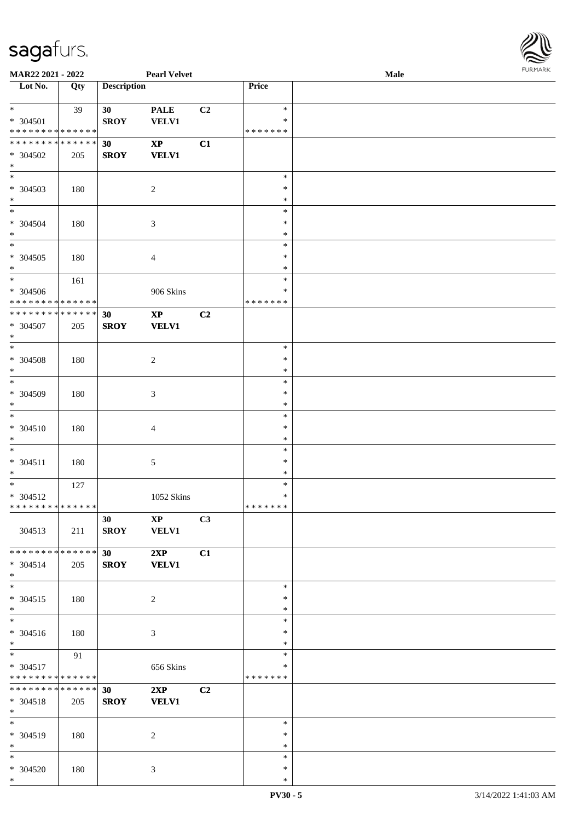

| <b>MAR22 2021 - 2022</b>                                      |     |                    | <b>Pearl Velvet</b>                    |                |                                   | <b>Male</b> |  |
|---------------------------------------------------------------|-----|--------------------|----------------------------------------|----------------|-----------------------------------|-------------|--|
| Lot No.                                                       | Qty | <b>Description</b> |                                        |                | Price                             |             |  |
| $*$<br>* 304501<br>* * * * * * * * * * * * * *                | 39  | 30<br><b>SROY</b>  | <b>PALE</b><br>VELV1                   | C <sub>2</sub> | $\ast$<br>$\ast$<br>* * * * * * * |             |  |
| * * * * * * * * * * * * * * *<br>$* 304502$<br>$*$            | 205 | 30<br><b>SROY</b>  | $\mathbf{XP}$<br><b>VELV1</b>          | C1             |                                   |             |  |
| * 304503<br>$*$                                               | 180 |                    | $\overline{c}$                         |                | $\ast$<br>$\ast$<br>$\ast$        |             |  |
| * 304504<br>$*$                                               | 180 |                    | 3                                      |                | $\ast$<br>$\ast$<br>$\ast$        |             |  |
| $* 304505$<br>$*$                                             | 180 |                    | $\overline{4}$                         |                | $\ast$<br>$\ast$<br>$\ast$        |             |  |
| $*$<br>* 304506<br>* * * * * * * * * * * * * *                | 161 |                    | 906 Skins                              |                | $\ast$<br>$\ast$<br>* * * * * * * |             |  |
| * * * * * * * * * * * * * * *<br>$* 304507$<br>$*$            | 205 | 30<br><b>SROY</b>  | $\bold{XP}$<br><b>VELV1</b>            | C2             |                                   |             |  |
| $*$<br>$* 304508$<br>$*$                                      | 180 |                    | $\overline{c}$                         |                | $\ast$<br>$\ast$<br>$\ast$        |             |  |
| $\overline{\ast}$<br>* 304509<br>$*$<br>$*$                   | 180 |                    | 3                                      |                | $\ast$<br>$\ast$<br>$\ast$        |             |  |
| * 304510<br>$*$                                               | 180 |                    | $\overline{4}$                         |                | $\ast$<br>$\ast$<br>$\ast$        |             |  |
| $*$<br>$* 304511$<br>$*$                                      | 180 |                    | 5                                      |                | $\ast$<br>$\ast$<br>$\ast$        |             |  |
| $*$<br>* 304512<br>* * * * * * * * <mark>* * * * * * *</mark> | 127 |                    | 1052 Skins                             |                | $\ast$<br>$\ast$<br>* * * * * * * |             |  |
| 304513                                                        | 211 | 30<br><b>SROY</b>  | $\mathbf{X}\mathbf{P}$<br><b>VELV1</b> | C3             |                                   |             |  |
| * * * * * * * * <mark>* * * * * * *</mark><br>* 304514<br>$*$ | 205 | 30<br><b>SROY</b>  | 2XP<br><b>VELV1</b>                    | C1             |                                   |             |  |
| $*$<br>$* 304515$<br>$*$                                      | 180 |                    | $\overline{c}$                         |                | $\ast$<br>$\ast$<br>$\ast$        |             |  |
| $*$<br>* 304516<br>$*$                                        | 180 |                    | 3                                      |                | $\ast$<br>$\ast$<br>$\ast$        |             |  |
| $*$<br>* 304517<br>* * * * * * * * * * * * * *                | 91  |                    | 656 Skins                              |                | $\ast$<br>∗<br>*******            |             |  |
| * * * * * * * * * * * * * * *<br>* 304518<br>$*$              | 205 | 30<br><b>SROY</b>  | 2XP<br><b>VELV1</b>                    | C2             |                                   |             |  |
| $*$<br>* 304519<br>$*$                                        | 180 |                    | 2                                      |                | $\ast$<br>$\ast$<br>$\ast$        |             |  |
| $*$<br>* 304520<br>$*$                                        | 180 |                    | 3                                      |                | $\ast$<br>$\ast$<br>$\ast$        |             |  |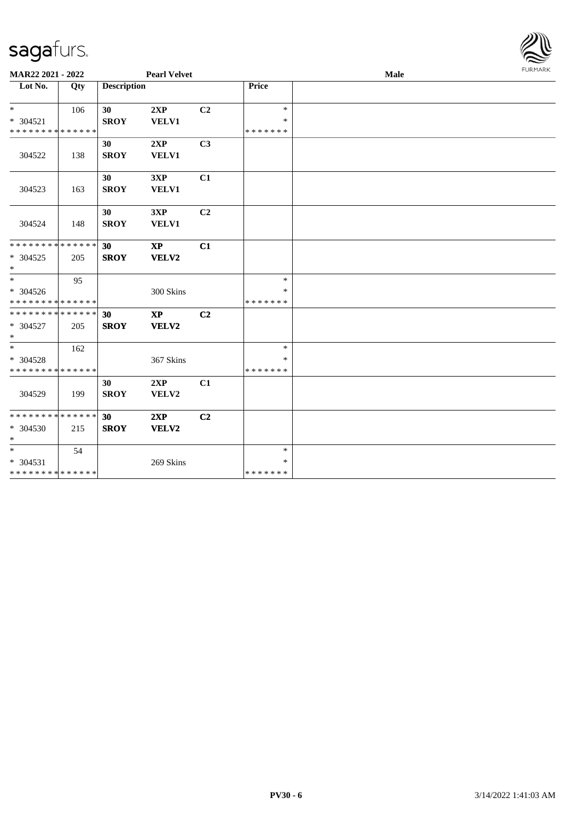

| MAR22 2021 - 2022                          |     |                    | <b>Pearl Velvet</b>    |                |               | Male | FURMARK |
|--------------------------------------------|-----|--------------------|------------------------|----------------|---------------|------|---------|
| Lot No.                                    | Qty | <b>Description</b> |                        |                | Price         |      |         |
| $\ast$                                     | 106 | 30                 | 2XP                    | C <sub>2</sub> | $\ast$        |      |         |
| $* 304521$                                 |     | <b>SROY</b>        | <b>VELV1</b>           |                | $\ast$        |      |         |
| * * * * * * * * * * * * * *                |     |                    |                        |                | * * * * * * * |      |         |
|                                            |     | 30                 | 2XP                    | C3             |               |      |         |
| 304522                                     | 138 | <b>SROY</b>        | <b>VELV1</b>           |                |               |      |         |
|                                            |     |                    |                        |                |               |      |         |
|                                            |     | 30                 | 3XP                    | C1             |               |      |         |
| 304523                                     | 163 | <b>SROY</b>        | <b>VELV1</b>           |                |               |      |         |
|                                            |     |                    |                        |                |               |      |         |
|                                            |     | 30                 | 3XP                    | C <sub>2</sub> |               |      |         |
| 304524                                     | 148 | <b>SROY</b>        | <b>VELV1</b>           |                |               |      |         |
|                                            |     |                    |                        |                |               |      |         |
| * * * * * * * * <mark>* * * * * *</mark>   |     | 30                 | <b>XP</b>              | C1             |               |      |         |
| * 304525                                   | 205 | <b>SROY</b>        | VELV2                  |                |               |      |         |
| $\ast$                                     |     |                    |                        |                |               |      |         |
| $\ddot{x}$                                 | 95  |                    |                        |                | $\ast$        |      |         |
| * 304526                                   |     |                    | 300 Skins              |                | $\ast$        |      |         |
| * * * * * * * * * * * * * *                |     |                    |                        |                | *******       |      |         |
| * * * * * * * * * * * * * * <mark>*</mark> |     | 30                 | $\mathbf{X}\mathbf{P}$ | C <sub>2</sub> |               |      |         |
| * 304527                                   | 205 | <b>SROY</b>        | VELV2                  |                |               |      |         |
| $\ast$                                     |     |                    |                        |                |               |      |         |
|                                            | 162 |                    |                        |                | $\ast$        |      |         |
| * 304528                                   |     |                    | 367 Skins              |                | ∗             |      |         |
| * * * * * * * * * * * * * *                |     |                    |                        |                | * * * * * * * |      |         |
|                                            |     | 30                 | 2XP                    | C1             |               |      |         |
| 304529                                     | 199 | <b>SROY</b>        | VELV2                  |                |               |      |         |
|                                            |     |                    |                        |                |               |      |         |
| * * * * * * * * * * * * * *                |     | 30                 | 2XP                    | C <sub>2</sub> |               |      |         |
| * 304530                                   | 215 | <b>SROY</b>        | VELV2                  |                |               |      |         |
| $\ast$                                     |     |                    |                        |                |               |      |         |
| $*$                                        | 54  |                    |                        |                | $\ast$        |      |         |
| * 304531                                   |     |                    | 269 Skins              |                | $\ast$        |      |         |
| * * * * * * * * <mark>* * * * * * *</mark> |     |                    |                        |                | * * * * * * * |      |         |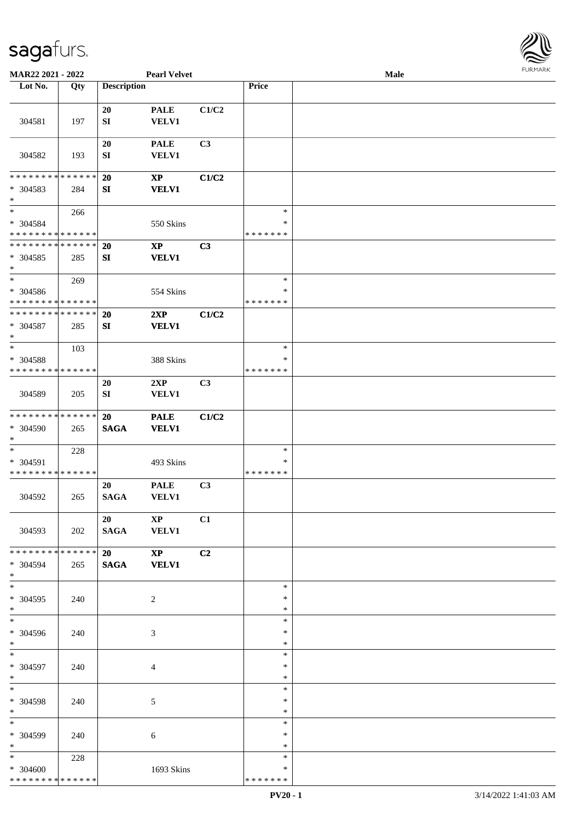

| MAR22 2021 - 2022                                   |     |                    | <b>Pearl Velvet</b>         |       |                                   | <b>Male</b> |  |
|-----------------------------------------------------|-----|--------------------|-----------------------------|-------|-----------------------------------|-------------|--|
| Lot No.                                             | Qty | <b>Description</b> |                             |       | Price                             |             |  |
|                                                     |     |                    |                             |       |                                   |             |  |
| 304581                                              | 197 | 20<br>SI           | <b>PALE</b><br><b>VELV1</b> | C1/C2 |                                   |             |  |
| 304582                                              | 193 | 20<br>SI           | <b>PALE</b><br><b>VELV1</b> | C3    |                                   |             |  |
| * * * * * * * * * * * * * *                         |     | 20                 | $\mathbf{X}\mathbf{P}$      | C1/C2 |                                   |             |  |
| * 304583<br>$\ast$                                  | 284 | ${\bf SI}$         | <b>VELV1</b>                |       |                                   |             |  |
| $\ast$<br>* 304584<br>* * * * * * * * * * * * * *   | 266 |                    | 550 Skins                   |       | $\ast$<br>∗<br>* * * * * * *      |             |  |
| * * * * * * * * * * * * * *<br>$* 304585$<br>$\ast$ | 285 | 20<br>${\bf SI}$   | $\bold{XP}$<br><b>VELV1</b> | C3    |                                   |             |  |
| $\ast$<br>* 304586<br>* * * * * * * * * * * * * *   | 269 |                    | 554 Skins                   |       | $\ast$<br>$\ast$<br>* * * * * * * |             |  |
| * * * * * * * * * * * * * *<br>$* 304587$<br>$\ast$ | 285 | 20<br>${\bf SI}$   | 2XP<br><b>VELV1</b>         | C1/C2 |                                   |             |  |
| $\ast$<br>* 304588<br>* * * * * * * * * * * * * *   | 103 |                    | 388 Skins                   |       | $\ast$<br>∗<br>* * * * * * *      |             |  |
| 304589                                              | 205 | <b>20</b><br>SI    | 2XP<br>VELV1                | C3    |                                   |             |  |
| **************<br>* 304590<br>$\ast$                | 265 | 20<br><b>SAGA</b>  | <b>PALE</b><br><b>VELV1</b> | C1/C2 |                                   |             |  |
| $\ast$<br>* 304591<br>* * * * * * * * * * * * * *   | 228 |                    | 493 Skins                   |       | $\ast$<br>$\ast$<br>* * * * * * * |             |  |
| 304592                                              | 265 | 20<br><b>SAGA</b>  | <b>PALE</b><br><b>VELV1</b> | C3    |                                   |             |  |
| 304593                                              | 202 | 20<br>SAGA VELV1   | $\mathbf{X} \mathbf{P}$     | C1    |                                   |             |  |
| * * * * * * * * * * * * * * *<br>* 304594<br>$*$    | 265 | 20<br>SAGA VELV1   | $\mathbf{X}\mathbf{P}$      | C2    |                                   |             |  |
| $\frac{1}{\ast}$<br>* 304595<br>$*$                 | 240 |                    | 2                           |       | $\ast$<br>$\ast$<br>$\ast$        |             |  |
| $\overline{\ast}$<br>* 304596<br>$*$                | 240 |                    | 3                           |       | $\ast$<br>∗<br>$\ast$             |             |  |
| $*$<br>* 304597<br>$*$                              | 240 |                    | $\overline{4}$              |       | $\ast$<br>$\ast$<br>$\ast$        |             |  |
| $\ast$<br>* 304598<br>$*$                           | 240 |                    | $\mathfrak{S}$              |       | $\ast$<br>$\ast$<br>$\ast$        |             |  |
| $*$<br>* 304599<br>$*$                              | 240 |                    | 6                           |       | $\ast$<br>∗<br>$\ast$             |             |  |
| $*$<br>* 304600<br>* * * * * * * * * * * * * * *    | 228 |                    | 1693 Skins                  |       | $\ast$<br>∗<br>* * * * * * *      |             |  |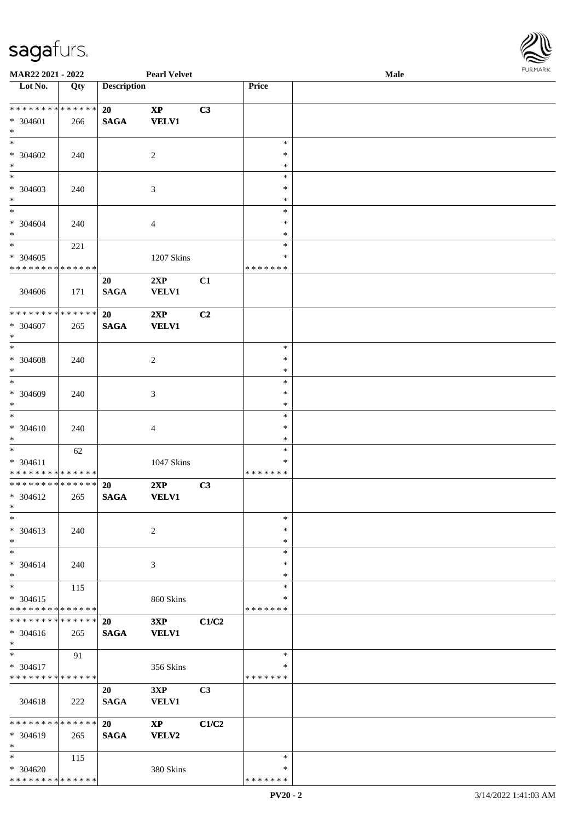

| MAR22 2021 - 2022                          |     |                    | <b>Pearl Velvet</b>    |       |                  | Male | 1.91111111 |
|--------------------------------------------|-----|--------------------|------------------------|-------|------------------|------|------------|
| $\overline{\phantom{1}}$ Lot No.           | Qty | <b>Description</b> |                        |       | Price            |      |            |
|                                            |     |                    |                        |       |                  |      |            |
| **************                             |     | 20                 | $\bold{XP}$            | C3    |                  |      |            |
| $* 304601$                                 | 266 | <b>SAGA</b>        | <b>VELV1</b>           |       |                  |      |            |
| $\ast$                                     |     |                    |                        |       |                  |      |            |
| $\ast$                                     |     |                    |                        |       | $\ast$           |      |            |
| $* 304602$                                 | 240 |                    | $\overline{c}$         |       | $\ast$           |      |            |
| $\ast$<br>$\overline{\phantom{0}}$         |     |                    |                        |       | $\ast$           |      |            |
|                                            |     |                    |                        |       | $\ast$           |      |            |
| * 304603                                   | 240 |                    | 3                      |       | $\ast$           |      |            |
| $\ast$<br>$\overline{\phantom{a}^*}$       |     |                    |                        |       | $\ast$<br>$\ast$ |      |            |
|                                            |     |                    |                        |       | $\ast$           |      |            |
| $* 304604$<br>$\ast$                       | 240 |                    | 4                      |       | $\ast$           |      |            |
| $_{\ast}^{-}$                              |     |                    |                        |       | $\ast$           |      |            |
|                                            | 221 |                    |                        |       | ∗                |      |            |
| $* 304605$<br>* * * * * * * * * * * * * *  |     |                    | 1207 Skins             |       | * * * * * * *    |      |            |
|                                            |     | 20                 | 2XP                    | C1    |                  |      |            |
| 304606                                     | 171 | <b>SAGA</b>        | VELV1                  |       |                  |      |            |
|                                            |     |                    |                        |       |                  |      |            |
| ******** <mark>******</mark>               |     | 20                 | 2XP                    | C2    |                  |      |            |
| $* 304607$                                 | 265 | <b>SAGA</b>        | <b>VELV1</b>           |       |                  |      |            |
| $\ast$                                     |     |                    |                        |       |                  |      |            |
| $_{\ast}$                                  |     |                    |                        |       | $\ast$           |      |            |
| $* 304608$                                 | 240 |                    | $\overline{c}$         |       | $\ast$           |      |            |
| $\ast$                                     |     |                    |                        |       | $\ast$           |      |            |
| $\ast$                                     |     |                    |                        |       | $\ast$           |      |            |
| * 304609                                   | 240 |                    | 3                      |       | $\ast$           |      |            |
| $\ast$                                     |     |                    |                        |       | $\ast$           |      |            |
| $\ast$                                     |     |                    |                        |       | $\ast$           |      |            |
| * 304610                                   | 240 |                    | 4                      |       | $\ast$           |      |            |
| $\ast$                                     |     |                    |                        |       | $\ast$           |      |            |
| $_{\ast}^{-}$                              | 62  |                    |                        |       | $\ast$           |      |            |
| $* 304611$                                 |     |                    | 1047 Skins             |       | ∗                |      |            |
| * * * * * * * * <mark>* * * * * * *</mark> |     |                    |                        |       | * * * * * * *    |      |            |
| **************                             |     | 20                 | 2XP                    | C3    |                  |      |            |
| $* 304612$                                 | 265 | <b>SAGA</b>        | <b>VELV1</b>           |       |                  |      |            |
| $*$ $-$                                    |     |                    |                        |       |                  |      |            |
| $\ast$                                     |     |                    |                        |       | $\ast$           |      |            |
| * 304613                                   | 240 |                    | $\overline{c}$         |       | $\ast$           |      |            |
| $\ast$<br>$\ast$                           |     |                    |                        |       | $\ast$           |      |            |
|                                            |     |                    |                        |       | $\ast$<br>∗      |      |            |
| $* 304614$<br>$\ast$                       | 240 |                    | 3                      |       | ∗                |      |            |
| $\ast$                                     | 115 |                    |                        |       | $\ast$           |      |            |
| $* 304615$                                 |     |                    | 860 Skins              |       | ∗                |      |            |
| * * * * * * * * * * * * * * *              |     |                    |                        |       | * * * * * * *    |      |            |
| * * * * * * * * * * * * * * *              |     | <b>20</b>          | 3XP                    | C1/C2 |                  |      |            |
| $* 304616$                                 | 265 | <b>SAGA</b>        | <b>VELV1</b>           |       |                  |      |            |
| $\ast$                                     |     |                    |                        |       |                  |      |            |
| $\ast$                                     | 91  |                    |                        |       | $\ast$           |      |            |
| * 304617                                   |     |                    | 356 Skins              |       | ∗                |      |            |
| * * * * * * * * * * * * * *                |     |                    |                        |       | * * * * * * *    |      |            |
|                                            |     | 20                 | 3XP                    | C3    |                  |      |            |
| 304618                                     | 222 | <b>SAGA</b>        | VELV1                  |       |                  |      |            |
|                                            |     |                    |                        |       |                  |      |            |
| * * * * * * * * * * * * * * *              |     | 20                 | $\mathbf{X}\mathbf{P}$ | C1/C2 |                  |      |            |
| * 304619                                   | 265 | <b>SAGA</b>        | VELV2                  |       |                  |      |            |
| $\ast$                                     |     |                    |                        |       |                  |      |            |
| $\ast$                                     | 115 |                    |                        |       | $\ast$           |      |            |
| $* 304620$                                 |     |                    | 380 Skins              |       | ∗                |      |            |
| * * * * * * * * * * * * * *                |     |                    |                        |       | * * * * * * *    |      |            |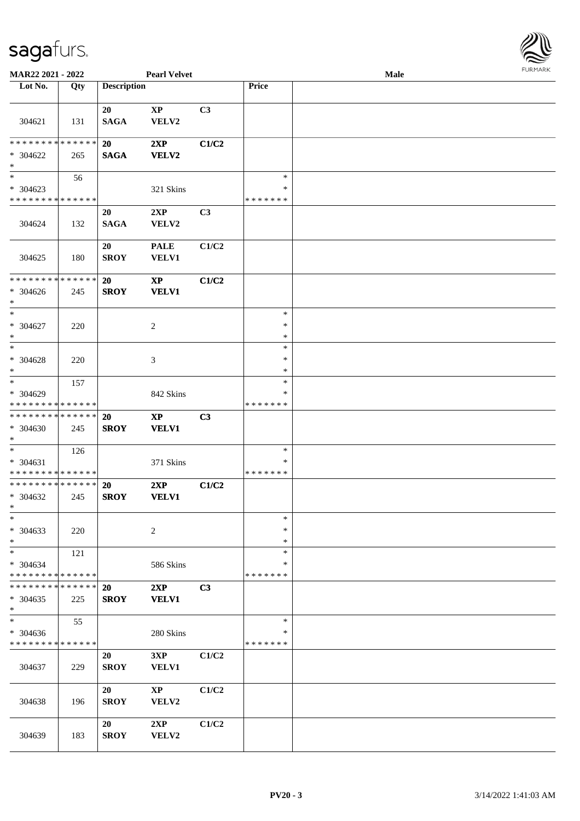

| <b>MAR22 2021 - 2022</b>      |     |                    | <b>Pearl Velvet</b>    |       |               | Male |  |
|-------------------------------|-----|--------------------|------------------------|-------|---------------|------|--|
| Lot No.                       | Qty | <b>Description</b> |                        |       | Price         |      |  |
|                               |     |                    |                        |       |               |      |  |
|                               |     | 20                 | XP                     | C3    |               |      |  |
| 304621                        | 131 | <b>SAGA</b>        | VELV2                  |       |               |      |  |
|                               |     |                    |                        |       |               |      |  |
| * * * * * * * * * * * * * *   |     | <b>20</b>          | 2XP                    | C1/C2 |               |      |  |
|                               |     |                    |                        |       |               |      |  |
| * 304622                      | 265 | <b>SAGA</b>        | <b>VELV2</b>           |       |               |      |  |
| $\ast$                        |     |                    |                        |       |               |      |  |
|                               | 56  |                    |                        |       | $\ast$        |      |  |
| * 304623                      |     |                    | 321 Skins              |       | $\ast$        |      |  |
| * * * * * * * * * * * * * *   |     |                    |                        |       | * * * * * * * |      |  |
|                               |     | 20                 | 2XP                    | C3    |               |      |  |
| 304624                        | 132 | <b>SAGA</b>        | VELV2                  |       |               |      |  |
|                               |     |                    |                        |       |               |      |  |
|                               |     | 20                 | <b>PALE</b>            | C1/C2 |               |      |  |
| 304625                        | 180 | <b>SROY</b>        | <b>VELV1</b>           |       |               |      |  |
|                               |     |                    |                        |       |               |      |  |
| * * * * * * * * * * * * * *   |     | 20                 | $\bold{XP}$            | C1/C2 |               |      |  |
| $* 304626$                    | 245 | <b>SROY</b>        | <b>VELV1</b>           |       |               |      |  |
| $*$                           |     |                    |                        |       |               |      |  |
| $\ast$                        |     |                    |                        |       | $\ast$        |      |  |
|                               |     |                    |                        |       | $\ast$        |      |  |
| * 304627                      | 220 |                    | 2                      |       |               |      |  |
| $*$                           |     |                    |                        |       | $\ast$        |      |  |
| $*$                           |     |                    |                        |       | $\ast$        |      |  |
| * 304628                      | 220 |                    | 3                      |       | $\ast$        |      |  |
| $*$                           |     |                    |                        |       | $\ast$        |      |  |
| $*$                           | 157 |                    |                        |       | $\ast$        |      |  |
| * 304629                      |     |                    | 842 Skins              |       | ∗             |      |  |
| * * * * * * * * * * * * * *   |     |                    |                        |       | * * * * * * * |      |  |
| * * * * * * * * * * * * * *   |     | <b>20</b>          | $\bold{XP}$            | C3    |               |      |  |
| * 304630                      | 245 | <b>SROY</b>        | <b>VELV1</b>           |       |               |      |  |
| $*$                           |     |                    |                        |       |               |      |  |
| $*$                           | 126 |                    |                        |       | $\ast$        |      |  |
| $* 304631$                    |     |                    | 371 Skins              |       | ∗             |      |  |
| * * * * * * * * * * * * * *   |     |                    |                        |       | *******       |      |  |
| * * * * * * * * * * * * * *   |     |                    |                        |       |               |      |  |
|                               |     | <b>20</b>          | 2XP                    | C1/C2 |               |      |  |
| * 304632                      | 245 | <b>SROY</b>        | <b>VELV1</b>           |       |               |      |  |
| $*$                           |     |                    |                        |       |               |      |  |
| $\ast$                        |     |                    |                        |       | $\ast$        |      |  |
| * 304633                      | 220 |                    | 2                      |       | $\ast$        |      |  |
| $*$                           |     |                    |                        |       | $\ast$        |      |  |
| $*$                           | 121 |                    |                        |       | $\ast$        |      |  |
| $* 304634$                    |     |                    | 586 Skins              |       | ∗             |      |  |
| * * * * * * * * * * * * * *   |     |                    |                        |       | *******       |      |  |
| * * * * * * * * * * * * * * * |     | <b>20</b>          | 2XP                    | C3    |               |      |  |
| $* 304635$                    | 225 | <b>SROY</b>        | <b>VELV1</b>           |       |               |      |  |
| $*$                           |     |                    |                        |       |               |      |  |
| $\overline{\phantom{0}}$      | 55  |                    |                        |       | $\ast$        |      |  |
|                               |     |                    |                        |       | ∗             |      |  |
| * 304636                      |     |                    | 280 Skins              |       |               |      |  |
| * * * * * * * * * * * * * *   |     |                    |                        |       | *******       |      |  |
|                               |     | 20                 | 3XP                    | C1/C2 |               |      |  |
| 304637                        | 229 | <b>SROY</b>        | VELV1                  |       |               |      |  |
|                               |     |                    |                        |       |               |      |  |
|                               |     | 20                 | $\mathbf{X}\mathbf{P}$ | C1/C2 |               |      |  |
| 304638                        | 196 | <b>SROY</b>        | VELV2                  |       |               |      |  |
|                               |     |                    |                        |       |               |      |  |
|                               |     | 20                 | 2XP                    | C1/C2 |               |      |  |
| 304639                        | 183 | <b>SROY</b>        | VELV2                  |       |               |      |  |
|                               |     |                    |                        |       |               |      |  |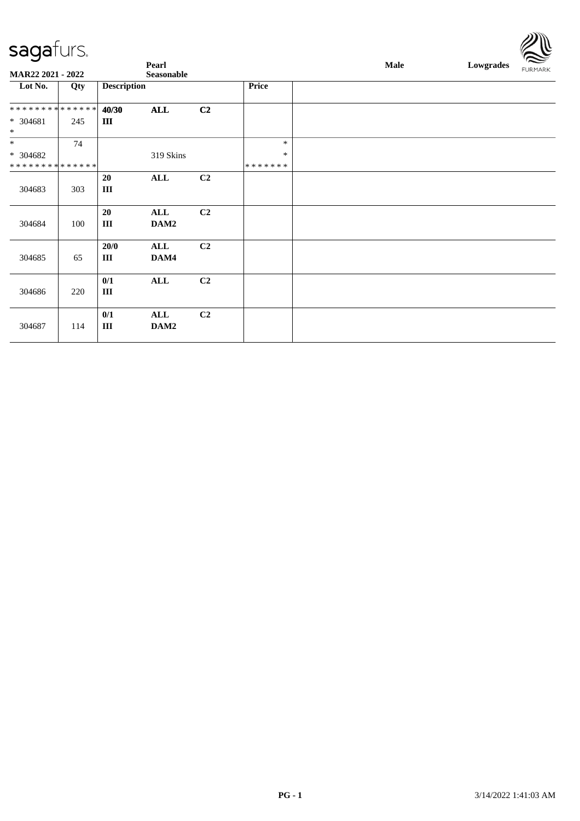|                                          |     |                    | Pearl             |                |         | Male | Lowgrades | $\approx$<br><b>FURMARK</b> |
|------------------------------------------|-----|--------------------|-------------------|----------------|---------|------|-----------|-----------------------------|
| MAR22 2021 - 2022                        |     |                    | <b>Seasonable</b> |                |         |      |           |                             |
| Lot No.                                  | Qty | <b>Description</b> |                   |                | Price   |      |           |                             |
| * * * * * * * * <mark>* * * * * *</mark> |     | 40/30              | <b>ALL</b>        | C <sub>2</sub> |         |      |           |                             |
| * 304681<br>$\ast$                       | 245 | III                |                   |                |         |      |           |                             |
| $\ast$                                   | 74  |                    |                   |                | $\ast$  |      |           |                             |
| * 304682                                 |     |                    | 319 Skins         |                | $\ast$  |      |           |                             |
| * * * * * * * * * * * * * *              |     |                    |                   |                | ******* |      |           |                             |
| 304683                                   | 303 | 20<br>$\rm III$    | ALL               | C <sub>2</sub> |         |      |           |                             |
| 304684                                   | 100 | 20<br>$\rm III$    | ALL<br>DAM2       | C <sub>2</sub> |         |      |           |                             |
| 304685                                   | 65  | 20/0<br>$\rm III$  | ALL<br>DAM4       | C <sub>2</sub> |         |      |           |                             |
| 304686                                   | 220 | 0/1<br>Ш           | ALL               | C <sub>2</sub> |         |      |           |                             |
| 304687                                   | 114 | 0/1<br>$\rm III$   | ALL<br>DAM2       | C <sub>2</sub> |         |      |           |                             |

 $\mathbb{Z} \mathbb{R}$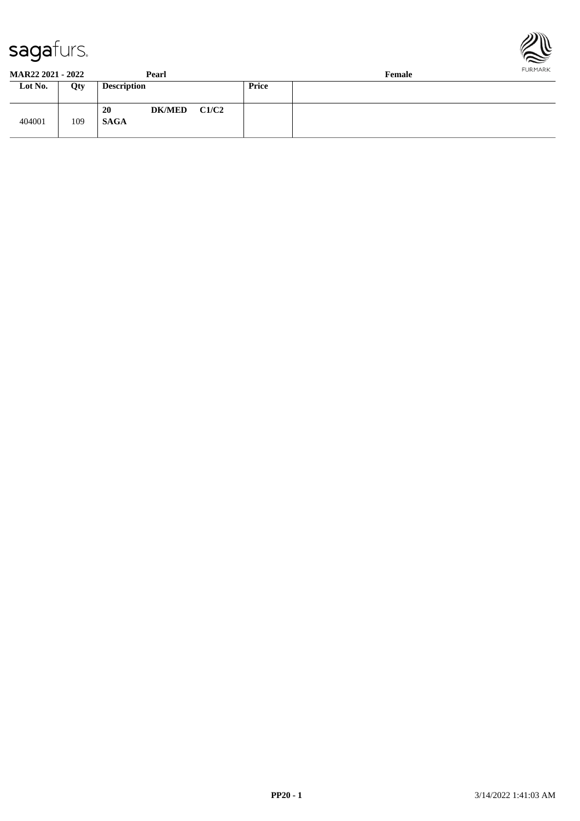



| <b>MAR22 2021 - 2022</b> |     | Pearl                              |       | Female | <b>FURMARK</b> |
|--------------------------|-----|------------------------------------|-------|--------|----------------|
| Lot No.                  | Qty | <b>Description</b>                 | Price |        |                |
| 404001                   | 109 | <b>DK/MED</b><br>20<br><b>SAGA</b> | C1/C2 |        |                |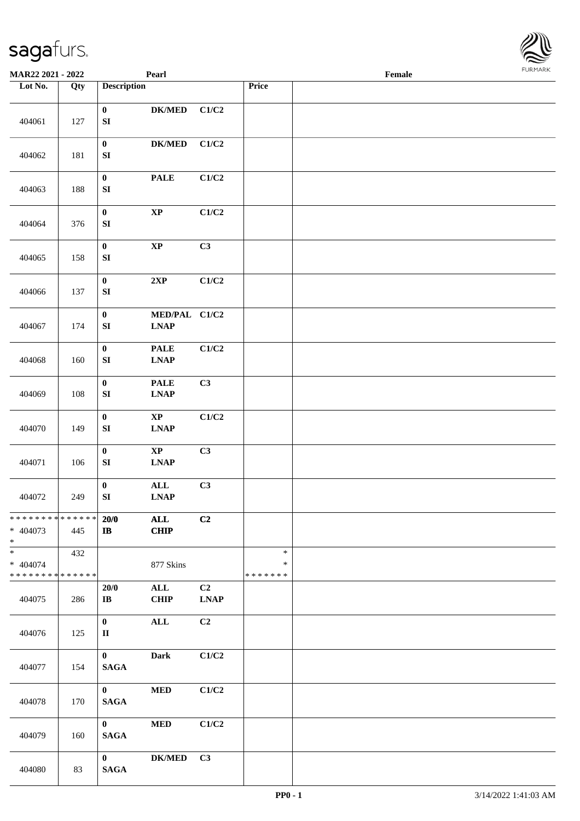| <b>MAR22 2021 - 2022</b>                                      |     |                                      | Pearl                         |                   |                              | Female |  |
|---------------------------------------------------------------|-----|--------------------------------------|-------------------------------|-------------------|------------------------------|--------|--|
| Lot No.                                                       | Qty | <b>Description</b>                   |                               |                   | Price                        |        |  |
| 404061                                                        | 127 | $\mathbf 0$<br>${\bf S}{\bf I}$      | ${\bf DK/MED}$                | C1/C2             |                              |        |  |
| 404062                                                        | 181 | $\pmb{0}$<br>SI                      | $\mathbf{DK}/\mathbf{MED}$    | C1/C2             |                              |        |  |
| 404063                                                        | 188 | $\pmb{0}$<br>${\bf S}{\bf I}$        | <b>PALE</b>                   | C1/C2             |                              |        |  |
| 404064                                                        | 376 | $\pmb{0}$<br>${\bf S}{\bf I}$        | $\mathbf{X}\mathbf{P}$        | C1/C2             |                              |        |  |
| 404065                                                        | 158 | $\pmb{0}$<br>${\bf S}{\bf I}$        | $\bold{XP}$                   | C3                |                              |        |  |
| 404066                                                        | 137 | $\pmb{0}$<br>${\bf S}{\bf I}$        | 2XP                           | C1/C2             |                              |        |  |
| 404067                                                        | 174 | $\boldsymbol{0}$<br>${\bf S}{\bf I}$ | MED/PAL C1/C2<br><b>LNAP</b>  |                   |                              |        |  |
| 404068                                                        | 160 | $\boldsymbol{0}$<br>${\bf SI}$       | <b>PALE</b><br><b>LNAP</b>    | C1/C2             |                              |        |  |
| 404069                                                        | 108 | $\pmb{0}$<br>${\bf S}{\bf I}$        | <b>PALE</b><br><b>LNAP</b>    | C3                |                              |        |  |
| 404070                                                        | 149 | $\pmb{0}$<br>${\bf S}{\bf I}$        | $\bold{XP}$<br><b>LNAP</b>    | C1/C2             |                              |        |  |
| 404071                                                        | 106 | $\pmb{0}$<br>${\bf S}{\bf I}$        | $\bold{XP}$<br><b>LNAP</b>    | C3                |                              |        |  |
| 404072                                                        | 249 | $\pmb{0}$<br>${\bf S}{\bf I}$        | $\mathbf{ALL}$<br><b>LNAP</b> | C3                |                              |        |  |
| * * * * * * * * <mark>* * * * * * *</mark><br>* 404073<br>$*$ | 445 | 20/0<br>$\bf I\bf B$                 | <b>ALL</b><br><b>CHIP</b>     | C2                |                              |        |  |
| $* 404074$<br>* * * * * * * * <mark>* * * * * * *</mark>      | 432 |                                      | 877 Skins                     |                   | $\ast$<br>∗<br>* * * * * * * |        |  |
| 404075                                                        | 286 | 20/0<br>$\mathbf{I}\mathbf{B}$       | ALL<br>CHIP                   | C2<br><b>LNAP</b> |                              |        |  |
| 404076                                                        | 125 | $\mathbf{0}$<br>$\rm II$             | $\mathbf{ALL}$                | C2                |                              |        |  |
| 404077                                                        | 154 | $\mathbf{0}$<br><b>SAGA</b>          | Dark                          | C1/C2             |                              |        |  |
| 404078                                                        | 170 | $\mathbf{0}$<br><b>SAGA</b>          | <b>MED</b>                    | C1/C2             |                              |        |  |
| 404079                                                        | 160 | $\bf{0}$<br><b>SAGA</b>              | $\bf MED$                     | C1/C2             |                              |        |  |
| 404080                                                        | 83  | $\mathbf{0}$<br><b>SAGA</b>          | $\mathbf{DK}/\mathbf{MED}$    | C3                |                              |        |  |

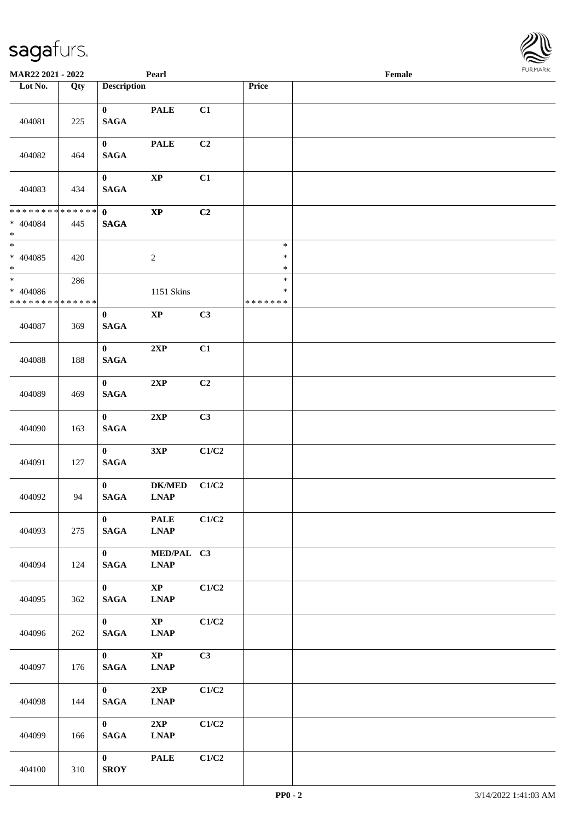| <b>MAR22 2021 - 2022</b>                        |                    |                                 | Pearl                                 |                |                                   | Female |  |
|-------------------------------------------------|--------------------|---------------------------------|---------------------------------------|----------------|-----------------------------------|--------|--|
| Lot No.                                         | Qty                | <b>Description</b>              |                                       |                | <b>Price</b>                      |        |  |
| 404081                                          | 225                | $\mathbf{0}$<br><b>SAGA</b>     | <b>PALE</b>                           | C1             |                                   |        |  |
| 404082                                          | 464                | $\bf{0}$<br><b>SAGA</b>         | <b>PALE</b>                           | C2             |                                   |        |  |
| 404083                                          | 434                | $\mathbf{0}$<br><b>SAGA</b>     | $\bold{XP}$                           | C1             |                                   |        |  |
| ******** <mark>******</mark><br>* 404084<br>$*$ | 445                | $\mathbf{0}$<br><b>SAGA</b>     | $\bold{XP}$                           | C2             |                                   |        |  |
| $\ast$<br>$* 404085$<br>$\ast$                  | 420                |                                 | $\boldsymbol{2}$                      |                | $\ast$<br>$\ast$<br>$\ast$        |        |  |
| $\ast$<br>* 404086<br>* * * * * * * *           | 286<br>* * * * * * |                                 | 1151 Skins                            |                | $\ast$<br>$\ast$<br>* * * * * * * |        |  |
| 404087                                          | 369                | $\bf{0}$<br><b>SAGA</b>         | $\mathbf{XP}$                         | C3             |                                   |        |  |
| 404088                                          | 188                | $\bf{0}$<br><b>SAGA</b>         | 2XP                                   | C1             |                                   |        |  |
| 404089                                          | 469                | $\bf{0}$<br><b>SAGA</b>         | 2XP                                   | C <sub>2</sub> |                                   |        |  |
| 404090                                          | 163                | $\mathbf{0}$<br>$\mathbf{SAGA}$ | 2XP                                   | C3             |                                   |        |  |
| 404091                                          | 127                | $\mathbf{0}$<br>$\mathbf{SAGA}$ | 3XP                                   | C1/C2          |                                   |        |  |
| 404092                                          | 94                 | $\mathbf{0}$<br>$\mathbf{SAGA}$ | <b>DK/MED</b><br><b>LNAP</b>          | C1/C2          |                                   |        |  |
| 404093                                          | 275                | $\mathbf{0}$<br><b>SAGA</b>     | <b>PALE</b><br><b>LNAP</b>            | C1/C2          |                                   |        |  |
| 404094                                          | 124                | $\mathbf{0}$<br><b>SAGA</b>     | MED/PAL C3<br><b>LNAP</b>             |                |                                   |        |  |
| 404095                                          | 362                | $\mathbf{0}$<br>$\mathbf{SAGA}$ | $\mathbf{X}\mathbf{P}$<br><b>LNAP</b> | C1/C2          |                                   |        |  |
| 404096                                          | 262                | $\mathbf{0}$<br>$\mathbf{SAGA}$ | $\mathbf{X}\mathbf{P}$<br><b>LNAP</b> | C1/C2          |                                   |        |  |
| 404097                                          | 176                | $\mathbf{0}$<br>$\mathbf{SAGA}$ | $\mathbf{X}\mathbf{P}$<br><b>LNAP</b> | C3             |                                   |        |  |
| 404098                                          | 144                | $\mathbf{0}$<br>$\mathbf{SAGA}$ | 2XP<br><b>LNAP</b>                    | C1/C2          |                                   |        |  |
| 404099                                          | 166                | $\mathbf{0}$<br>$\mathbf{SAGA}$ | 2XP<br><b>LNAP</b>                    | C1/C2          |                                   |        |  |
| 404100                                          | 310                | $\mathbf{0}$<br>${\bf SROY}$    | <b>PALE</b>                           | C1/C2          |                                   |        |  |

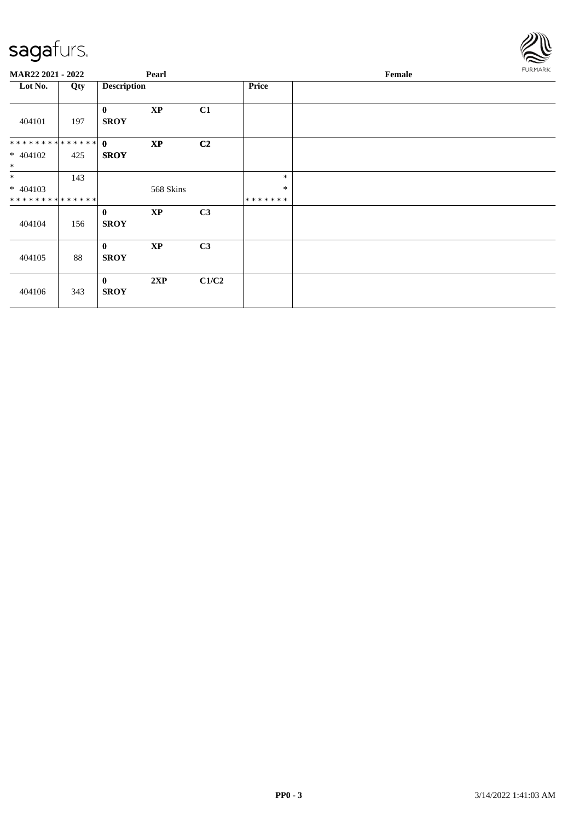

| MAR22 2021 - 2022              |     |                         | Pearl                  |       |         | <b>FURMARK</b> |  |
|--------------------------------|-----|-------------------------|------------------------|-------|---------|----------------|--|
| Lot No.                        | Qty | <b>Description</b>      |                        |       | Price   |                |  |
| 404101                         | 197 | $\bf{0}$<br><b>SROY</b> | $\bold{XP}$            | C1    |         |                |  |
| ************** 0<br>$* 404102$ | 425 | <b>SROY</b>             | $\mathbf{XP}$          | C2    |         |                |  |
| $*$                            |     |                         |                        |       |         |                |  |
| $\ast$                         | 143 |                         |                        |       | $\ast$  |                |  |
| $* 404103$                     |     |                         | 568 Skins              |       | $\ast$  |                |  |
| **************                 |     |                         |                        |       | ******* |                |  |
| 404104                         | 156 | $\bf{0}$<br><b>SROY</b> | $\bold{XP}$            | C3    |         |                |  |
| 404105                         | 88  | $\bf{0}$<br><b>SROY</b> | $\mathbf{X}\mathbf{P}$ | C3    |         |                |  |
| 404106                         | 343 | $\bf{0}$<br><b>SROY</b> | 2XP                    | C1/C2 |         |                |  |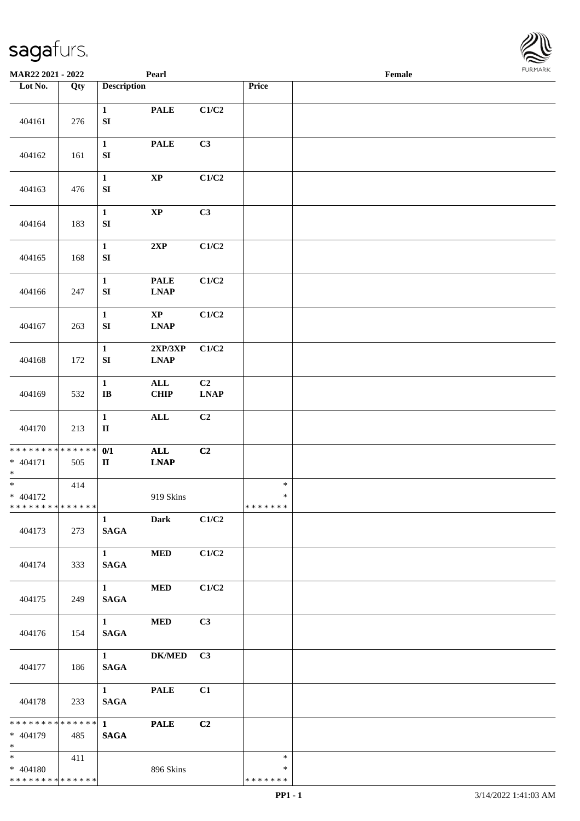

| MAR22 2021 - 2022                                    |     |                                       | Pearl                                                                     |                               |                                   | Female |  |
|------------------------------------------------------|-----|---------------------------------------|---------------------------------------------------------------------------|-------------------------------|-----------------------------------|--------|--|
| Lot No.                                              | Qty | <b>Description</b>                    |                                                                           |                               | Price                             |        |  |
| 404161                                               | 276 | $\mathbf{1}$<br>${\bf SI}$            | <b>PALE</b>                                                               | C1/C2                         |                                   |        |  |
| 404162                                               | 161 | $\mathbf{1}$<br>${\bf S}{\bf I}$      | <b>PALE</b>                                                               | C3                            |                                   |        |  |
| 404163                                               | 476 | $\mathbf{1}$<br>${\bf SI}$            | $\bold{XP}$                                                               | C1/C2                         |                                   |        |  |
| 404164                                               | 183 | $\mathbf{1}$<br>${\bf SI}$            | $\bold{XP}$                                                               | C3                            |                                   |        |  |
| 404165                                               | 168 | $\mathbf{1}$<br>${\bf S}{\bf I}$      | 2XP                                                                       | C1/C2                         |                                   |        |  |
| 404166                                               | 247 | $\mathbf 1$<br>SI                     | <b>PALE</b><br><b>LNAP</b>                                                | $\rm C1/C2$                   |                                   |        |  |
| 404167                                               | 263 | $\mathbf{1}$<br>${\bf SI}$            | $\mathbf{X}\mathbf{P}$<br><b>LNAP</b>                                     | C1/C2                         |                                   |        |  |
| 404168                                               | 172 | $\mathbf{1}$<br>${\bf SI}$            | 2XP/3XP<br><b>LNAP</b>                                                    | C1/C2                         |                                   |        |  |
| 404169                                               | 532 | $\mathbf{1}$<br>$\mathbf I\mathbf B$  | ALL<br><b>CHIP</b>                                                        | C <sub>2</sub><br><b>LNAP</b> |                                   |        |  |
| 404170                                               | 213 | $\mathbf{1}$<br>$\rm II$              | $\mathbf{ALL}$                                                            | C2                            |                                   |        |  |
| ******** <mark>******</mark><br>$* 404171$<br>$\ast$ | 505 | 0/1<br>$\mathbf{I}\mathbf{I}$         | $\mathbf{ALL}$<br>$\ensuremath{\mathbf{L}\mathbf{N}\mathbf{A}\mathbf{P}}$ | C2                            |                                   |        |  |
| $\ast$<br>$* 404172$<br>* * * * * * * * * * * * * *  | 414 |                                       | 919 Skins                                                                 |                               | $\ast$<br>$\ast$<br>*******       |        |  |
| 404173                                               | 273 | $\mathbf{1}$<br><b>SAGA</b>           | <b>Dark</b>                                                               | C1/C2                         |                                   |        |  |
| 404174                                               | 333 | $1 \quad \blacksquare$<br><b>SAGA</b> | $\bf MED$                                                                 | C1/C2                         |                                   |        |  |
| 404175                                               | 249 | $1 \qquad \qquad$<br><b>SAGA</b>      | <b>MED</b>                                                                | C1/C2                         |                                   |        |  |
| 404176                                               | 154 | $1 \quad \blacksquare$<br><b>SAGA</b> | <b>MED</b>                                                                | C3                            |                                   |        |  |
| 404177                                               | 186 | $1 \quad \blacksquare$<br><b>SAGA</b> | <b>DK/MED</b>                                                             | C3                            |                                   |        |  |
| 404178                                               | 233 | $1 \quad \blacksquare$<br><b>SAGA</b> | <b>PALE</b>                                                               | C1                            |                                   |        |  |
| ******** <mark>******</mark><br>$* 404179$<br>$*$    | 485 | $1 \qquad \qquad$<br><b>SAGA</b>      | <b>PALE</b>                                                               | C2                            |                                   |        |  |
| $* 404180$<br>* * * * * * * * * * * * * *            | 411 |                                       | 896 Skins                                                                 |                               | $\ast$<br>$\ast$<br>* * * * * * * |        |  |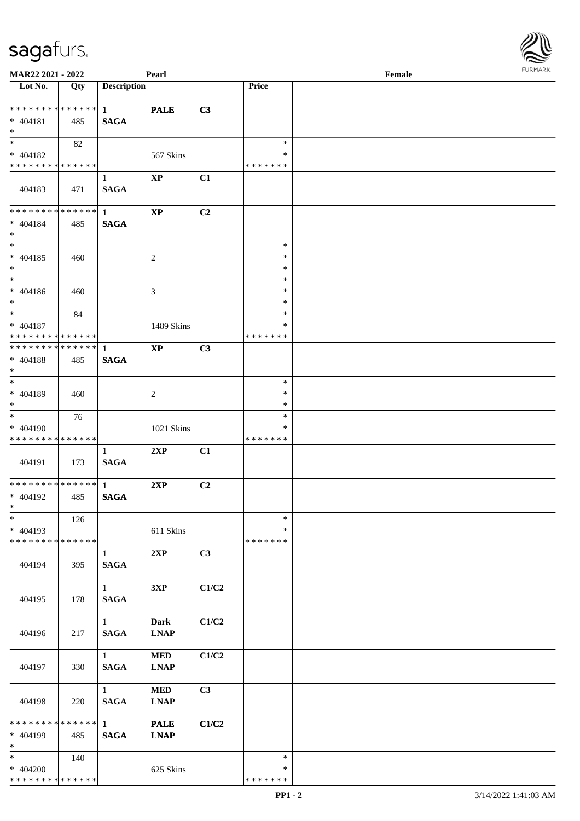| MAR22 2021 - 2022             |     |                        | Pearl                  |                |               | Female | <b>FUNITANY</b> |
|-------------------------------|-----|------------------------|------------------------|----------------|---------------|--------|-----------------|
| Lot No.                       | Qty | <b>Description</b>     |                        |                | <b>Price</b>  |        |                 |
| * * * * * * * * * * * * * * * |     | $1 \quad \blacksquare$ | <b>PALE</b>            | C3             |               |        |                 |
| $* 404181$                    | 485 | <b>SAGA</b>            |                        |                |               |        |                 |
| $*$                           |     |                        |                        |                |               |        |                 |
| $*$                           | 82  |                        |                        |                | $\ast$        |        |                 |
| $* 404182$                    |     |                        | 567 Skins              |                | ∗             |        |                 |
| * * * * * * * * * * * * * *   |     |                        |                        |                | * * * * * * * |        |                 |
|                               |     | $\mathbf{1}$           | $\bold{XP}$            | C1             |               |        |                 |
| 404183                        | 471 | <b>SAGA</b>            |                        |                |               |        |                 |
|                               |     |                        |                        |                |               |        |                 |
| * * * * * * * * * * * * * * * |     | $\mathbf{1}$           | $\bold{XP}$            | C <sub>2</sub> |               |        |                 |
| $* 404184$                    | 485 | <b>SAGA</b>            |                        |                |               |        |                 |
| $*$                           |     |                        |                        |                |               |        |                 |
| $\overline{\phantom{0}}$      |     |                        |                        |                | $\ast$        |        |                 |
| $* 404185$                    | 460 |                        | $\sqrt{2}$             |                | $\ast$        |        |                 |
| $*$                           |     |                        |                        |                | $\ast$        |        |                 |
| $*$                           |     |                        |                        |                | $\ast$        |        |                 |
| $* 404186$                    | 460 |                        | $\mathfrak{Z}$         |                | $\ast$        |        |                 |
| $*$                           |     |                        |                        |                | $\ast$        |        |                 |
| $*$                           | 84  |                        |                        |                | $\ast$        |        |                 |
| $* 404187$                    |     |                        | 1489 Skins             |                | ∗             |        |                 |
| * * * * * * * * * * * * * *   |     |                        |                        |                | * * * * * * * |        |                 |
| * * * * * * * * * * * * * *   |     | $\mathbf{1}$           | $\mathbf{X}\mathbf{P}$ | C3             |               |        |                 |
| $* 404188$                    | 485 | <b>SAGA</b>            |                        |                |               |        |                 |
| $*$<br>$*$                    |     |                        |                        |                | $\ast$        |        |                 |
| $* 404189$                    |     |                        |                        |                | $\ast$        |        |                 |
| $*$                           | 460 |                        | $\overline{2}$         |                | $\ast$        |        |                 |
| $*$                           | 76  |                        |                        |                | $\ast$        |        |                 |
| * 404190                      |     |                        | 1021 Skins             |                | ∗             |        |                 |
| * * * * * * * * * * * * * *   |     |                        |                        |                | * * * * * * * |        |                 |
|                               |     | $\mathbf{1}$           | 2XP                    | C1             |               |        |                 |
| 404191                        | 173 | <b>SAGA</b>            |                        |                |               |        |                 |
|                               |     |                        |                        |                |               |        |                 |
| * * * * * * * * * * * * * * * |     | $\mathbf{1}$           | 2XP                    | C2             |               |        |                 |
| $* 404192$                    | 485 | <b>SAGA</b>            |                        |                |               |        |                 |
| $*$ $-$                       |     |                        |                        |                |               |        |                 |
| $\ast$                        | 126 |                        |                        |                | $\ast$        |        |                 |
| $* 404193$                    |     |                        | 611 Skins              |                | $\ast$        |        |                 |
| * * * * * * * * * * * * * *   |     |                        |                        |                | * * * * * * * |        |                 |
|                               |     | $\mathbf{1}$           | 2XP                    | C3             |               |        |                 |
| 404194                        | 395 | <b>SAGA</b>            |                        |                |               |        |                 |
|                               |     |                        |                        |                |               |        |                 |
|                               |     | $\mathbf{1}$           | 3XP                    | C1/C2          |               |        |                 |
| 404195                        | 178 | <b>SAGA</b>            |                        |                |               |        |                 |
|                               |     |                        |                        |                |               |        |                 |
|                               |     | $\mathbf{1}$           | <b>Dark</b>            | C1/C2          |               |        |                 |
| 404196                        | 217 | <b>SAGA</b>            | <b>LNAP</b>            |                |               |        |                 |
|                               |     |                        |                        |                |               |        |                 |
|                               |     | $1 \quad$              | $\bf MED$              | C1/C2          |               |        |                 |
| 404197                        | 330 | <b>SAGA</b>            | <b>LNAP</b>            |                |               |        |                 |
|                               |     |                        |                        | C3             |               |        |                 |
|                               |     | $\mathbf{1}$           | $\bf MED$              |                |               |        |                 |
| 404198                        | 220 | <b>SAGA</b>            | <b>LNAP</b>            |                |               |        |                 |
| ******** <mark>******</mark>  |     | 1                      | <b>PALE</b>            | C1/C2          |               |        |                 |
| * 404199                      | 485 | <b>SAGA</b>            | <b>LNAP</b>            |                |               |        |                 |
| $*$ $*$                       |     |                        |                        |                |               |        |                 |
| $*$ and $*$                   | 140 |                        |                        |                | $\ast$        |        |                 |
| $* 404200$                    |     |                        | 625 Skins              |                | ∗             |        |                 |
| * * * * * * * * * * * * * *   |     |                        |                        |                | *******       |        |                 |
|                               |     |                        |                        |                |               |        |                 |

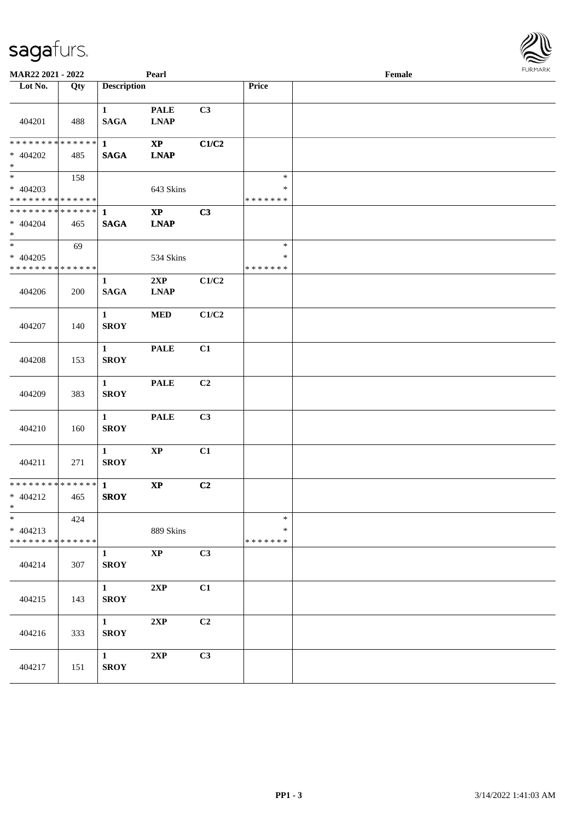| MAR22 2021 - 2022                                                   |     |                                       | Pearl                        |                |                                   | Female | $1.9151$ <i>W</i> $11.915$ |
|---------------------------------------------------------------------|-----|---------------------------------------|------------------------------|----------------|-----------------------------------|--------|----------------------------|
| Lot No.                                                             | Qty | <b>Description</b>                    |                              |                | Price                             |        |                            |
| 404201                                                              | 488 | $\mathbf{1}$<br><b>SAGA</b>           | <b>PALE</b><br><b>LNAP</b>   | C3             |                                   |        |                            |
| ******** <mark>******</mark><br>$* 404202$<br>$*$                   | 485 | $\mathbf{1}$<br><b>SAGA</b>           | $\bold{XP}$<br><b>LNAP</b>   | C1/C2          |                                   |        |                            |
| $* 404203$<br>* * * * * * * * <mark>* * * * * * *</mark>            | 158 |                                       | 643 Skins                    |                | $\ast$<br>*<br>* * * * * * *      |        |                            |
| * * * * * * * * * * * * * * *<br>$* 404204$<br>$*$                  | 465 | $\mathbf{1}$<br><b>SAGA</b>           | $\mathbf{XP}$<br><b>LNAP</b> | C3             |                                   |        |                            |
| $\overline{\ast}$<br>$* 404205$<br>* * * * * * * * * * * * * *      | 69  |                                       | 534 Skins                    |                | $\ast$<br>$\ast$<br>* * * * * * * |        |                            |
| 404206                                                              | 200 | $\mathbf{1}$<br><b>SAGA</b>           | 2XP<br><b>LNAP</b>           | C1/C2          |                                   |        |                            |
| 404207                                                              | 140 | $\mathbf{1}$<br><b>SROY</b>           | <b>MED</b>                   | C1/C2          |                                   |        |                            |
| 404208                                                              | 153 | $\mathbf{1}$<br><b>SROY</b>           | <b>PALE</b>                  | C1             |                                   |        |                            |
| 404209                                                              | 383 | $\mathbf{1}$<br><b>SROY</b>           | <b>PALE</b>                  | C <sub>2</sub> |                                   |        |                            |
| 404210                                                              | 160 | $\mathbf{1}$<br><b>SROY</b>           | <b>PALE</b>                  | C3             |                                   |        |                            |
| 404211                                                              | 271 | $\mathbf{1}$<br><b>SROY</b>           | $\bold{XP}$                  | C1             |                                   |        |                            |
| * * * * * * * * <mark>* * * * * * *</mark><br>$* 404212$<br>$*$ $-$ | 465 | $\mathbf{1}$<br><b>SROY</b>           | $\mathbf{X}\mathbf{P}$       | C2             |                                   |        |                            |
| $\ast$<br>$* 404213$<br>* * * * * * * * * * * * * *                 | 424 |                                       | 889 Skins                    |                | $\ast$<br>*<br>* * * * * * *      |        |                            |
| 404214                                                              | 307 | $\mathbf{1}$<br><b>SROY</b>           | $\bold{XP}$                  | C3             |                                   |        |                            |
| 404215                                                              | 143 | $\mathbf{1}$<br><b>SROY</b>           | 2XP                          | C1             |                                   |        |                            |
| 404216                                                              | 333 | $\mathbf{1}$<br><b>SROY</b>           | 2XP                          | C <sub>2</sub> |                                   |        |                            |
| 404217                                                              | 151 | $1 \quad \blacksquare$<br><b>SROY</b> | 2XP                          | C3             |                                   |        |                            |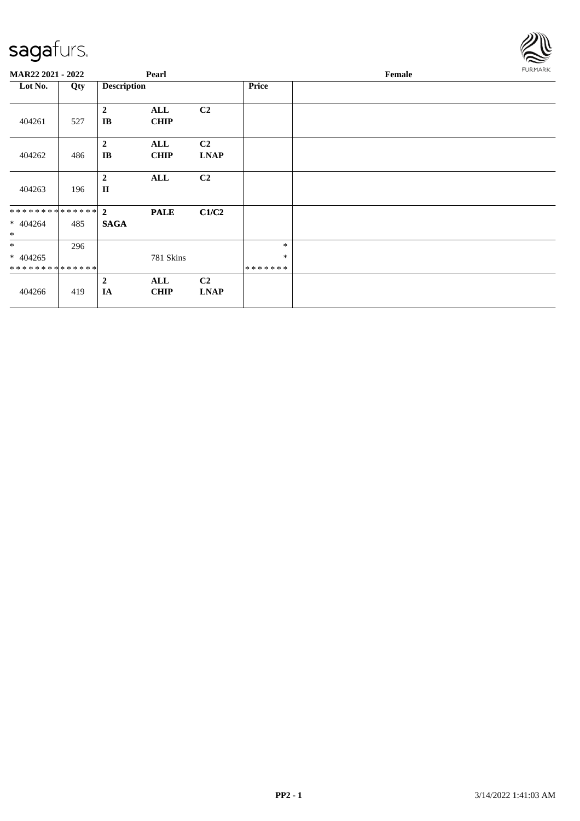

| <b>MAR22 2021 - 2022</b> |     |                                          | Pearl              |                               |              | Female | <b>FURMARK</b> |
|--------------------------|-----|------------------------------------------|--------------------|-------------------------------|--------------|--------|----------------|
| Lot No.                  | Qty | <b>Description</b>                       |                    |                               | <b>Price</b> |        |                |
| 404261                   | 527 | $\overline{2}$<br>$\mathbf{I}\mathbf{B}$ | ALL<br><b>CHIP</b> | C2                            |              |        |                |
| 404262                   | 486 | $\overline{2}$<br>IB                     | ALL<br><b>CHIP</b> | C <sub>2</sub><br><b>LNAP</b> |              |        |                |
| 404263                   | 196 | $\overline{2}$<br>$\mathbf{I}$           | ALL                | C <sub>2</sub>                |              |        |                |
| ************** 2         |     |                                          | <b>PALE</b>        | C1/C2                         |              |        |                |
| $* 404264$<br>$\ast$     | 485 | <b>SAGA</b>                              |                    |                               |              |        |                |
| $*$                      | 296 |                                          |                    |                               | $\ast$       |        |                |
| $* 404265$               |     |                                          | 781 Skins          |                               | $\ast$       |        |                |
| **************           |     |                                          |                    |                               | *******      |        |                |
|                          |     | $\overline{2}$                           | ALL                | C2                            |              |        |                |
| 404266                   | 419 | IA                                       | <b>CHIP</b>        | <b>LNAP</b>                   |              |        |                |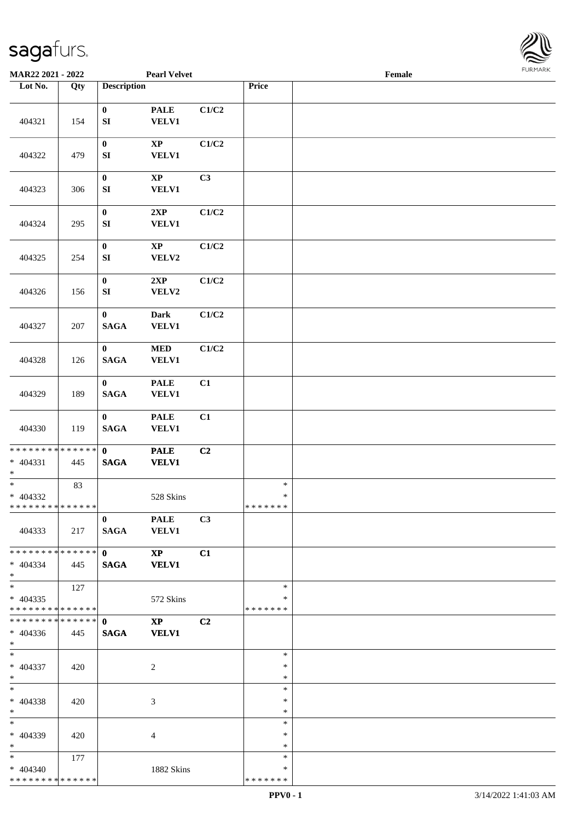

| MAR22 2021 - 2022                                                         |     |                                                                                                                                                                                                                                                                                                                 | <b>Pearl Velvet</b>                    |       |                                   | Female |  |
|---------------------------------------------------------------------------|-----|-----------------------------------------------------------------------------------------------------------------------------------------------------------------------------------------------------------------------------------------------------------------------------------------------------------------|----------------------------------------|-------|-----------------------------------|--------|--|
| Lot No.                                                                   | Qty | <b>Description</b>                                                                                                                                                                                                                                                                                              |                                        |       | Price                             |        |  |
|                                                                           |     |                                                                                                                                                                                                                                                                                                                 |                                        |       |                                   |        |  |
| 404321                                                                    | 154 | $\bf{0}$<br>${\bf SI}$                                                                                                                                                                                                                                                                                          | <b>PALE</b><br><b>VELV1</b>            | C1/C2 |                                   |        |  |
| 404322                                                                    | 479 | $\boldsymbol{0}$<br>${\bf SI}$                                                                                                                                                                                                                                                                                  | $\mathbf{XP}$<br><b>VELV1</b>          | C1/C2 |                                   |        |  |
| 404323                                                                    | 306 | $\pmb{0}$<br>${\bf SI}$                                                                                                                                                                                                                                                                                         | $\mathbf{XP}$<br><b>VELV1</b>          | C3    |                                   |        |  |
| 404324                                                                    | 295 | $\boldsymbol{0}$<br>${\bf SI}$                                                                                                                                                                                                                                                                                  | 2XP<br><b>VELV1</b>                    | C1/C2 |                                   |        |  |
| 404325                                                                    | 254 | $\boldsymbol{0}$<br>${\bf SI}$                                                                                                                                                                                                                                                                                  | $\mathbf{XP}$<br>VELV2                 | C1/C2 |                                   |        |  |
| 404326                                                                    | 156 | $\bf{0}$<br>${\bf S}{\bf I}$                                                                                                                                                                                                                                                                                    | 2XP<br>${\bf VELV2}$                   | C1/C2 |                                   |        |  |
| 404327                                                                    | 207 | $\bf{0}$<br><b>SAGA</b>                                                                                                                                                                                                                                                                                         | <b>Dark</b><br><b>VELV1</b>            | C1/C2 |                                   |        |  |
| 404328                                                                    | 126 | $\bf{0}$<br><b>SAGA</b>                                                                                                                                                                                                                                                                                         | $\bf MED$<br><b>VELV1</b>              | C1/C2 |                                   |        |  |
| 404329                                                                    | 189 | $\bf{0}$<br><b>SAGA</b>                                                                                                                                                                                                                                                                                         | <b>PALE</b><br><b>VELV1</b>            | C1    |                                   |        |  |
| 404330                                                                    | 119 | $\mathbf{0}$<br><b>SAGA</b>                                                                                                                                                                                                                                                                                     | <b>PALE</b><br>VELV1                   | C1    |                                   |        |  |
| * * * * * * * * * * * * * * *<br>$* 404331$<br>$\ast$                     | 445 | $\mathbf{0}$<br>$\mathbf{SAGA}$                                                                                                                                                                                                                                                                                 | <b>PALE</b><br><b>VELV1</b>            | C2    |                                   |        |  |
| $\overline{\phantom{a}^*}$<br>$* 404332$<br>* * * * * * * * * * * * * * * | 83  |                                                                                                                                                                                                                                                                                                                 | 528 Skins                              |       | $\ast$<br>$\ast$<br>*******       |        |  |
| 404333                                                                    | 217 | $\mathbf{0}$<br>SAGA                                                                                                                                                                                                                                                                                            | <b>PALE</b><br><b>VELV1</b>            | C3    |                                   |        |  |
| * * * * * * * * * * * * * * *<br>$* 404334$<br>$*$                        | 445 | $\mathbf{0}$ and $\mathbf{0}$ and $\mathbf{0}$ and $\mathbf{0}$ and $\mathbf{0}$ and $\mathbf{0}$ and $\mathbf{0}$ and $\mathbf{0}$ and $\mathbf{0}$ and $\mathbf{0}$ and $\mathbf{0}$ and $\mathbf{0}$ and $\mathbf{0}$ and $\mathbf{0}$ and $\mathbf{0}$ and $\mathbf{0}$ and $\mathbf{0}$ and<br><b>SAGA</b> | $\mathbf{X}\mathbf{P}$<br><b>VELV1</b> | C1    |                                   |        |  |
| $\overline{\phantom{a}^*}$<br>$* 404335$<br>* * * * * * * * * * * * * * * | 127 |                                                                                                                                                                                                                                                                                                                 | 572 Skins                              |       | $\ast$<br>$\ast$<br>* * * * * * * |        |  |
| **************<br>$* 404336$<br>$*$ $*$                                   | 445 | $\mathbf{0}$<br><b>SAGA</b>                                                                                                                                                                                                                                                                                     | $\mathbf{X}\mathbf{P}$<br><b>VELV1</b> | C2    |                                   |        |  |
| $*$<br>$* 404337$<br>$*$                                                  | 420 |                                                                                                                                                                                                                                                                                                                 | $\overline{c}$                         |       | $\ast$<br>$\ast$<br>$\ast$        |        |  |
| $*$<br>* 404338<br>$*$                                                    | 420 |                                                                                                                                                                                                                                                                                                                 | 3                                      |       | $\ast$<br>$\ast$<br>$\ast$        |        |  |
| $*$<br>* 404339<br>$*$                                                    | 420 |                                                                                                                                                                                                                                                                                                                 | $\overline{4}$                         |       | $\ast$<br>∗<br>$\ast$             |        |  |
| $*$ $*$<br>$* 404340$<br>* * * * * * * * * * * * * * *                    | 177 |                                                                                                                                                                                                                                                                                                                 | 1882 Skins                             |       | $\ast$<br>∗<br>* * * * * * *      |        |  |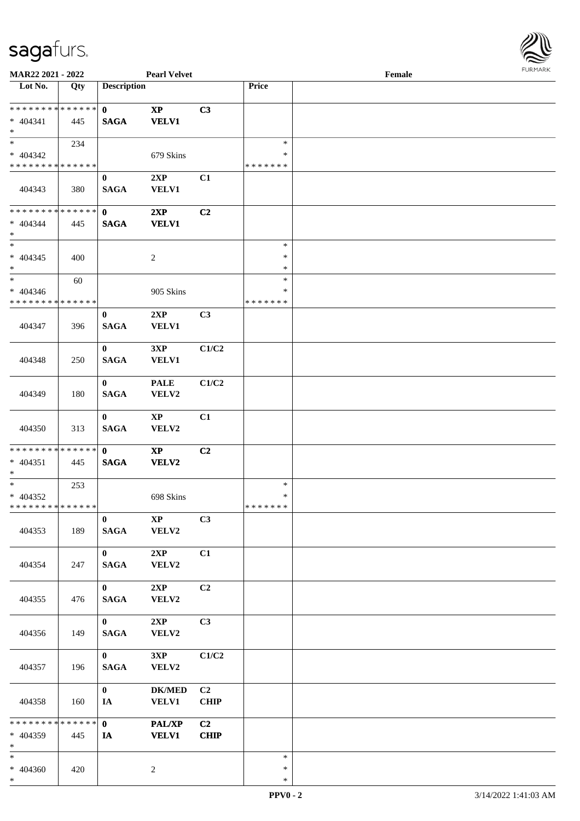

| MAR22 2021 - 2022                                  |     |                             | <b>Pearl Velvet</b>             |                               |                                   | Female |  |
|----------------------------------------------------|-----|-----------------------------|---------------------------------|-------------------------------|-----------------------------------|--------|--|
| Lot No.                                            | Qty | <b>Description</b>          |                                 |                               | Price                             |        |  |
| ******** <mark>******</mark><br>$* 404341$<br>$*$  | 445 | $\mathbf{0}$<br><b>SAGA</b> | $\mathbf{XP}$<br><b>VELV1</b>   | C3                            |                                   |        |  |
| $*$<br>$* 404342$<br>* * * * * * * * * * * * * *   | 234 |                             | 679 Skins                       |                               | $\ast$<br>∗<br>* * * * * * *      |        |  |
| 404343                                             | 380 | $\mathbf{0}$<br><b>SAGA</b> | 2XP<br><b>VELV1</b>             | C1                            |                                   |        |  |
| * * * * * * * * * * * * * *<br>$* 404344$<br>$*$   | 445 | $\mathbf{0}$<br><b>SAGA</b> | 2XP<br><b>VELV1</b>             | C <sub>2</sub>                |                                   |        |  |
| $*$<br>$* 404345$<br>$*$                           | 400 |                             | $\overline{c}$                  |                               | $\ast$<br>$\ast$<br>$\ast$        |        |  |
| $*$<br>$* 404346$<br>* * * * * * * * * * * * * *   | 60  |                             | 905 Skins                       |                               | $\ast$<br>$\ast$<br>* * * * * * * |        |  |
| 404347                                             | 396 | $\bf{0}$<br><b>SAGA</b>     | 2XP<br><b>VELV1</b>             | C3                            |                                   |        |  |
| 404348                                             | 250 | $\bf{0}$<br><b>SAGA</b>     | 3XP<br><b>VELV1</b>             | C1/C2                         |                                   |        |  |
| 404349                                             | 180 | $\bf{0}$<br><b>SAGA</b>     | <b>PALE</b><br>VELV2            | C1/C2                         |                                   |        |  |
| 404350                                             | 313 | $\mathbf{0}$<br><b>SAGA</b> | $\mathbf{X}\mathbf{P}$<br>VELV2 | C1                            |                                   |        |  |
| * * * * * * * * * * * * * * *<br>$* 404351$<br>$*$ | 445 | $\mathbf{0}$<br><b>SAGA</b> | $\mathbf{X}\mathbf{P}$<br>VELV2 | C <sub>2</sub>                |                                   |        |  |
| $*$<br>$* 404352$<br>* * * * * * * * * * * * * * * | 253 |                             | 698 Skins                       |                               | $\ast$<br>$\ast$<br>*******       |        |  |
| 404353                                             | 189 | $\mathbf{0}$<br><b>SAGA</b> | $\mathbf{X}\mathbf{P}$<br>VELV2 | C3                            |                                   |        |  |
| 404354                                             | 247 | $\mathbf{0}$<br><b>SAGA</b> | 2XP<br>VELV2                    | C1                            |                                   |        |  |
| 404355                                             | 476 | $\mathbf{0}$<br><b>SAGA</b> | 2XP<br>VELV2                    | C2                            |                                   |        |  |
| 404356                                             | 149 | $\mathbf{0}$<br><b>SAGA</b> | 2XP<br>VELV2                    | C3                            |                                   |        |  |
| 404357                                             | 196 | $\mathbf{0}$<br><b>SAGA</b> | 3XP<br>VELV2                    | C1/C2                         |                                   |        |  |
| 404358                                             | 160 | $\mathbf{0}$<br>IA          | <b>DK/MED</b><br><b>VELV1</b>   | C <sub>2</sub><br><b>CHIP</b> |                                   |        |  |
| * * * * * * * * * * * * * * *<br>$* 404359$<br>$*$ | 445 | $\mathbf{0}$<br>IA          | <b>PAL/XP</b><br><b>VELV1</b>   | C2<br><b>CHIP</b>             |                                   |        |  |
| $*$<br>* 404360<br>$\ast$                          | 420 |                             | $\overline{c}$                  |                               | $\ast$<br>$\ast$<br>$\ast$        |        |  |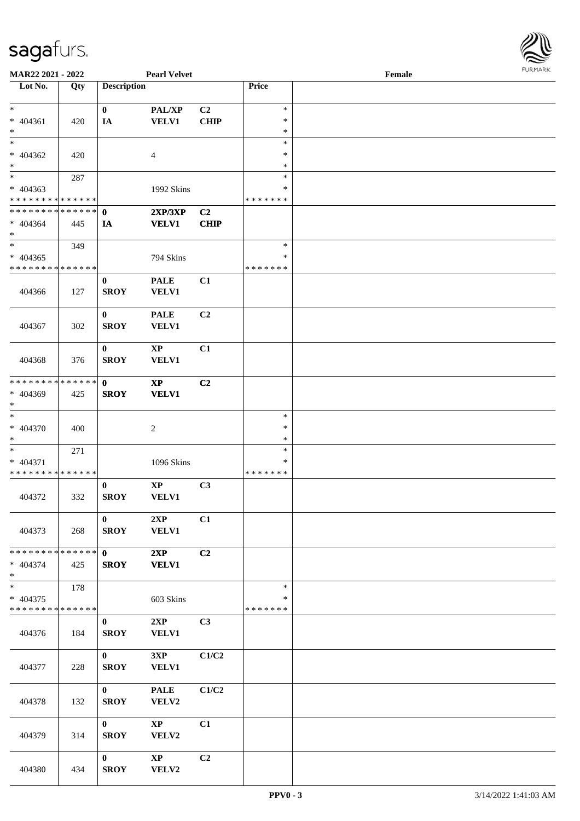

| <b>MAR22 2021 - 2022</b>                   |             |                    | <b>Pearl Velvet</b>    |                |               | Female |  |
|--------------------------------------------|-------------|--------------------|------------------------|----------------|---------------|--------|--|
| Lot No.                                    | Qty         | <b>Description</b> |                        |                | Price         |        |  |
|                                            |             |                    |                        |                |               |        |  |
| $*$                                        |             | $\bf{0}$           | PAL/XP                 | C2             | $\ast$        |        |  |
| * 404361                                   | 420         | IA                 | <b>VELV1</b>           | <b>CHIP</b>    | $\ast$        |        |  |
| $\ast$                                     |             |                    |                        |                | $\ast$        |        |  |
| $\overline{\ }$                            |             |                    |                        |                | $\ast$        |        |  |
| * 404362                                   | 420         |                    | $\overline{4}$         |                | $\ast$        |        |  |
| $*$                                        |             |                    |                        |                | ∗             |        |  |
| $\overline{\phantom{0}}$                   |             |                    |                        |                |               |        |  |
|                                            | 287         |                    |                        |                | $\ast$        |        |  |
| * 404363                                   |             |                    | 1992 Skins             |                | $\ast$        |        |  |
| * * * * * * * * * * * * * *                |             |                    |                        |                | * * * * * * * |        |  |
| * * * * * * * * <mark>* * * * * * *</mark> |             | $\mathbf{0}$       | 2XP/3XP                | C2             |               |        |  |
| $* 404364$                                 | 445         | IA                 | <b>VELV1</b>           | <b>CHIP</b>    |               |        |  |
| $*$                                        |             |                    |                        |                |               |        |  |
| $*$                                        | 349         |                    |                        |                | $\ast$        |        |  |
| * 404365                                   |             |                    | 794 Skins              |                | $\ast$        |        |  |
| * * * * * * * * * * * * * *                |             |                    |                        |                | * * * * * * * |        |  |
|                                            |             |                    |                        |                |               |        |  |
|                                            |             | $\bf{0}$           | <b>PALE</b>            | C1             |               |        |  |
| 404366                                     | 127         | <b>SROY</b>        | VELV1                  |                |               |        |  |
|                                            |             |                    |                        |                |               |        |  |
|                                            |             | $\bf{0}$           | <b>PALE</b>            | C2             |               |        |  |
| 404367                                     | 302         | <b>SROY</b>        | <b>VELV1</b>           |                |               |        |  |
|                                            |             |                    |                        |                |               |        |  |
|                                            |             | $\bf{0}$           | $\mathbf{X}\mathbf{P}$ | C1             |               |        |  |
| 404368                                     | 376         | <b>SROY</b>        | VELV1                  |                |               |        |  |
|                                            |             |                    |                        |                |               |        |  |
| * * * * * * * *                            | * * * * * * |                    |                        |                |               |        |  |
|                                            |             | $\mathbf 0$        | $\mathbf{X}\mathbf{P}$ | C2             |               |        |  |
| * 404369                                   | 425         | <b>SROY</b>        | <b>VELV1</b>           |                |               |        |  |
| $*$                                        |             |                    |                        |                |               |        |  |
| $_{*}^{-}$                                 |             |                    |                        |                | $\ast$        |        |  |
| $* 404370$                                 | 400         |                    | $\sqrt{2}$             |                | $\ast$        |        |  |
| $*$                                        |             |                    |                        |                | $\ast$        |        |  |
| $*$                                        | 271         |                    |                        |                | $\ast$        |        |  |
| * 404371                                   |             |                    | 1096 Skins             |                | $\ast$        |        |  |
| * * * * * * * * * * * * * *                |             |                    |                        |                | *******       |        |  |
|                                            |             | $\bf{0}$           | $\bold{XP}$            | C3             |               |        |  |
| 404372                                     | 332         | <b>SROY</b>        | VELV1                  |                |               |        |  |
|                                            |             |                    |                        |                |               |        |  |
|                                            |             |                    |                        |                |               |        |  |
|                                            |             | $\mathbf{0}$       | 2XP                    | C1             |               |        |  |
| 404373                                     | 268         | <b>SROY</b>        | <b>VELV1</b>           |                |               |        |  |
|                                            |             |                    |                        |                |               |        |  |
| * * * * * * * * <mark>* * * * * * *</mark> |             | $\mathbf{0}$       | 2XP                    | C2             |               |        |  |
| * 404374                                   | 425         | <b>SROY</b>        | <b>VELV1</b>           |                |               |        |  |
| $*$                                        |             |                    |                        |                |               |        |  |
|                                            | 178         |                    |                        |                | $\ast$        |        |  |
| * 404375                                   |             |                    | 603 Skins              |                | ∗             |        |  |
| * * * * * * * * * * * * * *                |             |                    |                        |                | * * * * * * * |        |  |
|                                            |             |                    |                        |                |               |        |  |
|                                            |             | $\bf{0}$           | 2XP                    | C <sub>3</sub> |               |        |  |
| 404376                                     | 184         | <b>SROY</b>        | <b>VELV1</b>           |                |               |        |  |
|                                            |             |                    |                        |                |               |        |  |
|                                            |             | $\mathbf{0}$       | 3XP                    | C1/C2          |               |        |  |
| 404377                                     | 228         | <b>SROY</b>        | VELV1                  |                |               |        |  |
|                                            |             |                    |                        |                |               |        |  |
|                                            |             | $\mathbf{0}$       | <b>PALE</b>            | C1/C2          |               |        |  |
| 404378                                     | 132         | <b>SROY</b>        | VELV2                  |                |               |        |  |
|                                            |             |                    |                        |                |               |        |  |
|                                            |             |                    |                        |                |               |        |  |
|                                            |             | $\mathbf{0}$       | $\mathbf{X}\mathbf{P}$ | C1             |               |        |  |
| 404379                                     | 314         | <b>SROY</b>        | VELV2                  |                |               |        |  |
|                                            |             |                    |                        |                |               |        |  |
|                                            |             | $\mathbf{0}$       | $\mathbf{X}\mathbf{P}$ | C2             |               |        |  |
| 404380                                     | 434         | <b>SROY</b>        | VELV2                  |                |               |        |  |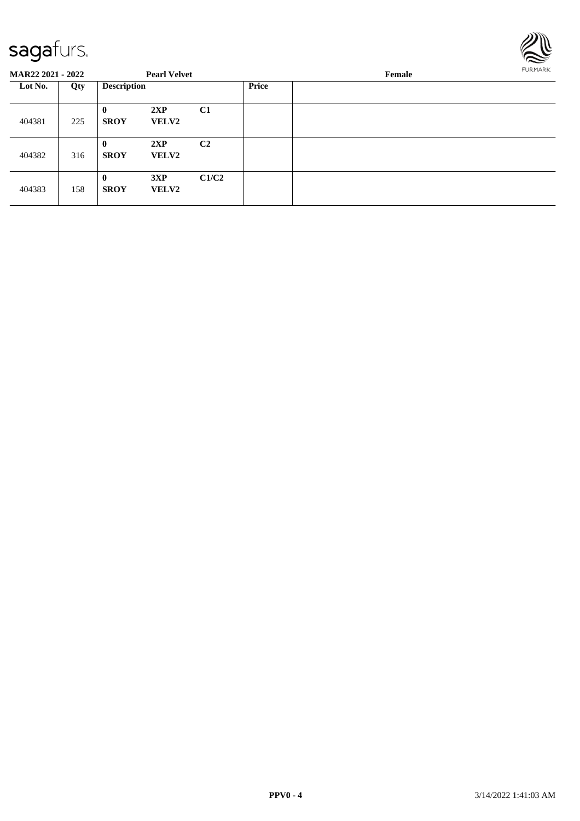

| <b>MAR22 2021 - 2022</b> |     |                             | <b>Pearl Velvet</b> |                |       | Female | FURMARK |
|--------------------------|-----|-----------------------------|---------------------|----------------|-------|--------|---------|
| Lot No.                  | Qty | <b>Description</b>          |                     |                | Price |        |         |
| 404381                   | 225 | $\mathbf{0}$<br><b>SROY</b> | 2XP<br><b>VELV2</b> | C1             |       |        |         |
| 404382                   | 316 | $\bf{0}$<br><b>SROY</b>     | 2XP<br><b>VELV2</b> | C <sub>2</sub> |       |        |         |
| 404383                   | 158 | $\mathbf{0}$<br><b>SROY</b> | 3XP<br><b>VELV2</b> | C1/C2          |       |        |         |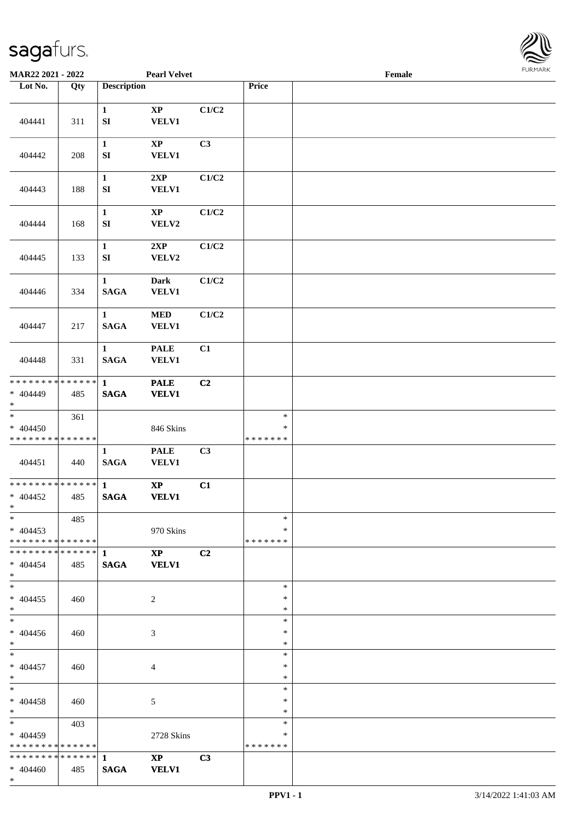

| MAR22 2021 - 2022                                              |     |                                  | <b>Pearl Velvet</b>                    |                |                                   | Female |  |
|----------------------------------------------------------------|-----|----------------------------------|----------------------------------------|----------------|-----------------------------------|--------|--|
| Lot No.                                                        | Qty | <b>Description</b>               |                                        |                | Price                             |        |  |
| 404441                                                         | 311 | $\mathbf{1}$<br>${\bf SI}$       | $\bold{XP}$<br><b>VELV1</b>            | C1/C2          |                                   |        |  |
| 404442                                                         | 208 | $\mathbf{1}$<br>${\bf S}{\bf I}$ | $\bold{XP}$<br><b>VELV1</b>            | C3             |                                   |        |  |
| 404443                                                         | 188 | $\mathbf{1}$<br>${\bf S}{\bf I}$ | 2XP<br><b>VELV1</b>                    | C1/C2          |                                   |        |  |
| 404444                                                         | 168 | $\mathbf{1}$<br>${\bf S}{\bf I}$ | $\mathbf{X}\mathbf{P}$<br>VELV2        | C1/C2          |                                   |        |  |
| 404445                                                         | 133 | $\mathbf 1$<br>SI                | 2XP<br>VELV2                           | C1/C2          |                                   |        |  |
| 404446                                                         | 334 | $\mathbf{1}$<br><b>SAGA</b>      | <b>Dark</b><br><b>VELV1</b>            | C1/C2          |                                   |        |  |
| 404447                                                         | 217 | $\mathbf{1}$<br><b>SAGA</b>      | <b>MED</b><br>VELV1                    | C1/C2          |                                   |        |  |
| 404448                                                         | 331 | $\mathbf{1}$<br><b>SAGA</b>      | <b>PALE</b><br><b>VELV1</b>            | C1             |                                   |        |  |
| * * * * * * * * * * * * * * *<br>$* 404449$<br>$*$             | 485 | $\mathbf{1}$<br><b>SAGA</b>      | <b>PALE</b><br><b>VELV1</b>            | C2             |                                   |        |  |
| $\overline{\ast}$<br>$* 404450$<br>* * * * * * * * * * * * * * | 361 |                                  | 846 Skins                              |                | $\ast$<br>$\ast$<br>* * * * * * * |        |  |
| 404451                                                         | 440 | $\mathbf{1}$<br><b>SAGA</b>      | <b>PALE</b><br>VELV1                   | C3             |                                   |        |  |
| * * * * * * * * * * * * * * *<br>$* 404452$<br>$*$             | 485 | $\mathbf{1}$<br><b>SAGA</b>      | $\bold{XP}$<br><b>VELV1</b>            | C1             |                                   |        |  |
| $*$<br>$* 404453$<br>* * * * * * * * * * * * * * *             | 485 |                                  | 970 Skins                              |                | $\ast$<br>∗<br>* * * * * * *      |        |  |
| $* 404454$<br>$*$                                              | 485 | <b>SAGA</b>                      | $\mathbf{X}\mathbf{P}$<br><b>VELV1</b> | C2             |                                   |        |  |
| $*$<br>$* 404455$<br>$*$                                       | 460 |                                  | 2                                      |                | $\ast$<br>$\ast$<br>$\ast$        |        |  |
| $*$<br>$* 404456$<br>$*$ $*$                                   | 460 |                                  | 3                                      |                | $\ast$<br>∗<br>$\ast$             |        |  |
| $*$ and $*$<br>$* 404457$<br>$*$ $*$                           | 460 |                                  | 4                                      |                | $\ast$<br>$\ast$<br>$\ast$        |        |  |
| $*$ $-$<br>$* 404458$<br>$*$ $*$                               | 460 |                                  | 5                                      |                | $\ast$<br>$\ast$<br>$\ast$        |        |  |
| $*$ and $*$<br>$* 404459$<br>* * * * * * * * * * * * * * *     | 403 |                                  | 2728 Skins                             |                | $\ast$<br>∗<br>* * * * * * *      |        |  |
| $* 404460$<br>$*$                                              | 485 | <b>SAGA</b>                      | $\mathbf{X}\mathbf{P}$<br><b>VELV1</b> | C <sub>3</sub> |                                   |        |  |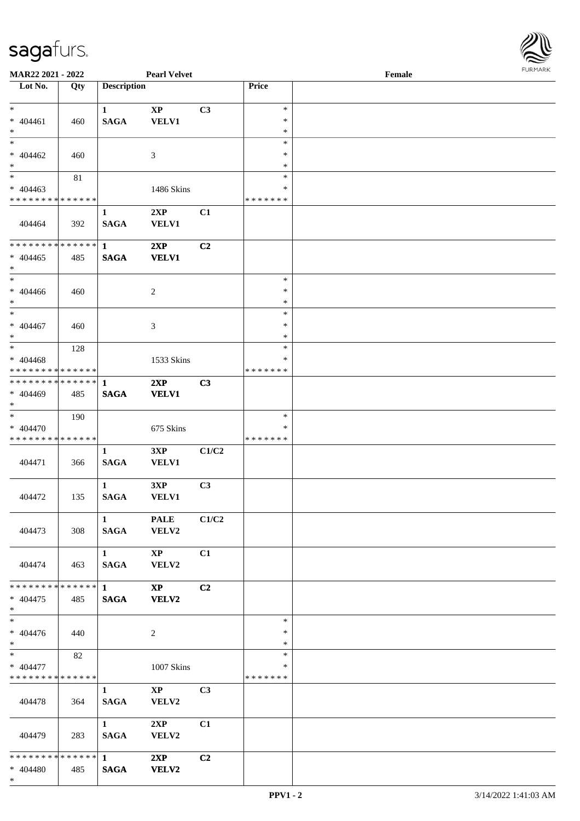

| MAR22 2021 - 2022                                              |     |                        | <b>Pearl Velvet</b>    |                |                  | Female |  |
|----------------------------------------------------------------|-----|------------------------|------------------------|----------------|------------------|--------|--|
| Lot No.                                                        | Qty | <b>Description</b>     |                        |                | Price            |        |  |
|                                                                |     |                        |                        |                |                  |        |  |
| $*$                                                            |     | $\mathbf{1}$           | $\mathbf{X}\mathbf{P}$ | C3             | $\ast$           |        |  |
| $* 404461$                                                     | 460 | <b>SAGA</b>            | VELV1                  |                | $\ast$           |        |  |
| $*$                                                            |     |                        |                        |                | $\ast$           |        |  |
| $*$                                                            |     |                        |                        |                | $\ast$           |        |  |
| $* 404462$                                                     | 460 |                        | 3                      |                | ∗                |        |  |
| $\ast$                                                         |     |                        |                        |                | $\ast$           |        |  |
|                                                                | 81  |                        |                        |                | $\ast$           |        |  |
| $* 404463$                                                     |     |                        | 1486 Skins             |                | $\ast$           |        |  |
| * * * * * * * * * * * * * *                                    |     |                        |                        |                | * * * * * * *    |        |  |
|                                                                |     | $\mathbf{1}$           | 2XP                    | C1             |                  |        |  |
| 404464                                                         | 392 | <b>SAGA</b>            | <b>VELV1</b>           |                |                  |        |  |
|                                                                |     |                        |                        |                |                  |        |  |
| * * * * * * * * * * * * * *                                    |     | $\mathbf{1}$           | 2XP                    | C2             |                  |        |  |
| $* 404465$                                                     | 485 | <b>SAGA</b>            | <b>VELV1</b>           |                |                  |        |  |
| $*$                                                            |     |                        |                        |                |                  |        |  |
| $*$                                                            |     |                        |                        |                | $\ast$           |        |  |
| $* 404466$                                                     | 460 |                        | 2                      |                | $\ast$           |        |  |
| $*$                                                            |     |                        |                        |                | $\ast$           |        |  |
| $*$                                                            |     |                        |                        |                | $\ast$           |        |  |
| $* 404467$                                                     | 460 |                        | 3                      |                | ∗                |        |  |
| $*$<br>$*$                                                     |     |                        |                        |                | $\ast$<br>$\ast$ |        |  |
|                                                                | 128 |                        |                        |                |                  |        |  |
| $* 404468$                                                     |     |                        | 1533 Skins             |                | *                |        |  |
| * * * * * * * * * * * * * * *<br>* * * * * * * * * * * * * * * |     |                        |                        |                | * * * * * * *    |        |  |
|                                                                |     | -1                     | 2XP                    | C3             |                  |        |  |
| $* 404469$<br>$*$                                              | 485 | <b>SAGA</b>            | <b>VELV1</b>           |                |                  |        |  |
| $\ast$                                                         | 190 |                        |                        |                | $\ast$           |        |  |
| * 404470                                                       |     |                        | 675 Skins              |                | *                |        |  |
| * * * * * * * * * * * * * *                                    |     |                        |                        |                | * * * * * * *    |        |  |
|                                                                |     | $\mathbf{1}$           | 3XP                    | C1/C2          |                  |        |  |
| 404471                                                         | 366 | <b>SAGA</b>            | <b>VELV1</b>           |                |                  |        |  |
|                                                                |     |                        |                        |                |                  |        |  |
|                                                                |     | $\mathbf{1}$           | 3XP                    | C3             |                  |        |  |
| 404472                                                         | 135 | <b>SAGA</b>            | <b>VELV1</b>           |                |                  |        |  |
|                                                                |     |                        |                        |                |                  |        |  |
|                                                                |     | 1                      | <b>PALE</b>            | C1/C2          |                  |        |  |
| 404473                                                         | 308 | <b>SAGA</b>            | <b>VELV2</b>           |                |                  |        |  |
|                                                                |     |                        |                        |                |                  |        |  |
|                                                                |     | $1 \qquad \qquad$      | $\mathbf{XP}$          | C1             |                  |        |  |
| 404474                                                         | 463 | SAGA                   | <b>VELV2</b>           |                |                  |        |  |
|                                                                |     |                        |                        |                |                  |        |  |
| ************** 1                                               |     |                        | $\mathbf{X}\mathbf{P}$ | C2             |                  |        |  |
| $* 404475$                                                     | 485 | <b>SAGA</b>            | <b>VELV2</b>           |                |                  |        |  |
| $*$ $-$                                                        |     |                        |                        |                |                  |        |  |
| $*$                                                            |     |                        |                        |                | $\ast$           |        |  |
| $* 404476$                                                     | 440 |                        | 2                      |                | ∗                |        |  |
| $*$ $*$                                                        |     |                        |                        |                | $\ast$           |        |  |
| $*$ and $*$                                                    | 82  |                        |                        |                | $\ast$           |        |  |
| * 404477                                                       |     |                        | 1007 Skins             |                | *                |        |  |
| * * * * * * * * * * * * * * *                                  |     |                        |                        |                | * * * * * * *    |        |  |
|                                                                |     | $\mathbf{1}$           | $\mathbf{XP}$          | C <sub>3</sub> |                  |        |  |
| 404478                                                         | 364 | <b>SAGA</b>            | <b>VELV2</b>           |                |                  |        |  |
|                                                                |     |                        |                        |                |                  |        |  |
|                                                                |     | $1 \quad \blacksquare$ | 2XP                    | C1             |                  |        |  |
| 404479                                                         | 283 | <b>SAGA</b>            | <b>VELV2</b>           |                |                  |        |  |
|                                                                |     |                        |                        |                |                  |        |  |
|                                                                |     |                        | 2XP                    | C2             |                  |        |  |
| $* 404480$                                                     | 485 | <b>SAGA</b>            | <b>VELV2</b>           |                |                  |        |  |
| $*$                                                            |     |                        |                        |                |                  |        |  |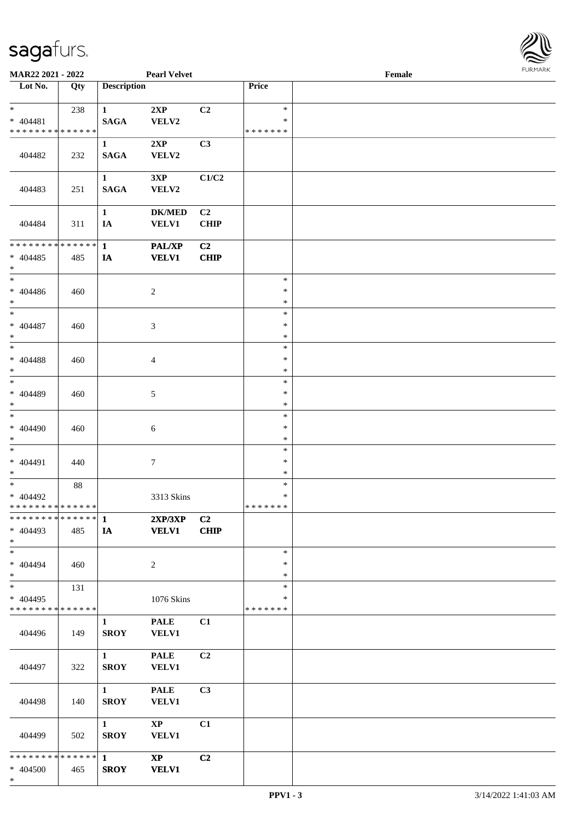

| <b>Pearl Velvet</b><br>MAR22 2021 - 2022          |        |                                 |                             |                   | Female           | <b>FURMARK</b> |  |
|---------------------------------------------------|--------|---------------------------------|-----------------------------|-------------------|------------------|----------------|--|
| $\overline{\phantom{1}}$ Lot No.                  | Qty    | <b>Description</b>              |                             |                   | Price            |                |  |
| $*$                                               | 238    | $\mathbf{1}$                    | 2XP                         | C2                | $\ast$           |                |  |
| $* 404481$                                        |        | <b>SAGA</b>                     | VELV2                       |                   | *                |                |  |
| * * * * * * * * * * * * * *                       |        |                                 |                             |                   | * * * * * * *    |                |  |
| 404482                                            | 232    | $\mathbf{1}$<br>$\mathbf{SAGA}$ | 2XP<br>VELV2                | C3                |                  |                |  |
|                                                   |        |                                 |                             |                   |                  |                |  |
|                                                   |        | $\mathbf{1}$                    | 3XP                         | C1/C2             |                  |                |  |
| 404483                                            | 251    | $\mathbf{SAGA}$                 | VELV2                       |                   |                  |                |  |
|                                                   |        |                                 |                             |                   |                  |                |  |
| 404484                                            | 311    | $\mathbf{1}$<br>IA              | <b>DK/MED</b>               | C2<br><b>CHIP</b> |                  |                |  |
|                                                   |        |                                 | <b>VELV1</b>                |                   |                  |                |  |
| * * * * * * * * * * * * * * *                     |        | $\mathbf{1}$                    | <b>PAL/XP</b>               | C <sub>2</sub>    |                  |                |  |
| $* 404485$                                        | 485    | IA                              | <b>VELV1</b>                | <b>CHIP</b>       |                  |                |  |
| $\ast$                                            |        |                                 |                             |                   |                  |                |  |
| $\ast$                                            |        |                                 |                             |                   | $\ast$           |                |  |
| $* 404486$<br>$*$                                 | 460    |                                 | $\overline{c}$              |                   | $\ast$<br>$\ast$ |                |  |
| $*$                                               |        |                                 |                             |                   | $\ast$           |                |  |
| $* 404487$                                        | 460    |                                 | 3                           |                   | $\ast$           |                |  |
| $\ast$                                            |        |                                 |                             |                   | $\ast$           |                |  |
| $\ast$                                            |        |                                 |                             |                   | $\ast$           |                |  |
| $* 404488$                                        | 460    |                                 | $\overline{4}$              |                   | $\ast$           |                |  |
| $\ast$<br>$_{\ast}$                               |        |                                 |                             |                   | $\ast$<br>$\ast$ |                |  |
| * 404489                                          | 460    |                                 | $\mathfrak{S}$              |                   | $\ast$           |                |  |
| $\ast$                                            |        |                                 |                             |                   | $\ast$           |                |  |
| $\ast$                                            |        |                                 |                             |                   | $\ast$           |                |  |
| * 404490                                          | 460    |                                 | $6\,$                       |                   | $\ast$           |                |  |
| $\ast$<br>$\ast$                                  |        |                                 |                             |                   | $\ast$<br>$\ast$ |                |  |
| * 404491                                          | 440    |                                 | $\boldsymbol{7}$            |                   | $\ast$           |                |  |
| $\ast$                                            |        |                                 |                             |                   | $\ast$           |                |  |
| $\overline{\phantom{0}}$                          | $88\,$ |                                 |                             |                   | $\ast$           |                |  |
| * 404492                                          |        |                                 | 3313 Skins                  |                   | $\ast$           |                |  |
| * * * * * * * * * * * * * * *<br>************** 1 |        |                                 | 2XP/3XP                     | C <sub>2</sub>    | * * * * * * *    |                |  |
| $* 404493$                                        | 485    | IA                              | <b>VELV1</b>                | <b>CHIP</b>       |                  |                |  |
| $\ast$                                            |        |                                 |                             |                   |                  |                |  |
| $\ast$                                            |        |                                 |                             |                   | $\ast$           |                |  |
| * 404494                                          | 460    |                                 | $\overline{c}$              |                   | $\ast$           |                |  |
| $\ast$<br>$_{\ast}^{-}$                           |        |                                 |                             |                   | $\ast$<br>$\ast$ |                |  |
| $* 404495$                                        | 131    |                                 | 1076 Skins                  |                   | ∗                |                |  |
| * * * * * * * * * * * * * *                       |        |                                 |                             |                   | * * * * * * *    |                |  |
|                                                   |        | $\mathbf{1}$                    | <b>PALE</b>                 | C1                |                  |                |  |
| 404496                                            | 149    | <b>SROY</b>                     | <b>VELV1</b>                |                   |                  |                |  |
|                                                   |        |                                 |                             |                   |                  |                |  |
| 404497                                            | 322    | $\mathbf{1}$<br><b>SROY</b>     | <b>PALE</b><br><b>VELV1</b> | C2                |                  |                |  |
|                                                   |        |                                 |                             |                   |                  |                |  |
|                                                   |        | $\mathbf{1}$                    | <b>PALE</b>                 | C3                |                  |                |  |
| 404498                                            | 140    | <b>SROY</b>                     | <b>VELV1</b>                |                   |                  |                |  |
|                                                   |        | $\mathbf{1}$                    | $\mathbf{X}\mathbf{P}$      | C1                |                  |                |  |
| 404499                                            | 502    | <b>SROY</b>                     | <b>VELV1</b>                |                   |                  |                |  |
|                                                   |        |                                 |                             |                   |                  |                |  |
| * * * * * * * * * * * * * * *                     |        | 1                               | $\mathbf{XP}$               | C <sub>2</sub>    |                  |                |  |
| * 404500                                          | 465    | <b>SROY</b>                     | <b>VELV1</b>                |                   |                  |                |  |
| $*$                                               |        |                                 |                             |                   |                  |                |  |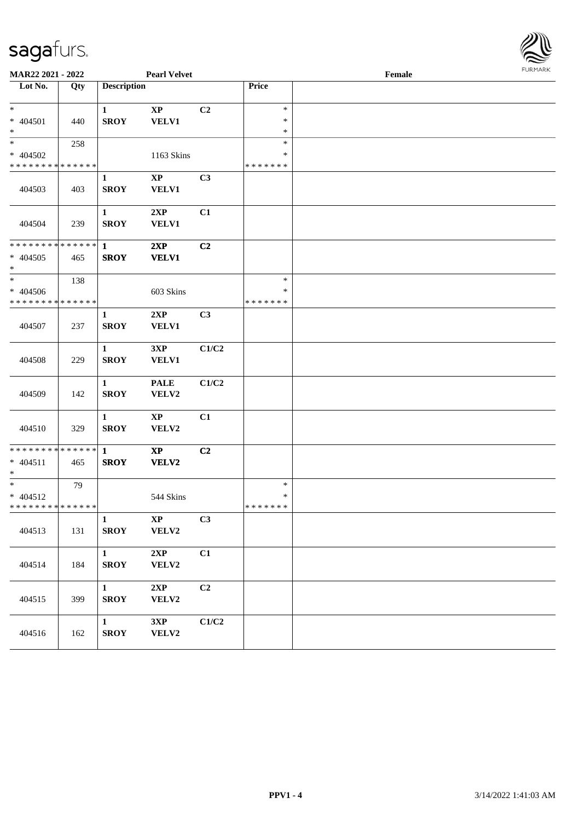

| MAR22 2021 - 2022                                               |     |                             | <b>Pearl Velvet</b>                    |       |                                   | Female | 10111111111 |
|-----------------------------------------------------------------|-----|-----------------------------|----------------------------------------|-------|-----------------------------------|--------|-------------|
| Lot No.                                                         | Qty | <b>Description</b>          |                                        |       | Price                             |        |             |
| $*$<br>* 404501<br>$*$                                          | 440 | $\mathbf{1}$<br><b>SROY</b> | $\bold{XP}$<br><b>VELV1</b>            | C2    | $\ast$<br>$\ast$<br>$\ast$        |        |             |
| $\ast$<br>* 404502<br>* * * * * * * * * * * * * *               | 258 |                             | 1163 Skins                             |       | $\ast$<br>$\ast$<br>* * * * * * * |        |             |
| 404503                                                          | 403 | $\mathbf{1}$<br><b>SROY</b> | $\mathbf{X}\mathbf{P}$<br><b>VELV1</b> | C3    |                                   |        |             |
| 404504                                                          | 239 | $\mathbf{1}$<br><b>SROY</b> | 2XP<br><b>VELV1</b>                    | C1    |                                   |        |             |
| * * * * * * * * <mark>* * * * * * *</mark><br>$* 404505$<br>$*$ | 465 | $\mathbf{1}$<br><b>SROY</b> | 2XP<br><b>VELV1</b>                    | C2    |                                   |        |             |
| $\ast$<br>$* 404506$<br>* * * * * * * * * * * * * *             | 138 |                             | 603 Skins                              |       | $\ast$<br>$\ast$<br>* * * * * * * |        |             |
| 404507                                                          | 237 | $\mathbf{1}$<br><b>SROY</b> | 2XP<br><b>VELV1</b>                    | C3    |                                   |        |             |
| 404508                                                          | 229 | $\mathbf{1}$<br><b>SROY</b> | 3XP<br><b>VELV1</b>                    | C1/C2 |                                   |        |             |
| 404509                                                          | 142 | $\mathbf{1}$<br><b>SROY</b> | <b>PALE</b><br>VELV2                   | C1/C2 |                                   |        |             |
| 404510                                                          | 329 | $\mathbf{1}$<br><b>SROY</b> | $\mathbf{X}\mathbf{P}$<br>VELV2        | C1    |                                   |        |             |
| * * * * * * * * * * * * * * *<br>$* 404511$<br>$*$              | 465 | $\mathbf{1}$<br><b>SROY</b> | $\boldsymbol{\mathrm{XP}}$<br>VELV2    | C2    |                                   |        |             |
| $*$<br>$* 404512$<br>* * * * * * * * * * * * * * *              | 79  |                             | 544 Skins                              |       | $\ast$<br>$\ast$<br>*******       |        |             |
| 404513                                                          | 131 | $\mathbf{1}$<br><b>SROY</b> | $\bold{XP}$<br>VELV2                   | C3    |                                   |        |             |
| 404514                                                          | 184 | $\mathbf{1}$<br><b>SROY</b> | 2XP<br>VELV2                           | C1    |                                   |        |             |
| 404515                                                          | 399 | $\mathbf{1}$<br><b>SROY</b> | 2XP<br>VELV2                           | C2    |                                   |        |             |
| 404516                                                          | 162 | $\mathbf{1}$<br><b>SROY</b> | 3XP<br>VELV2                           | C1/C2 |                                   |        |             |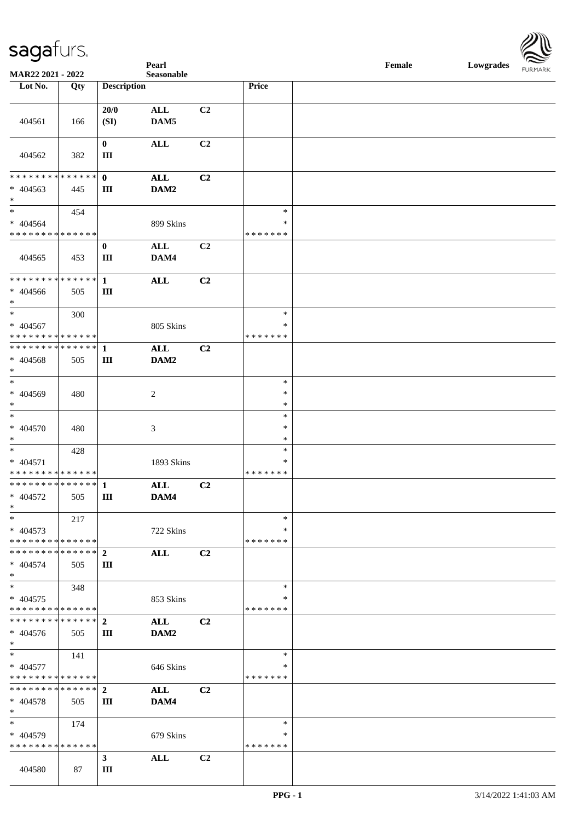| <u>U</u>                                        |     |                    | Pearl          |                |               | $\ensuremath{\textnormal{\textbf{Female}}}$ | Lowgrades | $\sim$<br><b>FURMARK</b> |
|-------------------------------------------------|-----|--------------------|----------------|----------------|---------------|---------------------------------------------|-----------|--------------------------|
| MAR22 2021 - 2022                               |     |                    | Seasonable     |                |               |                                             |           |                          |
| Lot No.                                         | Qty | <b>Description</b> |                |                | Price         |                                             |           |                          |
|                                                 |     | 20/0               | $\mathbf{ALL}$ | C2             |               |                                             |           |                          |
| 404561                                          | 166 | (SI)               | DAM5           |                |               |                                             |           |                          |
|                                                 |     |                    |                |                |               |                                             |           |                          |
|                                                 |     | $\mathbf{0}$       | $\mathbf{ALL}$ | C2             |               |                                             |           |                          |
| 404562                                          | 382 | $\rm III$          |                |                |               |                                             |           |                          |
|                                                 |     |                    |                |                |               |                                             |           |                          |
| * * * * * * * * * * * * * * *                   |     | $\mathbf{0}$       | <b>ALL</b>     | C2             |               |                                             |           |                          |
| $* 404563$                                      | 445 | $\rm III$          | DAM2           |                |               |                                             |           |                          |
| $*$                                             |     |                    |                |                |               |                                             |           |                          |
| $*$                                             | 454 |                    |                |                | $\ast$        |                                             |           |                          |
| $* 404564$                                      |     |                    | 899 Skins      |                | $\ast$        |                                             |           |                          |
| * * * * * * * * * * * * * *                     |     |                    |                |                | * * * * * * * |                                             |           |                          |
|                                                 |     | $\bf{0}$           | $\mathbf{ALL}$ | C2             |               |                                             |           |                          |
| 404565                                          | 453 | Ш                  | DAM4           |                |               |                                             |           |                          |
|                                                 |     |                    |                |                |               |                                             |           |                          |
|                                                 |     |                    | $\mathbf{ALL}$ | C2             |               |                                             |           |                          |
| * 404566                                        | 505 | $\rm III$          |                |                |               |                                             |           |                          |
| $*$<br>$*$                                      |     |                    |                |                | $\ast$        |                                             |           |                          |
| $* 404567$                                      | 300 |                    | 805 Skins      |                | $\ast$        |                                             |           |                          |
| * * * * * * * * * * * * * *                     |     |                    |                |                | * * * * * * * |                                             |           |                          |
| * * * * * * * * * * * * * * *                   |     | $\mathbf{1}$       | <b>ALL</b>     | C2             |               |                                             |           |                          |
| $* 404568$                                      | 505 | $\rm III$          | DAM2           |                |               |                                             |           |                          |
| $*$                                             |     |                    |                |                |               |                                             |           |                          |
| $\ast$                                          |     |                    |                |                | $\ast$        |                                             |           |                          |
| * 404569                                        | 480 |                    | $\sqrt{2}$     |                | $\ast$        |                                             |           |                          |
| $\ast$                                          |     |                    |                |                | $\ast$        |                                             |           |                          |
| $\ast$                                          |     |                    |                |                | $\ast$        |                                             |           |                          |
| $* 404570$                                      | 480 |                    | 3              |                | $\ast$        |                                             |           |                          |
| $\ast$                                          |     |                    |                |                | $\ast$        |                                             |           |                          |
| $\ast$                                          | 428 |                    |                |                | $\ast$        |                                             |           |                          |
| * 404571                                        |     |                    | 1893 Skins     |                | ∗             |                                             |           |                          |
| * * * * * * * * * * * * * *<br>************** 1 |     |                    |                |                | * * * * * * * |                                             |           |                          |
|                                                 |     |                    | <b>ALL</b>     | C2             |               |                                             |           |                          |
| * 404572<br>$*$                                 | 505 | $\vert$ III        | DAM4           |                |               |                                             |           |                          |
| $*$                                             | 217 |                    |                |                | $\ast$        |                                             |           |                          |
| $* 404573$                                      |     |                    | 722 Skins      |                | $\ast$        |                                             |           |                          |
| * * * * * * * * * * * * * *                     |     |                    |                |                | * * * * * * * |                                             |           |                          |
| * * * * * * * * * * * * * * *                   |     | $\overline{2}$     | <b>ALL</b>     | C <sub>2</sub> |               |                                             |           |                          |
| $* 404574$                                      | 505 | Ш                  |                |                |               |                                             |           |                          |
| $*$                                             |     |                    |                |                |               |                                             |           |                          |
| $*$                                             | 348 |                    |                |                | $\ast$        |                                             |           |                          |
| $* 404575$                                      |     |                    | 853 Skins      |                | ∗             |                                             |           |                          |
| * * * * * * * * * * * * * *                     |     |                    |                |                | * * * * * * * |                                             |           |                          |
| * * * * * * * * * * * * * * *                   |     | $\mathbf{2}$       | <b>ALL</b>     | C2             |               |                                             |           |                          |
| $* 404576$<br>$*$                               | 505 | Ш                  | DAM2           |                |               |                                             |           |                          |
| $*$                                             | 141 |                    |                |                | $\ast$        |                                             |           |                          |
| * 404577                                        |     |                    | 646 Skins      |                | *             |                                             |           |                          |
| * * * * * * * * * * * * * *                     |     |                    |                |                | * * * * * * * |                                             |           |                          |
| * * * * * * * * * * * * * * *                   |     | $\overline{2}$     | <b>ALL</b>     | C <sub>2</sub> |               |                                             |           |                          |
| $* 404578$                                      | 505 | Ш                  | DAM4           |                |               |                                             |           |                          |
| $*$                                             |     |                    |                |                |               |                                             |           |                          |
| $*$                                             | 174 |                    |                |                | $\ast$        |                                             |           |                          |
| $* 404579$                                      |     |                    | 679 Skins      |                | ∗             |                                             |           |                          |
| * * * * * * * * * * * * * *                     |     |                    |                |                | * * * * * * * |                                             |           |                          |
|                                                 |     | $\mathbf{3}$       | ALL            | C2             |               |                                             |           |                          |
| 404580                                          | 87  | Ш                  |                |                |               |                                             |           |                          |